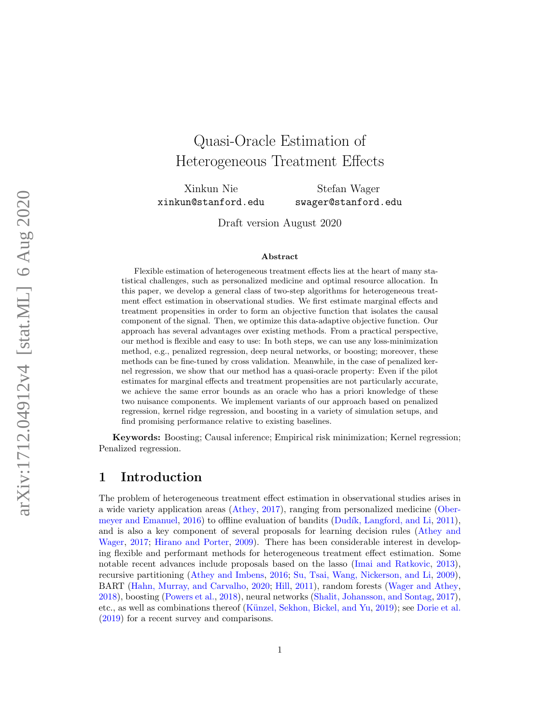# Quasi-Oracle Estimation of Heterogeneous Treatment Effects

Xinkun Nie xinkun@stanford.edu

Stefan Wager swager@stanford.edu

Draft version August 2020

#### Abstract

Flexible estimation of heterogeneous treatment effects lies at the heart of many statistical challenges, such as personalized medicine and optimal resource allocation. In this paper, we develop a general class of two-step algorithms for heterogeneous treatment effect estimation in observational studies. We first estimate marginal effects and treatment propensities in order to form an objective function that isolates the causal component of the signal. Then, we optimize this data-adaptive objective function. Our approach has several advantages over existing methods. From a practical perspective, our method is flexible and easy to use: In both steps, we can use any loss-minimization method, e.g., penalized regression, deep neural networks, or boosting; moreover, these methods can be fine-tuned by cross validation. Meanwhile, in the case of penalized kernel regression, we show that our method has a quasi-oracle property: Even if the pilot estimates for marginal effects and treatment propensities are not particularly accurate, we achieve the same error bounds as an oracle who has a priori knowledge of these two nuisance components. We implement variants of our approach based on penalized regression, kernel ridge regression, and boosting in a variety of simulation setups, and find promising performance relative to existing baselines.

Keywords: Boosting; Causal inference; Empirical risk minimization; Kernel regression; Penalized regression.

### 1 Introduction

The problem of heterogeneous treatment effect estimation in observational studies arises in a wide variety application areas [\(Athey,](#page-20-0) [2017\)](#page-20-0), ranging from personalized medicine [\(Ober](#page-22-0)[meyer and Emanuel,](#page-22-0) [2016\)](#page-22-0) to offline evaluation of bandits (Dudík, Langford, and Li, [2011\)](#page-21-0), and is also a key component of several proposals for learning decision rules [\(Athey and](#page-20-1) [Wager,](#page-20-1) [2017;](#page-20-1) [Hirano and Porter,](#page-21-1) [2009\)](#page-21-1). There has been considerable interest in developing flexible and performant methods for heterogeneous treatment effect estimation. Some notable recent advances include proposals based on the lasso [\(Imai and Ratkovic,](#page-21-2) [2013\)](#page-21-2), recursive partitioning [\(Athey and Imbens,](#page-20-2) [2016;](#page-20-2) [Su, Tsai, Wang, Nickerson, and Li,](#page-23-0) [2009\)](#page-23-0), BART [\(Hahn, Murray, and Carvalho,](#page-21-3) [2020;](#page-21-3) [Hill,](#page-21-4) [2011\)](#page-21-4), random forests [\(Wager and Athey,](#page-23-1) [2018\)](#page-23-1), boosting [\(Powers et al.,](#page-22-1) [2018\)](#page-22-1), neural networks [\(Shalit, Johansson, and Sontag,](#page-23-2) [2017\)](#page-23-2), etc., as well as combinations thereof (Künzel, Sekhon, Bickel, and Yu, [2019\)](#page-22-2); see [Dorie et al.](#page-21-5) [\(2019\)](#page-21-5) for a recent survey and comparisons.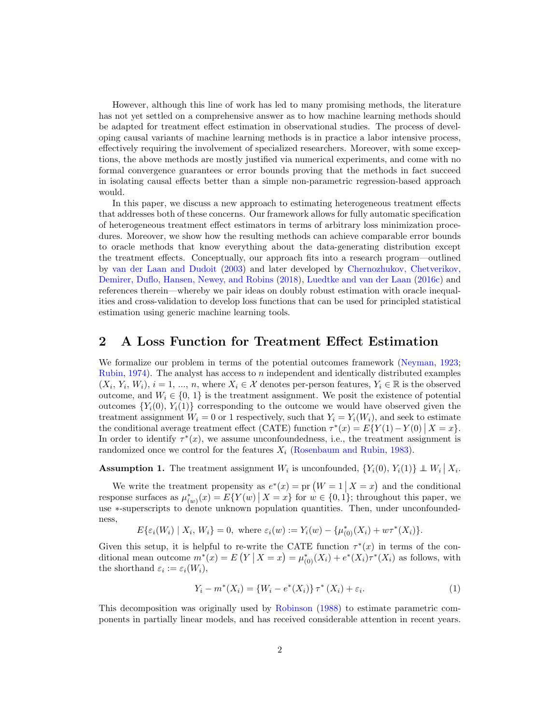However, although this line of work has led to many promising methods, the literature has not yet settled on a comprehensive answer as to how machine learning methods should be adapted for treatment effect estimation in observational studies. The process of developing causal variants of machine learning methods is in practice a labor intensive process, effectively requiring the involvement of specialized researchers. Moreover, with some exceptions, the above methods are mostly justified via numerical experiments, and come with no formal convergence guarantees or error bounds proving that the methods in fact succeed in isolating causal effects better than a simple non-parametric regression-based approach would.

In this paper, we discuss a new approach to estimating heterogeneous treatment effects that addresses both of these concerns. Our framework allows for fully automatic specification of heterogeneous treatment effect estimators in terms of arbitrary loss minimization procedures. Moreover, we show how the resulting methods can achieve comparable error bounds to oracle methods that know everything about the data-generating distribution except the treatment effects. Conceptually, our approach fits into a research program—outlined by [van der Laan and Dudoit](#page-23-3) [\(2003\)](#page-23-3) and later developed by [Chernozhukov, Chetverikov,](#page-21-6) [Demirer, Duflo, Hansen, Newey, and Robins](#page-21-6) [\(2018\)](#page-21-6), [Luedtke and van der Laan](#page-22-3) [\(2016c\)](#page-22-3) and references therein—whereby we pair ideas on doubly robust estimation with oracle inequalities and cross-validation to develop loss functions that can be used for principled statistical estimation using generic machine learning tools.

### 2 A Loss Function for Treatment Effect Estimation

We formalize our problem in terms of the potential outcomes framework [\(Neyman,](#page-22-4) [1923;](#page-22-4) [Rubin,](#page-22-5) [1974\)](#page-22-5). The analyst has access to n independent and identically distributed examples  $(X_i, Y_i, W_i), i = 1, ..., n$ , where  $X_i \in \mathcal{X}$  denotes per-person features,  $Y_i \in \mathbb{R}$  is the observed outcome, and  $W_i \in \{0, 1\}$  is the treatment assignment. We posit the existence of potential outcomes  ${Y_i(0), Y_i(1)}$  corresponding to the outcome we would have observed given the treatment assignment  $W_i = 0$  or 1 respectively, such that  $Y_i = Y_i(W_i)$ , and seek to estimate the conditional average treatment effect (CATE) function  $\tau^*(x) = E\{Y(1) - Y(0) | X = x\}.$ In order to identify  $\tau^*(x)$ , we assume unconfoundedness, i.e., the treatment assignment is randomized once we control for the features  $X_i$  [\(Rosenbaum and Rubin,](#page-22-6) [1983\)](#page-22-6).

<span id="page-1-1"></span>**Assumption 1.** The treatment assignment  $W_i$  is unconfounded,  $\{Y_i(0), Y_i(1)\} \perp W_i | X_i$ .

We write the treatment propensity as  $e^*(x) = \text{pr}(W = 1 | X = x)$  and the conditional response surfaces as  $\mu_{(w)}^*(x) = E\{Y(w) | X = x\}$  for  $w \in \{0, 1\}$ ; throughout this paper, we use ∗-superscripts to denote unknown population quantities. Then, under unconfoundedness,

$$
E\{\varepsilon_i(W_i) \mid X_i, W_i\} = 0, \text{ where } \varepsilon_i(w) := Y_i(w) - \{\mu^*_{(0)}(X_i) + w\tau^*(X_i)\}.
$$

Given this setup, it is helpful to re-write the CATE function  $\tau^*(x)$  in terms of the conditional mean outcome  $m^*(x) = E(Y | X = x) = \mu^*_{(0)}(X_i) + e^*(X_i) \tau^*(X_i)$  as follows, with the shorthand  $\varepsilon_i := \varepsilon_i(W_i)$ ,

<span id="page-1-0"></span>
$$
Y_i - m^*(X_i) = \{W_i - e^*(X_i)\} \tau^*(X_i) + \varepsilon_i.
$$
\n(1)

This decomposition was originally used by [Robinson](#page-22-7) [\(1988\)](#page-22-7) to estimate parametric components in partially linear models, and has received considerable attention in recent years.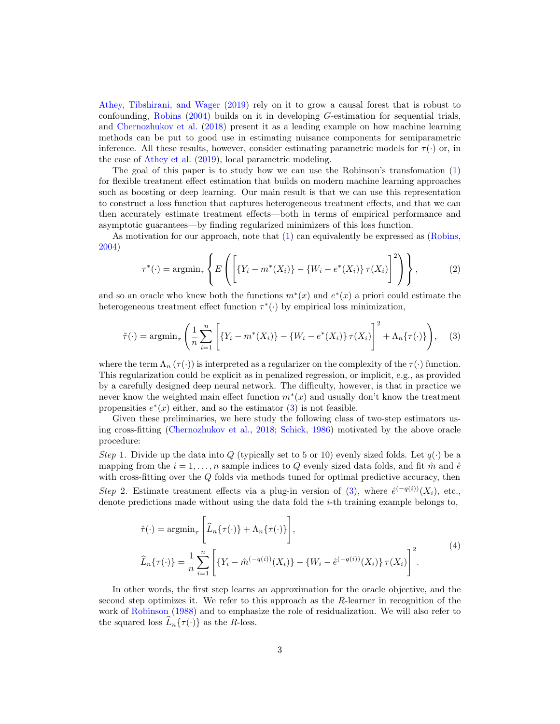[Athey, Tibshirani, and Wager](#page-21-7) [\(2019\)](#page-21-7) rely on it to grow a causal forest that is robust to confounding, [Robins](#page-22-8) [\(2004\)](#page-22-8) builds on it in developing G-estimation for sequential trials, and [Chernozhukov et al.](#page-21-6) [\(2018\)](#page-21-6) present it as a leading example on how machine learning methods can be put to good use in estimating nuisance components for semiparametric inference. All these results, however, consider estimating parametric models for  $\tau(\cdot)$  or, in the case of [Athey et al.](#page-21-7) [\(2019\)](#page-21-7), local parametric modeling.

The goal of this paper is to study how we can use the Robinson's transfomation [\(1\)](#page-1-0) for flexible treatment effect estimation that builds on modern machine learning approaches such as boosting or deep learning. Our main result is that we can use this representation to construct a loss function that captures heterogeneous treatment effects, and that we can then accurately estimate treatment effects—both in terms of empirical performance and asymptotic guarantees—by finding regularized minimizers of this loss function.

As motivation for our approach, note that [\(1\)](#page-1-0) can equivalently be expressed as [\(Robins,](#page-22-8) [2004\)](#page-22-8)

<span id="page-2-1"></span>
$$
\tau^*(\cdot) = \operatorname{argmin}_{\tau} \left\{ E\left( \left[ \{ Y_i - m^*(X_i) \} - \{ W_i - e^*(X_i) \} \, \tau(X_i) \right]^2 \right) \right\},\tag{2}
$$

and so an oracle who knew both the functions  $m^*(x)$  and  $e^*(x)$  a priori could estimate the heterogeneous treatment effect function  $\tau^*(\cdot)$  by empirical loss minimization,

<span id="page-2-0"></span>
$$
\tilde{\tau}(\cdot) = \operatorname{argmin}_{\tau} \left( \frac{1}{n} \sum_{i=1}^{n} \left[ \{ Y_i - m^*(X_i) \} - \{ W_i - e^*(X_i) \} \tau(X_i) \right]^2 + \Lambda_n \{ \tau(\cdot) \} \right), \quad (3)
$$

where the term  $\Lambda_n(\tau(\cdot))$  is interpreted as a regularizer on the complexity of the  $\tau(\cdot)$  function. This regularization could be explicit as in penalized regression, or implicit, e.g., as provided by a carefully designed deep neural network. The difficulty, however, is that in practice we never know the weighted main effect function  $m^*(x)$  and usually don't know the treatment propensities  $e^*(x)$  either, and so the estimator [\(3\)](#page-2-0) is not feasible.

Given these preliminaries, we here study the following class of two-step estimators using cross-fitting [\(Chernozhukov et al.,](#page-21-6) [2018;](#page-21-6) [Schick,](#page-23-4) [1986\)](#page-23-4) motivated by the above oracle procedure:

Step 1. Divide up the data into Q (typically set to 5 or 10) evenly sized folds. Let  $q(\cdot)$  be a mapping from the  $i = 1, \ldots, n$  sample indices to Q evenly sized data folds, and fit  $\hat{m}$  and  $\hat{e}$ with cross-fitting over the Q folds via methods tuned for optimal predictive accuracy, then Step 2. Estimate treatment effects via a plug-in version of [\(3\)](#page-2-0), where  $\hat{e}^{(-q(i))}(X_i)$ , etc., denote predictions made without using the data fold the i-th training example belongs to,

<span id="page-2-2"></span>
$$
\hat{\tau}(\cdot) = \operatorname{argmin}_{\tau} \left[ \hat{L}_n \{ \tau(\cdot) \} + \Lambda_n \{ \tau(\cdot) \} \right],
$$
\n
$$
\hat{L}_n \{ \tau(\cdot) \} = \frac{1}{n} \sum_{i=1}^n \left[ \{ Y_i - \hat{m}^{(-q(i))}(X_i) \} - \{ W_i - \hat{e}^{(-q(i))}(X_i) \} \, \tau(X_i) \right]^2.
$$
\n
$$
(4)
$$

In other words, the first step learns an approximation for the oracle objective, and the second step optimizes it. We refer to this approach as the R-learner in recognition of the work of [Robinson](#page-22-7) [\(1988\)](#page-22-7) and to emphasize the role of residualization. We will also refer to the squared loss  $L_n\{\tau(\cdot)\}\)$  as the R-loss.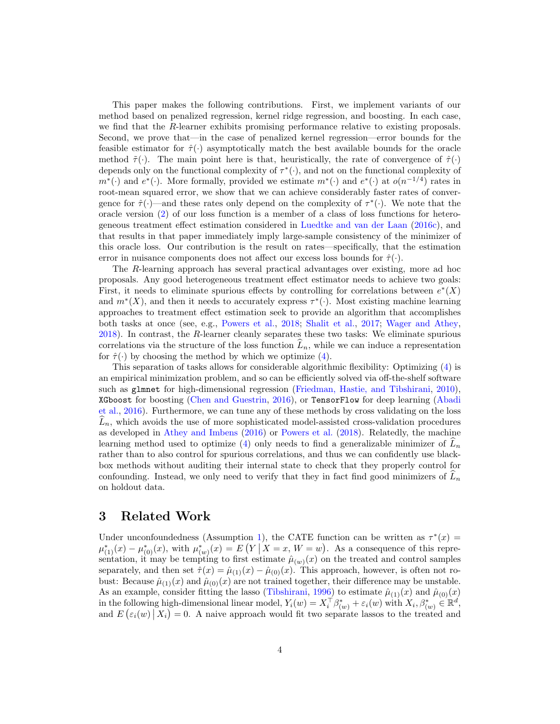This paper makes the following contributions. First, we implement variants of our method based on penalized regression, kernel ridge regression, and boosting. In each case, we find that the R-learner exhibits promising performance relative to existing proposals. Second, we prove that—in the case of penalized kernel regression—error bounds for the feasible estimator for  $\hat{\tau}(\cdot)$  asymptotically match the best available bounds for the oracle method  $\tilde{\tau}(\cdot)$ . The main point here is that, heuristically, the rate of convergence of  $\hat{\tau}(\cdot)$ depends only on the functional complexity of  $\tau^*(\cdot)$ , and not on the functional complexity of  $m^*(.)$  and  $e^*(.)$ . More formally, provided we estimate  $m^*(.)$  and  $e^*(.)$  at  $o(n^{-1/4})$  rates in root-mean squared error, we show that we can achieve considerably faster rates of convergence for  $\hat{\tau}(\cdot)$ —and these rates only depend on the complexity of  $\tau^*(\cdot)$ . We note that the oracle version [\(2\)](#page-2-1) of our loss function is a member of a class of loss functions for heterogeneous treatment effect estimation considered in [Luedtke and van der Laan](#page-22-3) [\(2016c\)](#page-22-3), and that results in that paper immediately imply large-sample consistency of the minimizer of this oracle loss. Our contribution is the result on rates—specifically, that the estimation error in nuisance components does not affect our excess loss bounds for  $\hat{\tau}(\cdot)$ .

The R-learning approach has several practical advantages over existing, more ad hoc proposals. Any good heterogeneous treatment effect estimator needs to achieve two goals: First, it needs to eliminate spurious effects by controlling for correlations between  $e^*(X)$ and  $m^*(X)$ , and then it needs to accurately express  $\tau^*(\cdot)$ . Most existing machine learning approaches to treatment effect estimation seek to provide an algorithm that accomplishes both tasks at once (see, e.g., [Powers et al.,](#page-22-1) [2018;](#page-22-1) [Shalit et al.,](#page-23-2) [2017;](#page-23-2) [Wager and Athey,](#page-23-1) [2018\)](#page-23-1). In contrast, the R-learner cleanly separates these two tasks: We eliminate spurious correlations via the structure of the loss function  $L_n$ , while we can induce a representation for  $\hat{\tau}(\cdot)$  by choosing the method by which we optimize [\(4\)](#page-2-2).

This separation of tasks allows for considerable algorithmic flexibility: Optimizing [\(4\)](#page-2-2) is an empirical minimization problem, and so can be efficiently solved via off-the-shelf software such as glmnet for high-dimensional regression [\(Friedman, Hastie, and Tibshirani,](#page-21-8) [2010\)](#page-21-8), XGboost for boosting [\(Chen and Guestrin,](#page-21-9) [2016\)](#page-21-9), or TensorFlow for deep learning [\(Abadi](#page-20-3) [et al.,](#page-20-3) [2016\)](#page-20-3). Furthermore, we can tune any of these methods by cross validating on the loss  $L_n$ , which avoids the use of more sophisticated model-assisted cross-validation procedures as developed in [Athey and Imbens](#page-20-2) [\(2016\)](#page-20-2) or [Powers et al.](#page-22-1) [\(2018\)](#page-22-1). Relatedly, the machine learning method used to optimize [\(4\)](#page-2-2) only needs to find a generalizable minimizer of  $L_n$ rather than to also control for spurious correlations, and thus we can confidently use blackbox methods without auditing their internal state to check that they properly control for confounding. Instead, we only need to verify that they in fact find good minimizers of  $L_n$ on holdout data.

### <span id="page-3-0"></span>3 Related Work

Under unconfoundedness (Assumption [1\)](#page-1-1), the CATE function can be written as  $\tau^*(x)$  =  $\mu_{(1)}^{*}(x) - \mu_{(0)}^{*}(x)$ , with  $\mu_{(w)}^{*}(x) = E(Y | X = x, W = w)$ . As a consequence of this representation, it may be tempting to first estimate  $\hat{\mu}_{(w)}(x)$  on the treated and control samples separately, and then set  $\hat{\tau}(x) = \hat{\mu}_{(1)}(x) - \hat{\mu}_{(0)}(x)$ . This approach, however, is often not robust: Because  $\hat{\mu}_{(1)}(x)$  and  $\hat{\mu}_{(0)}(x)$  are not trained together, their difference may be unstable. As an example, consider fitting the lasso [\(Tibshirani,](#page-23-5) [1996\)](#page-23-5) to estimate  $\hat{\mu}_{(1)}(x)$  and  $\hat{\mu}_{(0)}(x)$ in the following high-dimensional linear model,  $Y_i(w) = X_i^{\dagger} \beta_{(w)}^* + \varepsilon_i(w)$  with  $X_i, \beta_{(w)}^* \in \mathbb{R}^d$ , and  $E\left(\varepsilon_i(w) \mid X_i\right) = 0$ . A naive approach would fit two separate lassos to the treated and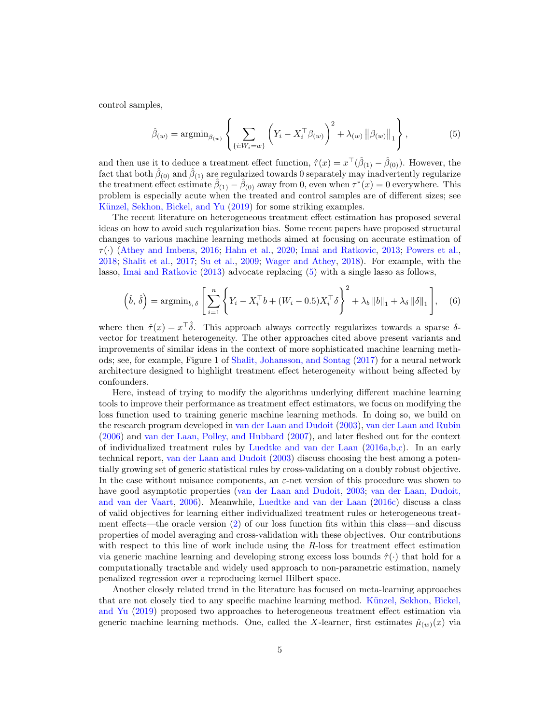control samples,

<span id="page-4-0"></span>
$$
\hat{\beta}_{(w)} = \operatorname{argmin}_{\beta_{(w)}} \left\{ \sum_{\{i: W_i = w\}} \left( Y_i - X_i^{\top} \beta_{(w)} \right)^2 + \lambda_{(w)} \left\| \beta_{(w)} \right\|_1 \right\},\tag{5}
$$

and then use it to deduce a treatment effect function,  $\hat{\tau}(x) = x^{\top}(\hat{\beta}_{(1)} - \hat{\beta}_{(0)})$ . However, the fact that both  $\hat{\beta}_{(0)}$  and  $\hat{\beta}_{(1)}$  are regularized towards 0 separately may inadvertently regularize the treatment effect estimate  $\hat{\beta}_{(1)} - \hat{\beta}_{(0)}$  away from 0, even when  $\tau^*(x) = 0$  everywhere. This problem is especially acute when the treated and control samples are of different sizes; see Künzel, Sekhon, Bickel, and Yu [\(2019\)](#page-22-2) for some striking examples.

The recent literature on heterogeneous treatment effect estimation has proposed several ideas on how to avoid such regularization bias. Some recent papers have proposed structural changes to various machine learning methods aimed at focusing on accurate estimation of  $\tau(\cdot)$  [\(Athey and Imbens,](#page-20-2) [2016;](#page-20-2) [Hahn et al.,](#page-21-3) [2020;](#page-21-3) [Imai and Ratkovic,](#page-21-2) [2013;](#page-21-2) [Powers et al.,](#page-22-1) [2018;](#page-22-1) [Shalit et al.,](#page-23-2) [2017;](#page-23-2) [Su et al.,](#page-23-0) [2009;](#page-23-0) [Wager and Athey,](#page-23-1) [2018\)](#page-23-1). For example, with the lasso, [Imai and Ratkovic](#page-21-2) [\(2013\)](#page-21-2) advocate replacing [\(5\)](#page-4-0) with a single lasso as follows,

<span id="page-4-1"></span>
$$
\left(\hat{b}, \hat{\delta}\right) = \operatorname{argmin}_{b, \delta} \left[ \sum_{i=1}^{n} \left\{ Y_i - X_i^{\top} b + (W_i - 0.5) X_i^{\top} \delta \right\}^2 + \lambda_b \left\| b \right\|_1 + \lambda_{\delta} \left\| \delta \right\|_1 \right], \quad (6)
$$

where then  $\hat{\tau}(x) = x^{\top} \hat{\delta}$ . This approach always correctly regularizes towards a sparse  $\delta$ vector for treatment heterogeneity. The other approaches cited above present variants and improvements of similar ideas in the context of more sophisticated machine learning methods; see, for example, Figure 1 of [Shalit, Johansson, and Sontag](#page-23-2) [\(2017\)](#page-23-2) for a neural network architecture designed to highlight treatment effect heterogeneity without being affected by confounders.

Here, instead of trying to modify the algorithms underlying different machine learning tools to improve their performance as treatment effect estimators, we focus on modifying the loss function used to training generic machine learning methods. In doing so, we build on the research program developed in [van der Laan and Dudoit](#page-23-3) [\(2003\)](#page-23-3), [van der Laan and Rubin](#page-23-6) [\(2006\)](#page-23-6) and [van der Laan, Polley, and Hubbard](#page-23-7) [\(2007\)](#page-23-7), and later fleshed out for the context of individualized treatment rules by [Luedtke and van der Laan](#page-22-9) [\(2016a,](#page-22-9)[b,](#page-22-10)[c\)](#page-22-3). In an early technical report, [van der Laan and Dudoit](#page-23-3) [\(2003\)](#page-23-3) discuss choosing the best among a potentially growing set of generic statistical rules by cross-validating on a doubly robust objective. In the case without nuisance components, an  $\varepsilon$ -net version of this procedure was shown to have good asymptotic properties [\(van der Laan and Dudoit,](#page-23-3) [2003;](#page-23-3) [van der Laan, Dudoit,](#page-23-8) [and van der Vaart,](#page-23-8) [2006\)](#page-23-8). Meanwhile, [Luedtke and van der Laan](#page-22-3) [\(2016c\)](#page-22-3) discuss a class of valid objectives for learning either individualized treatment rules or heterogeneous treatment effects—the oracle version [\(2\)](#page-2-1) of our loss function fits within this class—and discuss properties of model averaging and cross-validation with these objectives. Our contributions with respect to this line of work include using the  $R$ -loss for treatment effect estimation via generic machine learning and developing strong excess loss bounds  $\hat{\tau}(\cdot)$  that hold for a computationally tractable and widely used approach to non-parametric estimation, namely penalized regression over a reproducing kernel Hilbert space.

Another closely related trend in the literature has focused on meta-learning approaches that are not closely tied to any specific machine learning method. Künzel, Sekhon, Bickel, [and Yu](#page-22-2) [\(2019\)](#page-22-2) proposed two approaches to heterogeneous treatment effect estimation via generic machine learning methods. One, called the X-learner, first estimates  $\hat{\mu}_{(w)}(x)$  via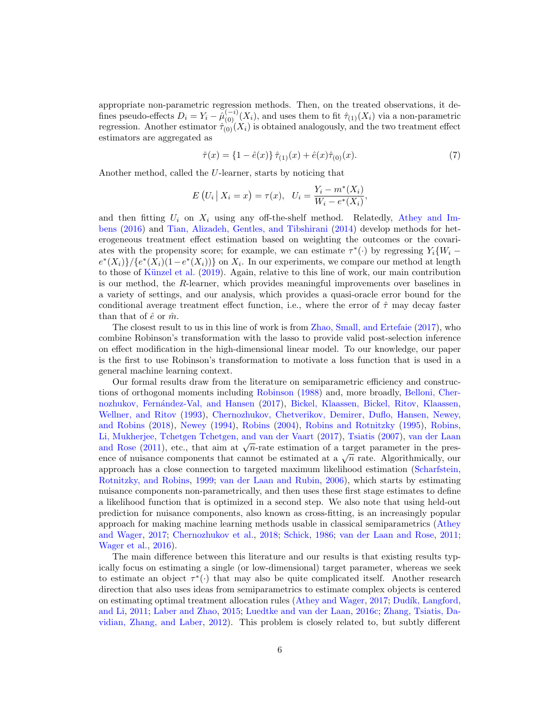appropriate non-parametric regression methods. Then, on the treated observations, it defines pseudo-effects  $D_i = Y_i - \tilde{\mu}_{(0)}^{(-i)}(X_i)$ , and uses them to fit  $\hat{\tau}_{(1)}(X_i)$  via a non-parametric regression. Another estimator  $\hat{\tau}_{(0)}(X_i)$  is obtained analogously, and the two treatment effect estimators are aggregated as

<span id="page-5-0"></span>
$$
\hat{\tau}(x) = \{1 - \hat{e}(x)\}\,\hat{\tau}_{(1)}(x) + \hat{e}(x)\hat{\tau}_{(0)}(x). \tag{7}
$$

Another method, called the U-learner, starts by noticing that

$$
E(U_i | X_i = x) = \tau(x), \ \ U_i = \frac{Y_i - m^*(X_i)}{W_i - e^*(X_i)},
$$

and then fitting  $U_i$  on  $X_i$  using any off-the-shelf method. Relatedly, [Athey and Im](#page-20-2)[bens](#page-20-2) [\(2016\)](#page-20-2) and [Tian, Alizadeh, Gentles, and Tibshirani](#page-23-9) [\(2014\)](#page-23-9) develop methods for heterogeneous treatment effect estimation based on weighting the outcomes or the covariates with the propensity score; for example, we can estimate  $\tau^*(\cdot)$  by regressing  $Y_i\{W_i$  $e^*(X_i)$   $\neq$   $\{e^*(X_i)(1-e^*(X_i))\}$  on  $X_i$ . In our experiments, we compare our method at length to those of Künzel et al.  $(2019)$ . Again, relative to this line of work, our main contribution is our method, the R-learner, which provides meaningful improvements over baselines in a variety of settings, and our analysis, which provides a quasi-oracle error bound for the conditional average treatment effect function, i.e., where the error of  $\hat{\tau}$  may decay faster than that of  $\hat{e}$  or  $\hat{m}$ .

The closest result to us in this line of work is from [Zhao, Small, and Ertefaie](#page-24-0) [\(2017\)](#page-24-0), who combine Robinson's transformation with the lasso to provide valid post-selection inference on effect modification in the high-dimensional linear model. To our knowledge, our paper is the first to use Robinson's transformation to motivate a loss function that is used in a general machine learning context.

Our formal results draw from the literature on semiparametric efficiency and constructions of orthogonal moments including [Robinson](#page-22-7) [\(1988\)](#page-22-7) and, more broadly, [Belloni, Cher-](#page-21-10)nozhukov, Fernández-Val, and Hansen [\(2017\)](#page-21-10), [Bickel, Klaassen, Bickel, Ritov, Klaassen,](#page-21-11) [Wellner, and Ritov](#page-21-11) [\(1993\)](#page-21-11), [Chernozhukov, Chetverikov, Demirer, Duflo, Hansen, Newey,](#page-21-6) [and Robins](#page-21-6) [\(2018\)](#page-21-6), [Newey](#page-22-11) [\(1994\)](#page-22-11), [Robins](#page-22-8) [\(2004\)](#page-22-8), [Robins and Rotnitzky](#page-22-12) [\(1995\)](#page-22-12), [Robins,](#page-22-13) [Li, Mukherjee, Tchetgen Tchetgen, and van der Vaart](#page-22-13) [\(2017\)](#page-22-13), [Tsiatis](#page-23-10) [\(2007\)](#page-23-10), [van der Laan](#page-23-11) Li, Mukherjee, Tchetgen Tchetgen, and van der vaart (2017), Tslatis (2007), van der Laan<br>[and Rose](#page-23-11) [\(2011\)](#page-23-11), etc., that aim at  $\sqrt{n}$ -rate estimation of a target parameter in the presand Rose (2011), etc., that all at  $\sqrt{n}$ -rate estimation of a target parameter in the presence of nuisance components that cannot be estimated at a  $\sqrt{n}$  rate. Algorithmically, our approach has a close connection to targeted maximum likelihood estimation [\(Scharfstein,](#page-23-12) [Rotnitzky, and Robins,](#page-23-12) [1999;](#page-23-12) [van der Laan and Rubin,](#page-23-6) [2006\)](#page-23-6), which starts by estimating nuisance components non-parametrically, and then uses these first stage estimates to define a likelihood function that is optimized in a second step. We also note that using held-out prediction for nuisance components, also known as cross-fitting, is an increasingly popular approach for making machine learning methods usable in classical semiparametrics [\(Athey](#page-20-1) [and Wager,](#page-20-1) [2017;](#page-20-1) [Chernozhukov et al.,](#page-21-6) [2018;](#page-21-6) [Schick,](#page-23-4) [1986;](#page-23-4) [van der Laan and Rose,](#page-23-11) [2011;](#page-23-11) [Wager et al.,](#page-23-13) [2016\)](#page-23-13).

The main difference between this literature and our results is that existing results typically focus on estimating a single (or low-dimensional) target parameter, whereas we seek to estimate an object  $\tau^*(\cdot)$  that may also be quite complicated itself. Another research direction that also uses ideas from semiparametrics to estimate complex objects is centered on estimating optimal treatment allocation rules [\(Athey and Wager,](#page-20-1) [2017;](#page-20-1) Dudík, Langford, [and Li,](#page-21-0) [2011;](#page-21-0) [Laber and Zhao,](#page-22-14) [2015;](#page-22-14) [Luedtke and van der Laan,](#page-22-3) [2016c;](#page-22-3) [Zhang, Tsiatis, Da](#page-24-1)[vidian, Zhang, and Laber,](#page-24-1) [2012\)](#page-24-1). This problem is closely related to, but subtly different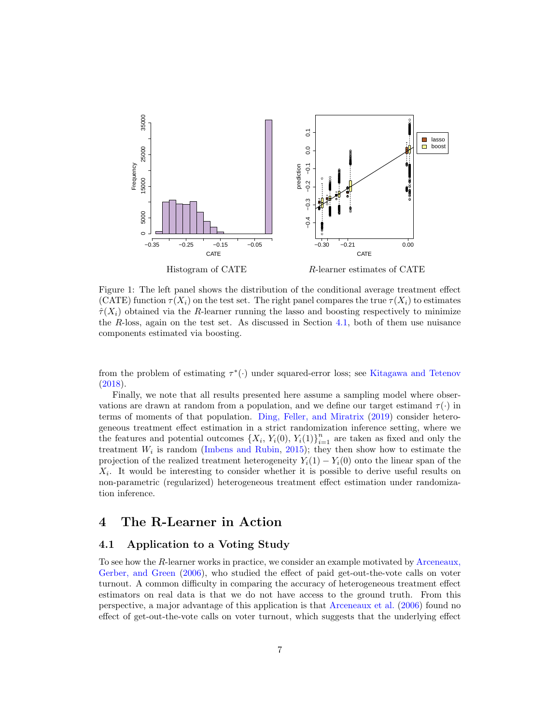<span id="page-6-1"></span>

Figure 1: The left panel shows the distribution of the conditional average treatment effect (CATE) function  $\tau(X_i)$  on the test set. The right panel compares the true  $\tau(X_i)$  to estimates  $\hat{\tau}(X_i)$  obtained via the R-learner running the lasso and boosting respectively to minimize the R-loss, again on the test set. As discussed in Section [4.1,](#page-6-0) both of them use nuisance components estimated via boosting.

from the problem of estimating  $\tau^*(\cdot)$  under squared-error loss; see [Kitagawa and Tetenov](#page-22-15) [\(2018\)](#page-22-15).

Finally, we note that all results presented here assume a sampling model where observations are drawn at random from a population, and we define our target estimand  $\tau(\cdot)$  in terms of moments of that population. [Ding, Feller, and Miratrix](#page-21-12) [\(2019\)](#page-21-12) consider heterogeneous treatment effect estimation in a strict randomization inference setting, where we the features and potential outcomes  $\{X_i, Y_i(0), Y_i(1)\}_{i=1}^n$  are taken as fixed and only the treatment  $W_i$  is random [\(Imbens and Rubin,](#page-22-16) [2015\)](#page-22-16); they then show how to estimate the projection of the realized treatment heterogeneity  $Y_i(1) - Y_i(0)$  onto the linear span of the  $X_i$ . It would be interesting to consider whether it is possible to derive useful results on non-parametric (regularized) heterogeneous treatment effect estimation under randomization inference.

### 4 The R-Learner in Action

#### <span id="page-6-0"></span>4.1 Application to a Voting Study

To see how the R-learner works in practice, we consider an example motivated by [Arceneaux,](#page-20-4) [Gerber, and Green](#page-20-4) [\(2006\)](#page-20-4), who studied the effect of paid get-out-the-vote calls on voter turnout. A common difficulty in comparing the accuracy of heterogeneous treatment effect estimators on real data is that we do not have access to the ground truth. From this perspective, a major advantage of this application is that [Arceneaux et al.](#page-20-4) [\(2006\)](#page-20-4) found no effect of get-out-the-vote calls on voter turnout, which suggests that the underlying effect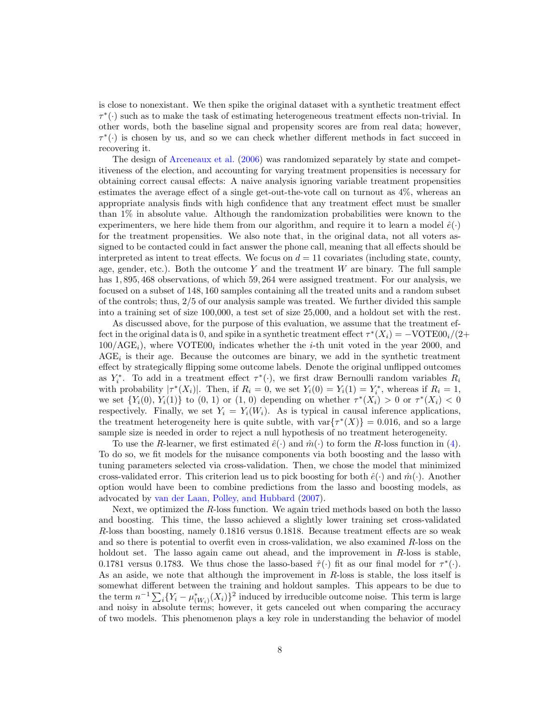is close to nonexistant. We then spike the original dataset with a synthetic treatment effect  $\tau^*(\cdot)$  such as to make the task of estimating heterogeneous treatment effects non-trivial. In other words, both the baseline signal and propensity scores are from real data; however,  $\tau^*(\cdot)$  is chosen by us, and so we can check whether different methods in fact succeed in recovering it.

The design of [Arceneaux et al.](#page-20-4) [\(2006\)](#page-20-4) was randomized separately by state and competitiveness of the election, and accounting for varying treatment propensities is necessary for obtaining correct causal effects: A naive analysis ignoring variable treatment propensities estimates the average effect of a single get-out-the-vote call on turnout as 4%, whereas an appropriate analysis finds with high confidence that any treatment effect must be smaller than 1% in absolute value. Although the randomization probabilities were known to the experimenters, we here hide them from our algorithm, and require it to learn a model  $\hat{e}(\cdot)$ for the treatment propensities. We also note that, in the original data, not all voters assigned to be contacted could in fact answer the phone call, meaning that all effects should be interpreted as intent to treat effects. We focus on  $d = 11$  covariates (including state, county, age, gender, etc.). Both the outcome  $Y$  and the treatment  $W$  are binary. The full sample has 1,895,468 observations, of which 59,264 were assigned treatment. For our analysis, we focused on a subset of 148, 160 samples containing all the treated units and a random subset of the controls; thus, 2/5 of our analysis sample was treated. We further divided this sample into a training set of size 100,000, a test set of size 25,000, and a holdout set with the rest.

As discussed above, for the purpose of this evaluation, we assume that the treatment effect in the original data is 0, and spike in a synthetic treatment effect  $\tau^*(X_i) = -VOTE00_i/(2+i$  $100/\text{AGE}_i$ , where VOTE00<sub>i</sub> indicates whether the *i*-th unit voted in the year 2000, and  $\text{AGE}_i$  is their age. Because the outcomes are binary, we add in the synthetic treatment effect by strategically flipping some outcome labels. Denote the original unflipped outcomes as  $Y_i^*$ . To add in a treatment effect  $\tau^*(\cdot)$ , we first draw Bernoulli random variables  $R_i$ with probability  $|\tau^*(X_i)|$ . Then, if  $R_i = 0$ , we set  $Y_i(0) = Y_i(1) = Y_i^*$ , whereas if  $R_i = 1$ , we set  $\{Y_i(0), Y_i(1)\}\$ to  $(0, 1)$  or  $(1, 0)$  depending on whether  $\tau^*(X_i) > 0$  or  $\tau^*(X_i) < 0$ respectively. Finally, we set  $Y_i = Y_i(W_i)$ . As is typical in causal inference applications, the treatment heterogeneity here is quite subtle, with  $var{\tau^*(X)} = 0.016$ , and so a large sample size is needed in order to reject a null hypothesis of no treatment heterogeneity.

To use the R-learner, we first estimated  $\hat{e}(\cdot)$  and  $\hat{m}(\cdot)$  to form the R-loss function in [\(4\)](#page-2-2). To do so, we fit models for the nuisance components via both boosting and the lasso with tuning parameters selected via cross-validation. Then, we chose the model that minimized cross-validated error. This criterion lead us to pick boosting for both  $\hat{e}(\cdot)$  and  $\hat{m}(\cdot)$ . Another option would have been to combine predictions from the lasso and boosting models, as advocated by [van der Laan, Polley, and Hubbard](#page-23-7) [\(2007\)](#page-23-7).

Next, we optimized the R-loss function. We again tried methods based on both the lasso and boosting. This time, the lasso achieved a slightly lower training set cross-validated R-loss than boosting, namely 0.1816 versus 0.1818. Because treatment effects are so weak and so there is potential to overfit even in cross-validation, we also examined  $R$ -loss on the holdout set. The lasso again came out ahead, and the improvement in  $R$ -loss is stable, 0.1781 versus 0.1783. We thus chose the lasso-based  $\hat{\tau}(\cdot)$  fit as our final model for  $\tau^*(\cdot)$ . As an aside, we note that although the improvement in R-loss is stable, the loss itself is somewhat different between the training and holdout samples. This appears to be due to the term  $n^{-1} \sum_i \{Y_i - \mu^*_{(W_i)}(X_i)\}^2$  induced by irreducible outcome noise. This term is large and noisy in absolute terms; however, it gets canceled out when comparing the accuracy of two models. This phenomenon plays a key role in understanding the behavior of model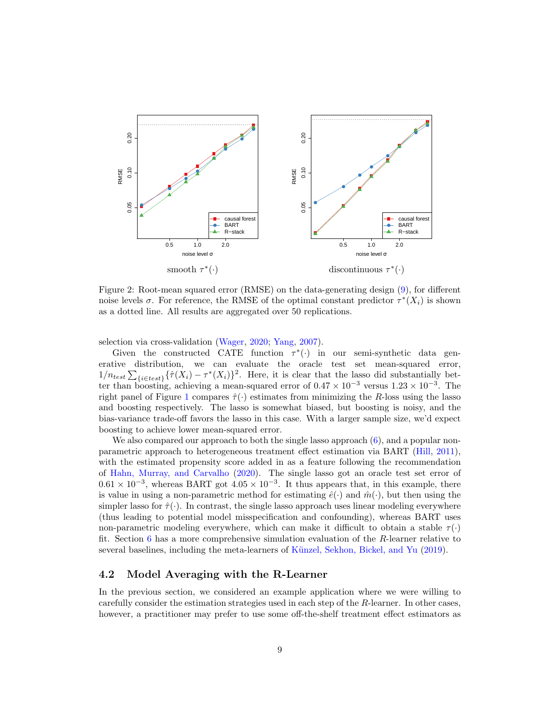<span id="page-8-0"></span>

Figure 2: Root-mean squared error (RMSE) on the data-generating design [\(9\)](#page-9-0), for different noise levels  $\sigma$ . For reference, the RMSE of the optimal constant predictor  $\tau^*(X_i)$  is shown as a dotted line. All results are aggregated over 50 replications.

selection via cross-validation [\(Wager,](#page-23-14) [2020;](#page-23-14) [Yang,](#page-24-2) [2007\)](#page-24-2).

Given the constructed CATE function  $\tau^*(\cdot)$  in our semi-synthetic data generative distribution, we can evaluate the oracle test set mean-squared error,  $1/n_{test} \sum_{\{i \in test\}} {\{\hat{\tau}(X_i) - \tau^*(X_i)\}}^2$ . Here, it is clear that the lasso did substantially better than boosting, achieving a mean-squared error of  $0.47 \times 10^{-3}$  versus  $1.23 \times 10^{-3}$ . The right panel of Figure [1](#page-6-1) compares  $\hat{\tau}(\cdot)$  estimates from minimizing the R-loss using the lasso and boosting respectively. The lasso is somewhat biased, but boosting is noisy, and the bias-variance trade-off favors the lasso in this case. With a larger sample size, we'd expect boosting to achieve lower mean-squared error.

We also compared our approach to both the single lasso approach  $(6)$ , and a popular nonparametric approach to heterogeneous treatment effect estimation via BART [\(Hill,](#page-21-4) [2011\)](#page-21-4), with the estimated propensity score added in as a feature following the recommendation of [Hahn, Murray, and Carvalho](#page-21-3) [\(2020\)](#page-21-3). The single lasso got an oracle test set error of  $0.61 \times 10^{-3}$ , whereas BART got  $4.05 \times 10^{-3}$ . It thus appears that, in this example, there is value in using a non-parametric method for estimating  $\hat{e}(\cdot)$  and  $\hat{m}(\cdot)$ , but then using the simpler lasso for  $\hat{\tau}(\cdot)$ . In contrast, the single lasso approach uses linear modeling everywhere (thus leading to potential model misspecification and confounding), whereas BART uses non-parametric modeling everywhere, which can make it difficult to obtain a stable  $\tau(\cdot)$ fit. Section [6](#page-14-0) has a more comprehensive simulation evaluation of the R-learner relative to several baselines, including the meta-learners of Künzel, Sekhon, Bickel, and Yu [\(2019\)](#page-22-2).

#### 4.2 Model Averaging with the R-Learner

In the previous section, we considered an example application where we were willing to carefully consider the estimation strategies used in each step of the R-learner. In other cases, however, a practitioner may prefer to use some off-the-shelf treatment effect estimators as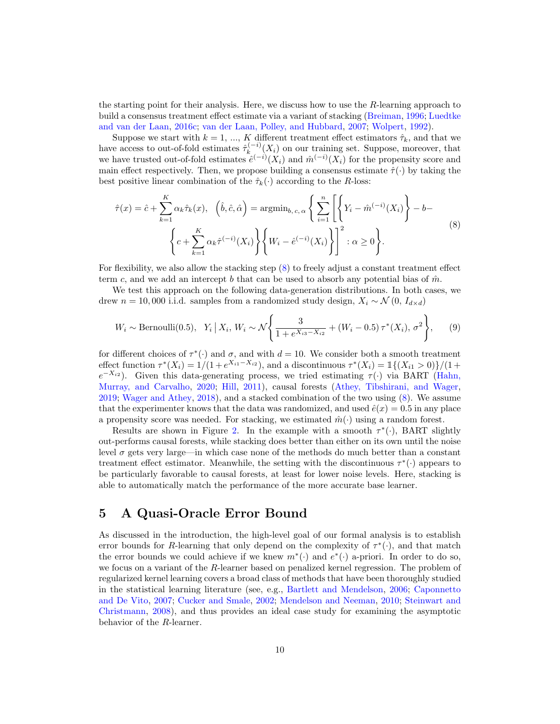the starting point for their analysis. Here, we discuss how to use the  $R$ -learning approach to build a consensus treatment effect estimate via a variant of stacking [\(Breiman,](#page-21-13) [1996;](#page-21-13) [Luedtke](#page-22-3) [and van der Laan,](#page-22-3) [2016c;](#page-22-3) [van der Laan, Polley, and Hubbard,](#page-23-7) [2007;](#page-23-7) [Wolpert,](#page-24-3) [1992\)](#page-24-3).

Suppose we start with  $k = 1, ..., K$  different treatment effect estimators  $\hat{\tau}_k$ , and that we have access to out-of-fold estimates  $\hat{\tau}_k^{(-i)}$  $\int_{k}^{(n-1)} (X_i)$  on our training set. Suppose, moreover, that we have trusted out-of-fold estimates  $\hat{e}^{(-i)}(X_i)$  and  $\hat{m}^{(-i)}(X_i)$  for the propensity score and main effect respectively. Then, we propose building a consensus estimate  $\hat{\tau}(\cdot)$  by taking the best positive linear combination of the  $\hat{\tau}_k(\cdot)$  according to the R-loss:

<span id="page-9-1"></span>
$$
\hat{\tau}(x) = \hat{c} + \sum_{k=1}^{K} \alpha_k \hat{\tau}_k(x), \quad \left(\hat{b}, \hat{c}, \hat{\alpha}\right) = \operatorname{argmin}_{b, c, \alpha} \left\{ \sum_{i=1}^{n} \left[ \left\{ Y_i - \hat{m}^{(-i)}(X_i) \right\} - b - \left\{ c + \sum_{k=1}^{K} \alpha_k \hat{\tau}^{(-i)}(X_i) \right\} \left\{ W_i - \hat{e}^{(-i)}(X_i) \right\} \right]^2 : \alpha \ge 0 \right\}.
$$
\n
$$
(8)
$$

For flexibility, we also allow the stacking step [\(8\)](#page-9-1) to freely adjust a constant treatment effect term c, and we add an intercept b that can be used to absorb any potential bias of  $\hat{m}$ .

We test this approach on the following data-generation distributions. In both cases, we drew  $n = 10,000$  i.i.d. samples from a randomized study design,  $X_i \sim \mathcal{N}(0, I_{d \times d})$ 

<span id="page-9-0"></span>
$$
W_i \sim \text{Bernoulli}(0.5), \ \ Y_i \mid X_i, \ W_i \sim \mathcal{N} \left\{ \frac{3}{1 + e^{X_{i3} - X_{i2}}} + (W_i - 0.5) \tau^*(X_i), \sigma^2 \right\}, \tag{9}
$$

for different choices of  $\tau^*(\cdot)$  and  $\sigma$ , and with  $d = 10$ . We consider both a smooth treatment effect function  $\tau^*(X_i) = 1/(1 + e^{X_{i1} - X_{i2}})$ , and a discontinuous  $\tau^*(X_i) = 1/(X_{i1} > 0)/(1 +$  $e^{-X_{i2}}$ ). Given this data-generating process, we tried estimating  $\tau(\cdot)$  via BART [\(Hahn,](#page-21-3) [Murray, and Carvalho,](#page-21-3) [2020;](#page-21-3) [Hill,](#page-21-4) [2011\)](#page-21-4), causal forests [\(Athey, Tibshirani, and Wager,](#page-21-7) [2019;](#page-21-7) [Wager and Athey,](#page-23-1) [2018\)](#page-23-1), and a stacked combination of the two using [\(8\)](#page-9-1). We assume that the experimenter knows that the data was randomized, and used  $\hat{e}(x) = 0.5$  in any place a propensity score was needed. For stacking, we estimated  $\hat{m}(\cdot)$  using a random forest.

Results are shown in Figure [2.](#page-8-0) In the example with a smooth  $\tau^*(\cdot)$ , BART slightly out-performs causal forests, while stacking does better than either on its own until the noise level  $\sigma$  gets very large—in which case none of the methods do much better than a constant treatment effect estimator. Meanwhile, the setting with the discontinuous  $\tau^*(\cdot)$  appears to be particularly favorable to causal forests, at least for lower noise levels. Here, stacking is able to automatically match the performance of the more accurate base learner.

### 5 A Quasi-Oracle Error Bound

As discussed in the introduction, the high-level goal of our formal analysis is to establish error bounds for R-learning that only depend on the complexity of  $\tau^*(\cdot)$ , and that match the error bounds we could achieve if we knew  $m^*(\cdot)$  and  $e^*(\cdot)$  a-priori. In order to do so, we focus on a variant of the  $R$ -learner based on penalized kernel regression. The problem of regularized kernel learning covers a broad class of methods that have been thoroughly studied in the statistical learning literature (see, e.g., [Bartlett and Mendelson,](#page-21-14) [2006;](#page-21-14) [Caponnetto](#page-21-15) [and De Vito,](#page-21-15) [2007;](#page-21-15) [Cucker and Smale,](#page-21-16) [2002;](#page-21-16) [Mendelson and Neeman,](#page-22-17) [2010;](#page-22-17) [Steinwart and](#page-23-15) [Christmann,](#page-23-15) [2008\)](#page-23-15), and thus provides an ideal case study for examining the asymptotic behavior of the R-learner.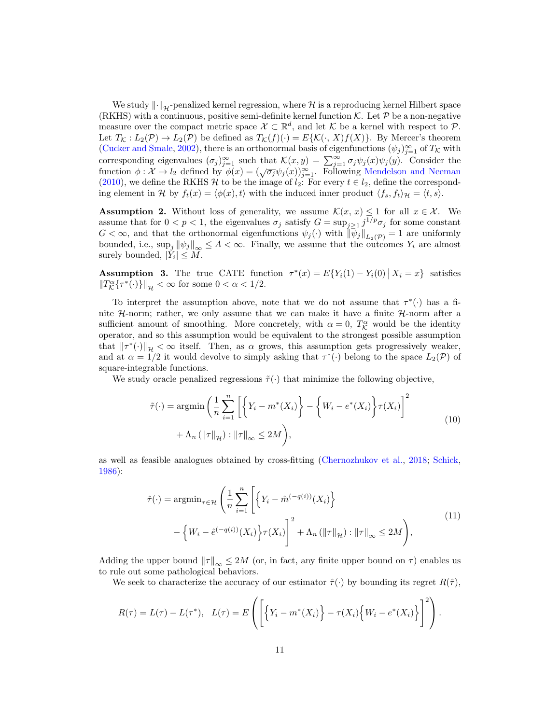We study  $\|\cdot\|_{\mathcal{H}}$ -penalized kernel regression, where H is a reproducing kernel Hilbert space (RKHS) with a continuous, positive semi-definite kernel function  $K$ . Let  $P$  be a non-negative measure over the compact metric space  $\mathcal{X} \subset \mathbb{R}^d$ , and let K be a kernel with respect to P. Let  $T_K : L_2(\mathcal{P}) \to L_2(\mathcal{P})$  be defined as  $T_K(f)(\cdot) = E\{\mathcal{K}(\cdot, X)f(X)\}.$  By Mercer's theorem [\(Cucker and Smale,](#page-21-16) [2002\)](#page-21-16), there is an orthonormal basis of eigenfunctions  $(\psi_j)_{j=1}^{\infty}$  of  $T_K$  with corresponding eigenvalues  $(\sigma_j)_{j=1}^{\infty}$  such that  $\mathcal{K}(x, y) = \sum_{j=1}^{\infty} \sigma_j \psi_j(x) \psi_j(y)$ . Consider the function  $\phi : \mathcal{X} \to l_2$  defined by  $\phi(x) = (\sqrt{\sigma_j} \psi_j(x))_{j=1}^{\infty}$ . Following [Mendelson and Neeman](#page-22-17) [\(2010\)](#page-22-17), we define the RKHS  $H$  to be the image of  $l_2$ : For every  $t \in l_2$ , define the corresponding element in H by  $f_t(x) = \langle \phi(x), t \rangle$  with the induced inner product  $\langle f_s, f_t \rangle_{\mathcal{H}} = \langle t, s \rangle$ .

<span id="page-10-1"></span>**Assumption 2.** Without loss of generality, we assume  $\mathcal{K}(x, x) \leq 1$  for all  $x \in \mathcal{X}$ . We assume that for  $0 < p < 1$ , the eigenvalues  $\sigma_j$  satisfy  $G = \sup_{j \geq 1} j^{1/p} \sigma_j$  for some constant  $G < \infty$ , and that the orthonormal eigenfunctions  $\psi_j(\cdot)$  with  $\|\psi_j\|_{L_2(\mathcal{P})} = 1$  are uniformly bounded, i.e.,  $\sup_j ||\psi_j||_{\infty} \leq A < \infty$ . Finally, we assume that the outcomes  $Y_i$  are almost surely bounded,  $|Y_i| \leq M$ .

<span id="page-10-2"></span>**Assumption 3.** The true CATE function  $\tau^*(x) = E\{Y_i(1) - Y_i(0) | X_i = x\}$  satisfies  $||T_{\mathcal{K}}^{\alpha} {\{\tau^*(\cdot)\}}||_{\mathcal{H}} < \infty$  for some  $0 < \alpha < 1/2$ .

To interpret the assumption above, note that we do not assume that  $\tau^*(\cdot)$  has a finite  $H$ -norm; rather, we only assume that we can make it have a finite  $H$ -norm after a sufficient amount of smoothing. More concretely, with  $\alpha = 0$ ,  $T_{\mathcal{K}}^{\alpha}$  would be the identity operator, and so this assumption would be equivalent to the strongest possible assumption that  $\|\tau^*(\cdot)\|_{\mathcal{H}} < \infty$  itself. Then, as  $\alpha$  grows, this assumption gets progressively weaker, and at  $\alpha = 1/2$  it would devolve to simply asking that  $\tau^*(\cdot)$  belong to the space  $L_2(\mathcal{P})$  of square-integrable functions.

<span id="page-10-0"></span>We study oracle penalized regressions  $\tilde{\tau}(\cdot)$  that minimize the following objective,

$$
\tilde{\tau}(\cdot) = \operatorname{argmin}\left(\frac{1}{n}\sum_{i=1}^{n} \left[ \left\{ Y_i - m^*(X_i) \right\} - \left\{ W_i - e^*(X_i) \right\} \tau(X_i) \right]^2 + \Lambda_n \left( \|\tau\|_{\mathcal{H}} \right) : \|\tau\|_{\infty} \le 2M \right),\tag{10}
$$

as well as feasible analogues obtained by cross-fitting [\(Chernozhukov et al.,](#page-21-6) [2018;](#page-21-6) [Schick,](#page-23-4) [1986\)](#page-23-4):

$$
\hat{\tau}(\cdot) = \operatorname{argmin}_{\tau \in \mathcal{H}} \left( \frac{1}{n} \sum_{i=1}^{n} \left[ \left\{ Y_i - \hat{m}^{(-q(i))}(X_i) \right\} \right] - \left\{ W_i - \hat{e}^{(-q(i))}(X_i) \right\} \tau(X_i) \right\}^2 + \Lambda_n \left( \|\tau\|_{\mathcal{H}} \right) : \|\tau\|_{\infty} \le 2M \right),
$$
\n(11)

<span id="page-10-3"></span>Adding the upper bound  $||\tau||_{\infty} \le 2M$  (or, in fact, any finite upper bound on  $\tau$ ) enables us to rule out some pathological behaviors.

We seek to characterize the accuracy of our estimator  $\hat{\tau}(\cdot)$  by bounding its regret  $R(\hat{\tau})$ ,

$$
R(\tau) = L(\tau) - L(\tau^*), \quad L(\tau) = E\left(\left[\left\{Y_i - m^*(X_i)\right\} - \tau(X_i)\left\{W_i - e^*(X_i)\right\}\right]^2\right).
$$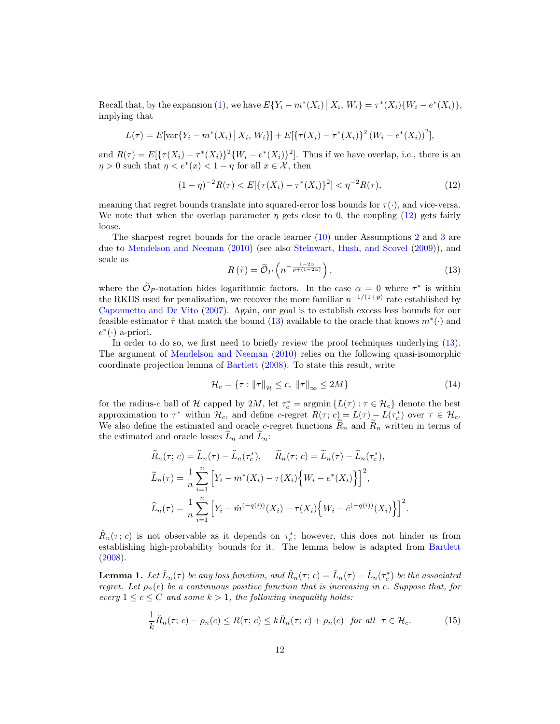Recall that, by the expansion [\(1\)](#page-1-0), we have  $E\{Y_i - m^*(X_i) | X_i, W_i\} = \tau^*(X_i)\{W_i - e^*(X_i)\},$ implying that

$$
L(\tau) = E[\text{var}\{Y_i - m^*(X_i) | X_i, W_i\}] + E[\{\tau(X_i) - \tau^*(X_i)\}^2 (W_i - e^*(X_i))^2],
$$

and  $R(\tau) = E\left[\{\tau(X_i) - \tau^*(X_i)\}^2 \{W_i - e^*(X_i)\}^2\right]$ . Thus if we have overlap, i.e., there is an  $\eta > 0$  such that  $\eta < e^*(x) < 1 - \eta$  for all  $x \in \mathcal{X}$ , then

<span id="page-11-0"></span>
$$
(1 - \eta)^{-2}R(\tau) < E[\{\tau(X_i) - \tau^*(X_i)\}^2] < \eta^{-2}R(\tau),\tag{12}
$$

meaning that regret bounds translate into squared-error loss bounds for  $\tau(\cdot)$ , and vice-versa. We note that when the overlap parameter  $\eta$  gets close to 0, the coupling [\(12\)](#page-11-0) gets fairly loose.

The sharpest regret bounds for the oracle learner [\(10\)](#page-10-0) under Assumptions [2](#page-10-1) and [3](#page-10-2) are due to [Mendelson and Neeman](#page-22-17) [\(2010\)](#page-22-17) (see also [Steinwart, Hush, and Scovel](#page-23-16) [\(2009\)](#page-23-16)), and scale as

<span id="page-11-1"></span>
$$
R(\tilde{\tau}) = \tilde{\mathcal{O}}_P\left(n^{-\frac{1-2\alpha}{p+(1-2\alpha)}}\right),\tag{13}
$$

where the  $\mathcal{O}_P$ -notation hides logarithmic factors. In the case  $\alpha = 0$  where  $\tau^*$  is within the RKHS used for penalization, we recover the more familiar  $n^{-1/(1+p)}$  rate established by [Caponnetto and De Vito](#page-21-15) [\(2007\)](#page-21-15). Again, our goal is to establish excess loss bounds for our feasible estimator  $\hat{\tau}$  that match the bound [\(13\)](#page-11-1) available to the oracle that knows  $m^*(\cdot)$  and  $e^*(\cdot)$  a-priori.

In order to do so, we first need to briefly review the proof techniques underlying [\(13\)](#page-11-1). The argument of [Mendelson and Neeman](#page-22-17) [\(2010\)](#page-22-17) relies on the following quasi-isomorphic coordinate projection lemma of [Bartlett](#page-21-17) [\(2008\)](#page-21-17). To state this result, write

<span id="page-11-4"></span>
$$
\mathcal{H}_c = \{ \tau : ||\tau||_{\mathcal{H}} \le c, ||\tau||_{\infty} \le 2M \}
$$
\n(14)

for the radius-c ball of H capped by 2M, let  $\tau_c^* = \operatorname{argmin} \{L(\tau) : \tau \in \mathcal{H}_c\}$  denote the best approximation to  $\tau^*$  within  $\mathcal{H}_c$ , and define c-regret  $R(\tau; c) = L(\tau) - L(\tau_c^*)$  over  $\tau \in \mathcal{H}_c$ . We also define the estimated and oracle c-regret functions  $\widehat{R}_n$  and  $\widehat{R}_n$  written in terms of the estimated and oracle losses  $L_n$  and  $L_n$ :

$$
\widehat{R}_n(\tau; c) = \widehat{L}_n(\tau) - \widehat{L}_n(\tau_c^*), \quad \widetilde{R}_n(\tau; c) = \widetilde{L}_n(\tau) - \widetilde{L}_n(\tau_c^*),
$$
\n
$$
\widetilde{L}_n(\tau) = \frac{1}{n} \sum_{i=1}^n \left[ Y_i - m^*(X_i) - \tau(X_i) \left\{ W_i - e^*(X_i) \right\} \right]^2,
$$
\n
$$
\widehat{L}_n(\tau) = \frac{1}{n} \sum_{i=1}^n \left[ Y_i - \widehat{m}^{(-q(i))}(X_i) - \tau(X_i) \left\{ W_i - \widehat{e}^{(-q(i))}(X_i) \right\} \right]^2.
$$

 $\hat{R}_n(\tau; c)$  is not observable as it depends on  $\tau_c^*$ ; however, this does not hinder us from establishing high-probability bounds for it. The lemma below is adapted from [Bartlett](#page-21-17) [\(2008\)](#page-21-17).

<span id="page-11-3"></span>**Lemma 1.** Let  $\check{L}_n(\tau)$  be any loss function, and  $\check{R}_n(\tau;c) = \check{L}_n(\tau) - \check{L}_n(\tau_c^*)$  be the associated regret. Let  $\rho_n(c)$  be a continuous positive function that is increasing in c. Suppose that, for every  $1 \leq c \leq C$  and some  $k > 1$ , the following inequality holds:

<span id="page-11-2"></span>
$$
\frac{1}{k}\check{R}_n(\tau;c) - \rho_n(c) \le R(\tau;c) \le k\check{R}_n(\tau;c) + \rho_n(c) \quad \text{for all} \quad \tau \in \mathcal{H}_c. \tag{15}
$$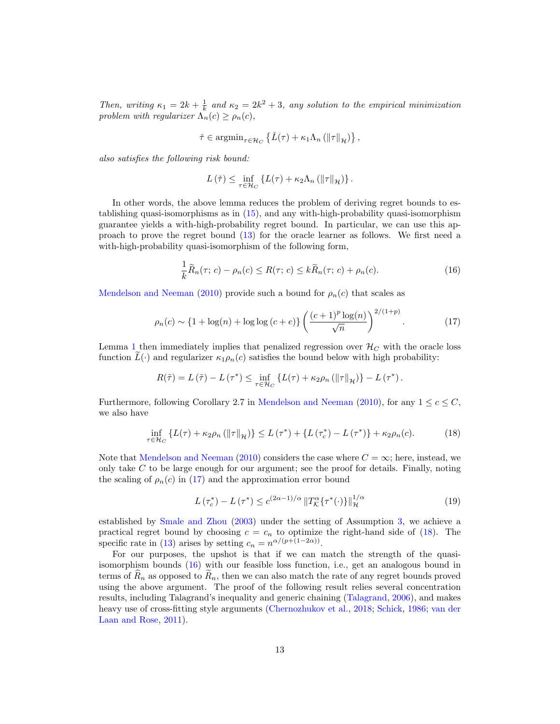Then, writing  $\kappa_1 = 2k + \frac{1}{k}$  and  $\kappa_2 = 2k^2 + 3$ , any solution to the empirical minimization problem with regularizer  $\Lambda_n(c) \geq \rho_n(c)$ ,

$$
\check{\tau} \in \operatorname{argmin}_{\tau \in \mathcal{H}_C} \left\{ \check{L}(\tau) + \kappa_1 \Lambda_n \left( \|\tau\|_{\mathcal{H}} \right) \right\},\
$$

also satisfies the following risk bound:

$$
L(\tilde{\tau}) \leq \inf_{\tau \in \mathcal{H}_C} \left\{ L(\tau) + \kappa_2 \Lambda_n \left( \|\tau\|_{\mathcal{H}} \right) \right\}.
$$

In other words, the above lemma reduces the problem of deriving regret bounds to establishing quasi-isomorphisms as in [\(15\)](#page-11-2), and any with-high-probability quasi-isomorphism guarantee yields a with-high-probability regret bound. In particular, we can use this approach to prove the regret bound [\(13\)](#page-11-1) for the oracle learner as follows. We first need a with-high-probability quasi-isomorphism of the following form,

<span id="page-12-2"></span>
$$
\frac{1}{k}\widetilde{R}_n(\tau; c) - \rho_n(c) \le R(\tau; c) \le k\widetilde{R}_n(\tau; c) + \rho_n(c). \tag{16}
$$

[Mendelson and Neeman](#page-22-17) [\(2010\)](#page-22-17) provide such a bound for  $\rho_n(c)$  that scales as

<span id="page-12-0"></span>
$$
\rho_n(c) \sim \{1 + \log(n) + \log\log\left(c + e\right)\} \left(\frac{(c+1)^p \log(n)}{\sqrt{n}}\right)^{2/(1+p)}.\tag{17}
$$

Lemma [1](#page-11-3) then immediately implies that penalized regression over  $\mathcal{H}_C$  with the oracle loss function  $\tilde{L}(\cdot)$  and regularizer  $\kappa_1 \rho_n(c)$  satisfies the bound below with high probability:

$$
R(\tilde{\tau}) = L(\tilde{\tau}) - L(\tau^*) \leq \inf_{\tau \in \mathcal{H}_C} \left\{ L(\tau) + \kappa_2 \rho_n \left( \|\tau\|_{\mathcal{H}} \right) \right\} - L(\tau^*).
$$

Furthermore, following Corollary 2.7 in [Mendelson and Neeman](#page-22-17) [\(2010\)](#page-22-17), for any  $1 \leq c \leq C$ , we also have

<span id="page-12-1"></span>
$$
\inf_{\tau \in \mathcal{H}_C} \left\{ L(\tau) + \kappa_2 \rho_n \left( \|\tau\|_{\mathcal{H}} \right) \right\} \le L(\tau^*) + \left\{ L(\tau_c^*) - L(\tau^*) \right\} + \kappa_2 \rho_n(c). \tag{18}
$$

Note that [Mendelson and Neeman](#page-22-17) [\(2010\)](#page-22-17) considers the case where  $C = \infty$ ; here, instead, we only take  $C$  to be large enough for our argument; see the proof for details. Finally, noting the scaling of  $\rho_n(c)$  in [\(17\)](#page-12-0) and the approximation error bound

<span id="page-12-3"></span>
$$
L\left(\tau_c^*\right) - L\left(\tau^*\right) \le c^{(2\alpha - 1)/\alpha} \|T_K^{\alpha}\left\{\tau^*(\cdot)\right\}\|_{\mathcal{H}}^{1/\alpha} \tag{19}
$$

established by [Smale and Zhou](#page-23-17) [\(2003\)](#page-23-17) under the setting of Assumption [3,](#page-10-2) we achieve a practical regret bound by choosing  $c = c_n$  to optimize the right-hand side of [\(18\)](#page-12-1). The specific rate in [\(13\)](#page-11-1) arises by setting  $c_n = n^{\alpha/(p+(1-2\alpha))}$ .

For our purposes, the upshot is that if we can match the strength of the quasiisomorphism bounds [\(16\)](#page-12-2) with our feasible loss function, i.e., get an analogous bound in terms of  $R_n$  as opposed to  $R_n$ , then we can also match the rate of any regret bounds proved using the above argument. The proof of the following result relies several concentration results, including Talagrand's inequality and generic chaining [\(Talagrand,](#page-23-18) [2006\)](#page-23-18), and makes heavy use of cross-fitting style arguments [\(Chernozhukov et al.,](#page-21-6) [2018;](#page-21-6) [Schick,](#page-23-4) [1986;](#page-23-4) [van der](#page-23-11) [Laan and Rose,](#page-23-11) [2011\)](#page-23-11).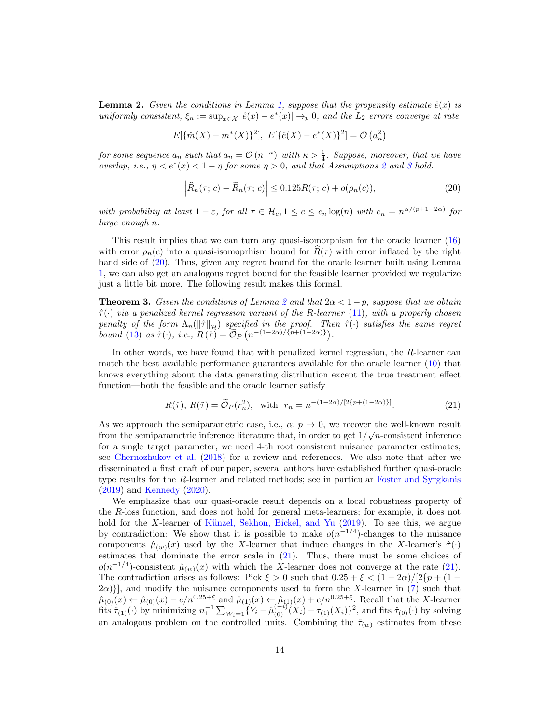<span id="page-13-1"></span>**Lemma 2.** Given the conditions in Lemma [1,](#page-11-3) suppose that the propensity estimate  $\hat{e}(x)$  is uniformly consistent,  $\xi_n := \sup_{x \in \mathcal{X}} |\hat{e}(x) - e^*(x)| \to_p 0$ , and the  $L_2$  errors converge at rate

$$
E[\{\hat{m}(X) - m^*(X)\}^2], \ E[\{\hat{e}(X) - e^*(X)\}^2] = \mathcal{O}(a_n^2)
$$

for some sequence  $a_n$  such that  $a_n = \mathcal{O}(n^{-\kappa})$  with  $\kappa > \frac{1}{4}$ . Suppose, moreover, that we have overlap, i.e.,  $\eta < e^*(x) < 1 - \eta$  for some  $\eta > 0$ , and that Assumptions [2](#page-10-1) and [3](#page-10-2) hold.

<span id="page-13-0"></span>
$$
\left| \widehat{R}_n(\tau; c) - \widetilde{R}_n(\tau; c) \right| \le 0.125 R(\tau; c) + o(\rho_n(c)), \tag{20}
$$

with probability at least  $1-\varepsilon$ , for all  $\tau \in \mathcal{H}_c$ ,  $1 \leq c \leq c_n \log(n)$  with  $c_n = n^{\alpha/(p+1-2\alpha)}$  for large enough n.

This result implies that we can turn any quasi-isomorphism for the oracle learner [\(16\)](#page-12-2) with error  $\rho_n(c)$  into a quasi-isomoprhism bound for  $R(\tau)$  with error inflated by the right hand side of  $(20)$ . Thus, given any regret bound for the oracle learner built using Lemma [1,](#page-11-3) we can also get an analogous regret bound for the feasible learner provided we regularize just a little bit more. The following result makes this formal.

<span id="page-13-3"></span>**Theorem 3.** Given the conditions of Lemma [2](#page-13-1) and that  $2\alpha < 1-p$ , suppose that we obtain  $\hat{\tau}(\cdot)$  via a penalized kernel regression variant of the R-learner [\(11\)](#page-10-3), with a properly chosen penalty of the form  $\Lambda_n(\|\hat{\tau}\|_{\mathcal{H}})$  specified in the proof. Then  $\hat{\tau}(\cdot)$  satisfies the same regret bound [\(13\)](#page-11-1) as  $\tilde{\tau}(\cdot)$ , i.e.,  $R(\tilde{\tau}) = \tilde{\mathcal{O}}_P(n^{-(1-2\alpha)/\{p+(1-2\alpha)\}})$ .

In other words, we have found that with penalized kernel regression, the R-learner can match the best available performance guarantees available for the oracle learner [\(10\)](#page-10-0) that knows everything about the data generating distribution except the true treatment effect function—both the feasible and the oracle learner satisfy

<span id="page-13-2"></span>
$$
R(\hat{\tau}), R(\tilde{\tau}) = \tilde{O}_P(r_n^2), \text{ with } r_n = n^{-(1-2\alpha)/[2\{p+(1-2\alpha)\}]}. \tag{21}
$$

As we approach the semiparametric case, i.e.,  $\alpha$ ,  $p \to 0$ , we recover the well-known result from the semiparametric inference literature that, in order to get  $1/\sqrt{n}$ -consistent inference for a single target parameter, we need 4-th root consistent nuisance parameter estimates; see [Chernozhukov et al.](#page-21-6) [\(2018\)](#page-21-6) for a review and references. We also note that after we disseminated a first draft of our paper, several authors have established further quasi-oracle type results for the R-learner and related methods; see in particular [Foster and Syrgkanis](#page-21-18) [\(2019\)](#page-21-18) and [Kennedy](#page-22-18) [\(2020\)](#page-22-18).

We emphasize that our quasi-oracle result depends on a local robustness property of the R-loss function, and does not hold for general meta-learners; for example, it does not hold for the X-learner of Künzel, Sekhon, Bickel, and Yu  $(2019)$ . To see this, we argue by contradiction: We show that it is possible to make  $o(n^{-1/4})$ -changes to the nuisance components  $\hat{\mu}_{(w)}(x)$  used by the X-learner that induce changes in the X-learner's  $\hat{\tau}(\cdot)$ estimates that dominate the error scale in [\(21\)](#page-13-2). Thus, there must be some choices of  $o(n^{-1/4})$ -consistent  $\hat{\mu}_{(w)}(x)$  with which the X-learner does not converge at the rate [\(21\)](#page-13-2). The contradiction arises as follows: Pick  $\xi > 0$  such that  $0.25 + \xi < (1 - 2\alpha)/[2\{p + (1 (2\alpha)$ }, and modify the nuisance components used to form the X-learner in [\(7\)](#page-5-0) such that  $\hat{\mu}_{(0)}(x) \leftarrow \hat{\mu}_{(0)}(x) - c/n^{0.25+\xi}$  and  $\hat{\mu}_{(1)}(x) \leftarrow \hat{\mu}_{(1)}(x) + c/n^{0.25+\xi}$ . Recall that the X-learner fits  $\hat{\tau}_{(1)}(\cdot)$  by minimizing  $n_1^{-1} \sum_{W_i=1} \{Y_i - \hat{\mu}_{(0)}^{(-i)}(X_i) - \tau_{(1)}(X_i)\}^2$ , and fits  $\hat{\tau}_{(0)}(\cdot)$  by solving an analogous problem on the controlled units. Combining the  $\hat{\tau}_{(w)}$  estimates from these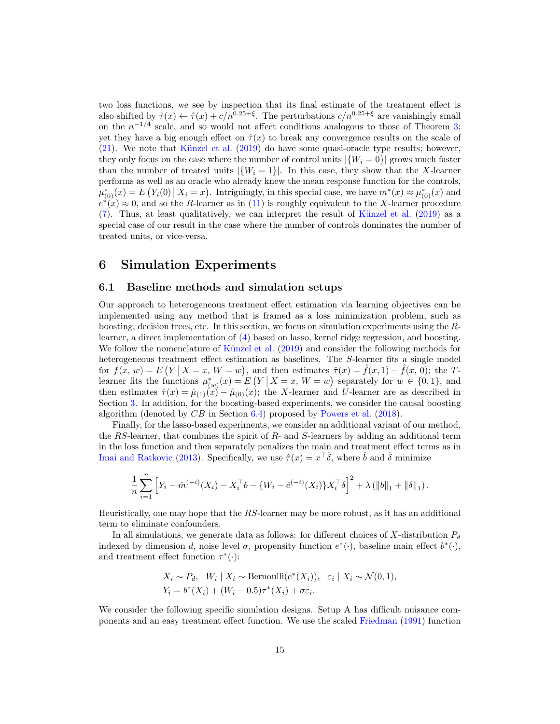two loss functions, we see by inspection that its final estimate of the treatment effect is also shifted by  $\hat{\tau}(x) \leftarrow \hat{\tau}(x) + c/n^{0.25+\xi}$ . The perturbations  $c/n^{0.25+\xi}$  are vanishingly small on the  $n^{-1/4}$  scale, and so would not affect conditions analogous to those of Theorem [3;](#page-13-3) yet they have a big enough effect on  $\hat{\tau}(x)$  to break any convergence results on the scale of  $(21)$ . We note that Künzel et al.  $(2019)$  do have some quasi-oracle type results; however, they only focus on the case where the number of control units  $|\{W_i = 0\}|$  grows much faster than the number of treated units  $|\{W_i = 1\}|$ . In this case, they show that the X-learner performs as well as an oracle who already knew the mean response function for the controls,  $\mu_{(0)}^*(x) = E(Y_i(0) | X_i = x)$ . Intriguingly, in this special case, we have  $m^*(x) \approx \mu_{(0)}^*(x)$  and  $e^{\lambda}(x) \approx 0$ , and so the R-learner as in [\(11\)](#page-10-3) is roughly equivalent to the X-learner procedure  $(7)$ . Thus, at least qualitatively, we can interpret the result of Künzel et al.  $(2019)$  as a special case of our result in the case where the number of controls dominates the number of treated units, or vice-versa.

### <span id="page-14-0"></span>6 Simulation Experiments

#### 6.1 Baseline methods and simulation setups

Our approach to heterogeneous treatment effect estimation via learning objectives can be implemented using any method that is framed as a loss minimization problem, such as boosting, decision trees, etc. In this section, we focus on simulation experiments using the Rlearner, a direct implementation of [\(4\)](#page-2-2) based on lasso, kernel ridge regression, and boosting. We follow the nomenclature of Künzel et al. [\(2019\)](#page-22-2) and consider the following methods for heterogeneous treatment effect estimation as baselines. The S-learner fits a single model for  $f(x, w) = E(Y | X = x, W = w)$ , and then estimates  $\hat{\tau}(x) = \hat{f}(x, 1) - \hat{f}(x, 0)$ ; the Tlearner fits the functions  $\mu_{(w)}^*(x) = E(Y | X = x, W = w)$  separately for  $w \in \{0,1\}$ , and then estimates  $\hat{\tau}(x) = \hat{\mu}_{(1)}(x) - \hat{\mu}_{(0)}(x)$ ; the X-learner and U-learner are as described in Section [3.](#page-3-0) In addition, for the boosting-based experiments, we consider the causal boosting algorithm (denoted by  $CB$  in Section [6.4\)](#page-16-0) proposed by [Powers et al.](#page-22-1) [\(2018\)](#page-22-1).

Finally, for the lasso-based experiments, we consider an additional variant of our method, the RS-learner, that combines the spirit of  $R$ - and  $S$ -learners by adding an additional term in the loss function and then separately penalizes the main and treatment effect terms as in [Imai and Ratkovic](#page-21-2) [\(2013\)](#page-21-2). Specifically, we use  $\hat{\tau}(x) = x^{\top}\hat{\delta}$ , where  $\hat{b}$  and  $\hat{\delta}$  minimize

$$
\frac{1}{n}\sum_{i=1}^n \left[ Y_i - \hat{m}^{(-i)}(X_i) - X_i^{\top}b - \{W_i - \hat{e}^{(-i)}(X_i)\}X_i^{\top}\delta \right]^2 + \lambda (\|b\|_1 + \|\delta\|_1).
$$

Heuristically, one may hope that the RS-learner may be more robust, as it has an additional term to eliminate confounders.

In all simulations, we generate data as follows: for different choices of X-distribution  $P_d$ indexed by dimension d, noise level  $\sigma$ , propensity function  $e^*(\cdot)$ , baseline main effect  $b^*(\cdot)$ , and treatment effect function  $\tau^*(\cdot)$ :

$$
X_i \sim P_d, \quad W_i \mid X_i \sim \text{Bernoulli}(e^*(X_i)), \quad \varepsilon_i \mid X_i \sim \mathcal{N}(0, 1),
$$
  

$$
Y_i = b^*(X_i) + (W_i - 0.5)\tau^*(X_i) + \sigma \varepsilon_i.
$$

We consider the following specific simulation designs. Setup A has difficult nuisance components and an easy treatment effect function. We use the scaled [Friedman](#page-21-19) [\(1991\)](#page-21-19) function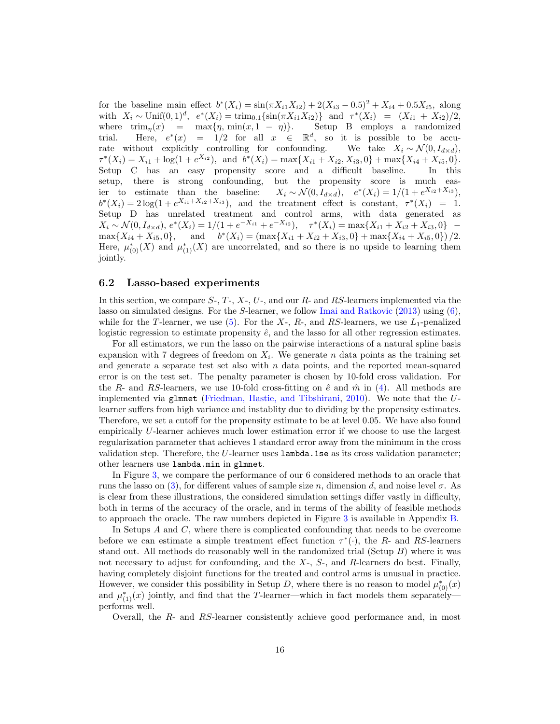for the baseline main effect  $b^*(X_i) = \sin(\pi X_{i1}X_{i2}) + 2(X_{i3} - 0.5)^2 + X_{i4} + 0.5X_{i5}$ , along with  $X_i \sim \text{Unif}(0,1)^d$ ,  $e^*(X_i) = \text{trim}_{0.1}\{\sin(\pi X_{i1}X_{i2})\}$  and  $\tau^*(X_i) = (X_{i1} + X_{i2})/2$ , where  $\text{trim}_n(x) = \max\{\eta, \min(x, 1 - \eta)\}.$  Setup B employs a randomized trial. Here,  $e^*(x) = 1/2$  for all  $x \in \mathbb{R}^d$ , so it is possible to be accurate without explicitly controlling for confounding. We take  $X_i \sim \mathcal{N}(0, I_{d \times d})$ ,  $\tau^*(X_i) = X_{i1} + \log(1 + e^{X_{i2}})$ , and  $b^*(X_i) = \max\{X_{i1} + X_{i2}, X_{i3}, 0\} + \max\{X_{i4} + X_{i5}, 0\}.$ Setup C has an easy propensity score and a difficult baseline. In this setup, there is strong confounding, but the propensity score is much easier to estimate than the baseline: \* $(X_i) = 1/(1 + e^{X_{i2} + X_{i3}}),$  $b^*(X_i) = 2\log(1 + e^{X_{i1} + X_{i2} + X_{i3}})$ , and the treatment effect is constant,  $\tau^*(X_i) = 1$ . Setup D has unrelated treatment and control arms, with data generated as  $X_i \sim \mathcal{N}(0, I_{d \times d}), e^*(X_i) = 1/(1 + e^{-X_{i1}} + e^{-X_{i2}}), \quad \tau^*(X_i) = \max\{X_{i1} + X_{i2} + X_{i3}, 0\}$  $\max\{X_{i4} + X_{i5}, 0\},\$  $*(X_i) = (\max\{X_{i1} + X_{i2} + X_{i3}, 0\} + \max\{X_{i4} + X_{i5}, 0\})/2.$ Here,  $\mu_{(0)}^*(X)$  and  $\mu_{(1)}^*(X)$  are uncorrelated, and so there is no upside to learning them jointly.

#### <span id="page-15-0"></span>6.2 Lasso-based experiments

In this section, we compare  $S_7$ ,  $T_7$ ,  $X_7$ ,  $U_7$ , and our  $R_7$ - and  $RS$ -learners implemented via the lasso on simulated designs. For the S-learner, we follow [Imai and Ratkovic](#page-21-2)  $(2013)$  using  $(6)$ , while for the T-learner, we use  $(5)$ . For the X-, R-, and RS-learners, we use  $L_1$ -penalized logistic regression to estimate propensity  $\hat{e}$ , and the lasso for all other regression estimates.

For all estimators, we run the lasso on the pairwise interactions of a natural spline basis expansion with 7 degrees of freedom on  $X_i$ . We generate n data points as the training set and generate a separate test set also with  $n$  data points, and the reported mean-squared error is on the test set. The penalty parameter is chosen by 10-fold cross validation. For the R- and RS-learners, we use 10-fold cross-fitting on  $\hat{e}$  and  $\hat{m}$  in [\(4\)](#page-2-2). All methods are implemented via glmnet [\(Friedman, Hastie, and Tibshirani,](#page-21-8) [2010\)](#page-21-8). We note that the Ulearner suffers from high variance and instablity due to dividing by the propensity estimates. Therefore, we set a cutoff for the propensity estimate to be at level 0.05. We have also found empirically U-learner achieves much lower estimation error if we choose to use the largest regularization parameter that achieves 1 standard error away from the minimum in the cross validation step. Therefore, the  $U$ -learner uses lambda.1se as its cross validation parameter; other learners use lambda.min in glmnet.

In Figure [3,](#page-17-0) we compare the performance of our 6 considered methods to an oracle that runs the lasso on [\(3\)](#page-2-0), for different values of sample size n, dimension d, and noise level  $\sigma$ . As is clear from these illustrations, the considered simulation settings differ vastly in difficulty, both in terms of the accuracy of the oracle, and in terms of the ability of feasible methods to approach the oracle. The raw numbers depicted in Figure [3](#page-17-0) is available in Appendix [B.](#page-43-0)

In Setups A and C, where there is complicated confounding that needs to be overcome before we can estimate a simple treatment effect function  $\tau^*(\cdot)$ , the R- and RS-learners stand out. All methods do reasonably well in the randomized trial (Setup  $B$ ) where it was not necessary to adjust for confounding, and the  $X<sub>z</sub>$ ,  $S<sub>z</sub>$ , and  $R$ -learners do best. Finally, having completely disjoint functions for the treated and control arms is unusual in practice. However, we consider this possibility in Setup D, where there is no reason to model  $\mu_{(0)}^*(x)$ and  $\mu_{(1)}^*(x)$  jointly, and find that the T-learner—which in fact models them separately performs well.

Overall, the R- and RS-learner consistently achieve good performance and, in most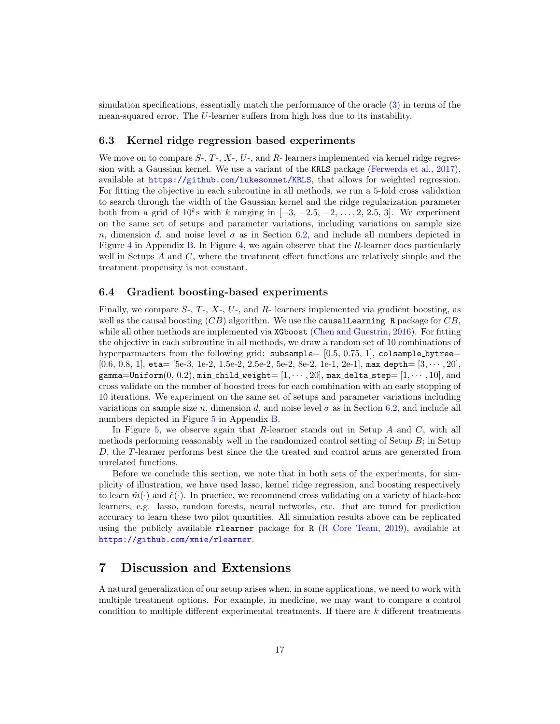simulation specifications, essentially match the performance of the oracle [\(3\)](#page-2-0) in terms of the mean-squared error. The U-learner suffers from high loss due to its instability.

#### 6.3 Kernel ridge regression based experiments

We move on to compare  $S_1, T_2, X_1, U_2$ , and R- learners implemented via kernel ridge regression with a Gaussian kernel. We use a variant of the KRLS package [\(Ferwerda et al.,](#page-21-20) [2017\)](#page-21-20), available at <https://github.com/lukesonnet/KRLS>, that allows for weighted regression. For fitting the objective in each subroutine in all methods, we run a 5-fold cross validation to search through the width of the Gaussian kernel and the ridge regularization parameter both from a grid of  $10^k$ s with k ranging in  $[-3, -2.5, -2, \ldots, 2, 2.5, 3]$ . We experiment on the same set of setups and parameter variations, including variations on sample size n, dimension d, and noise level  $\sigma$  as in Section [6.2,](#page-15-0) and include all numbers depicted in Figure [4](#page-18-0) in Appendix [B.](#page-43-0) In Figure [4,](#page-18-0) we again observe that the R-learner does particularly well in Setups  $A$  and  $C$ , where the treatment effect functions are relatively simple and the treatment propensity is not constant.

#### <span id="page-16-0"></span>6.4 Gradient boosting-based experiments

Finally, we compare  $S_7$ ,  $T_7$ ,  $X_7$ ,  $U_7$ , and  $R_7$  learners implemented via gradient boosting, as well as the causal boosting  $(CB)$  algorithm. We use the causal Learning R package for  $CB$ , while all other methods are implemented via XGboost [\(Chen and Guestrin,](#page-21-9) [2016\)](#page-21-9). For fitting the objective in each subroutine in all methods, we draw a random set of 10 combinations of hyperparmaeters from the following grid: subsample= [0.5, 0.75, 1], colsample bytree=  $[0.6, 0.8, 1]$ , eta=  $[5e-3, 1e-2, 1.5e-2, 2.5e-2, 5e-2, 8e-2, 1e-1, 2e-1]$ , max depth=  $[3, \cdots, 20]$ , gamma=Uniform $(0, 0.2)$ , min\_child\_weight=  $[1, \cdots, 20]$ , max\_delta\_step=  $[1, \cdots, 10]$ , and cross validate on the number of boosted trees for each combination with an early stopping of 10 iterations. We experiment on the same set of setups and parameter variations including variations on sample size n, dimension d, and noise level  $\sigma$  as in Section [6.2,](#page-15-0) and include all numbers depicted in Figure [5](#page-19-0) in Appendix [B.](#page-43-0)

In Figure [5,](#page-19-0) we observe again that R-learner stands out in Setup  $A$  and  $C$ , with all methods performing reasonably well in the randomized control setting of Setup  $B$ ; in Setup D, the T-learner performs best since the the treated and control arms are generated from unrelated functions.

Before we conclude this section, we note that in both sets of the experiments, for simplicity of illustration, we have used lasso, kernel ridge regression, and boosting respectively to learn  $\hat{m}(\cdot)$  and  $\hat{e}(\cdot)$ . In practice, we recommend cross validating on a variety of black-box learners, e.g. lasso, random forests, neural networks, etc. that are tuned for prediction accuracy to learn these two pilot quantities. All simulation results above can be replicated using the publicly available rlearner package for R [\(R Core Team,](#page-22-19) [2019\)](#page-22-19), available at <https://github.com/xnie/rlearner>.

### 7 Discussion and Extensions

A natural generalization of our setup arises when, in some applications, we need to work with multiple treatment options. For example, in medicine, we may want to compare a control condition to multiple different experimental treatments. If there are  $k$  different treatments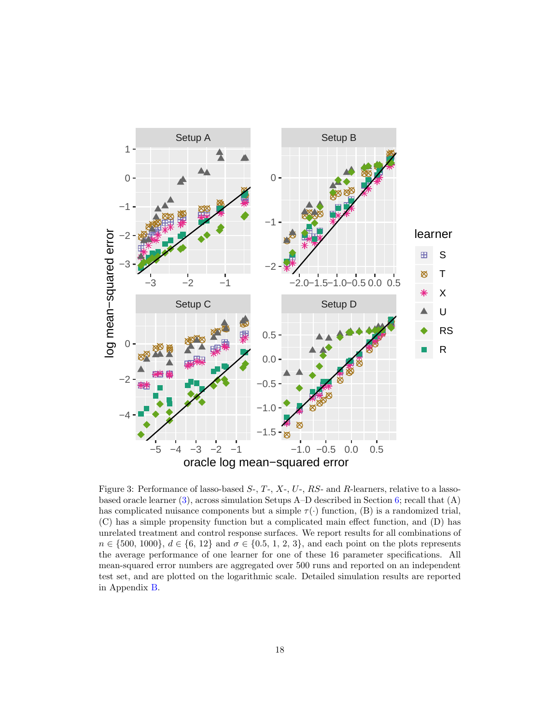<span id="page-17-0"></span>

Figure 3: Performance of lasso-based  $S_7$ ,  $T_7$ ,  $X_7$ ,  $U_7$ ,  $RS_7$  and  $R_7$ -learners, relative to a lassobased oracle learner [\(3\)](#page-2-0), across simulation Setups A–D described in Section [6;](#page-14-0) recall that (A) has complicated nuisance components but a simple  $\tau(\cdot)$  function, (B) is a randomized trial, (C) has a simple propensity function but a complicated main effect function, and (D) has unrelated treatment and control response surfaces. We report results for all combinations of  $n \in \{500, 1000\}, d \in \{6, 12\}$  and  $\sigma \in \{0.5, 1, 2, 3\},$  and each point on the plots represents the average performance of one learner for one of these 16 parameter specifications. All mean-squared error numbers are aggregated over 500 runs and reported on an independent test set, and are plotted on the logarithmic scale. Detailed simulation results are reported in Appendix [B.](#page-43-0)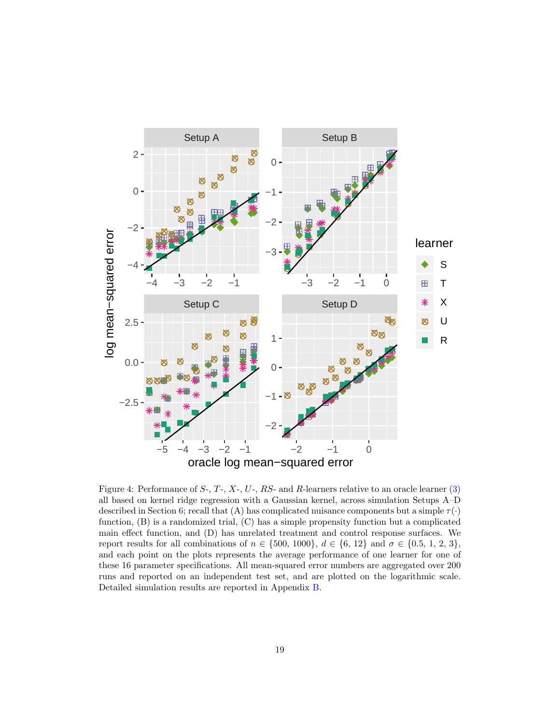<span id="page-18-0"></span>

Figure 4: Performance of  $S_7$ ,  $T_7$ ,  $X_7$ ,  $U_7$ ,  $RS_7$  and  $R_7$ -learners relative to an oracle learner [\(3\)](#page-2-0) all based on kernel ridge regression with a Gaussian kernel, across simulation Setups A–D described in Section [6;](#page-14-0) recall that (A) has complicated nuisance components but a simple  $\tau(\cdot)$ function, (B) is a randomized trial, (C) has a simple propensity function but a complicated main effect function, and (D) has unrelated treatment and control response surfaces. We report results for all combinations of  $n \in \{500, 1000\}$ ,  $d \in \{6, 12\}$  and  $\sigma \in \{0.5, 1, 2, 3\}$ , and each point on the plots represents the average performance of one learner for one of these 16 parameter specifications. All mean-squared error numbers are aggregated over 200 runs and reported on an independent test set, and are plotted on the logarithmic scale. Detailed simulation results are reported in Appendix [B.](#page-43-0)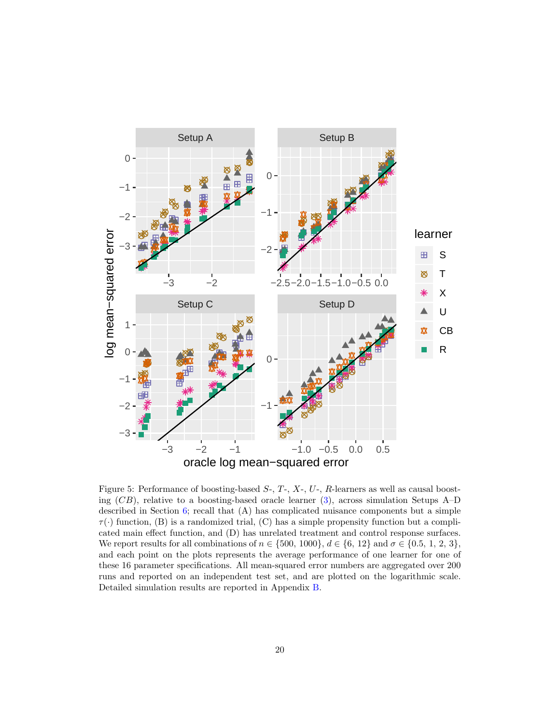<span id="page-19-0"></span>

Figure 5: Performance of boosting-based  $S_7$ ,  $T_7$ ,  $X_7$ ,  $U_7$ ,  $R$ -learners as well as causal boosting  $(CB)$ , relative to a boosting-based oracle learner [\(3\)](#page-2-0), across simulation Setups A–D described in Section [6;](#page-14-0) recall that (A) has complicated nuisance components but a simple  $\tau(\cdot)$  function, (B) is a randomized trial, (C) has a simple propensity function but a complicated main effect function, and (D) has unrelated treatment and control response surfaces. We report results for all combinations of  $n \in \{500, 1000\}$ ,  $d \in \{6, 12\}$  and  $\sigma \in \{0.5, 1, 2, 3\}$ , and each point on the plots represents the average performance of one learner for one of these 16 parameter specifications. All mean-squared error numbers are aggregated over 200 runs and reported on an independent test set, and are plotted on the logarithmic scale. Detailed simulation results are reported in Appendix [B.](#page-43-0)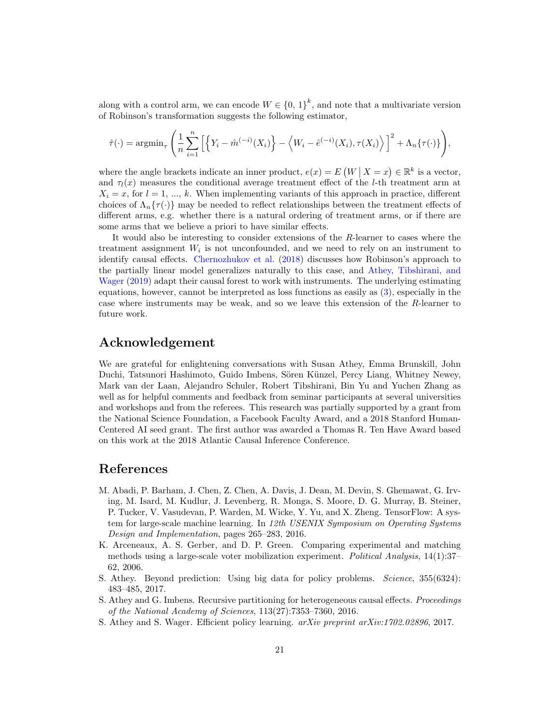along with a control arm, we can encode  $W \in \{0, 1\}^k$ , and note that a multivariate version of Robinson's transformation suggests the following estimator,

$$
\hat{\tau}(\cdot) = \operatorname{argmin}_{\tau} \left( \frac{1}{n} \sum_{i=1}^{n} \left[ \left\{ Y_i - \hat{m}^{(-i)}(X_i) \right\} - \left\langle W_i - \hat{e}^{(-i)}(X_i), \tau(X_i) \right\rangle \right]^2 + \Lambda_n \{\tau(\cdot)\} \right),
$$

where the angle brackets indicate an inner product,  $e(x) = E(W | X = x) \in \mathbb{R}^k$  is a vector, and  $\tau_l(x)$  measures the conditional average treatment effect of the *l*-th treatment arm at  $X_i = x$ , for  $i = 1, ..., k$ . When implementing variants of this approach in practice, different choices of  $\Lambda_n\{\tau(\cdot)\}\$  may be needed to reflect relationships between the treatment effects of different arms, e.g. whether there is a natural ordering of treatment arms, or if there are some arms that we believe a priori to have similar effects.

It would also be interesting to consider extensions of the R-learner to cases where the treatment assignment  $W_i$  is not unconfounded, and we need to rely on an instrument to identify causal effects. [Chernozhukov et al.](#page-21-6) [\(2018\)](#page-21-6) discusses how Robinson's approach to the partially linear model generalizes naturally to this case, and [Athey, Tibshirani, and](#page-21-7) [Wager](#page-21-7) [\(2019\)](#page-21-7) adapt their causal forest to work with instruments. The underlying estimating equations, however, cannot be interpreted as loss functions as easily as [\(3\)](#page-2-0), especially in the case where instruments may be weak, and so we leave this extension of the R-learner to future work.

### Acknowledgement

We are grateful for enlightening conversations with Susan Athey, Emma Brunskill, John Duchi, Tatsunori Hashimoto, Guido Imbens, Sören Künzel, Percy Liang, Whitney Newey, Mark van der Laan, Alejandro Schuler, Robert Tibshirani, Bin Yu and Yuchen Zhang as well as for helpful comments and feedback from seminar participants at several universities and workshops and from the referees. This research was partially supported by a grant from the National Science Foundation, a Facebook Faculty Award, and a 2018 Stanford Human-Centered AI seed grant. The first author was awarded a Thomas R. Ten Have Award based on this work at the 2018 Atlantic Causal Inference Conference.

### References

- <span id="page-20-3"></span>M. Abadi, P. Barham, J. Chen, Z. Chen, A. Davis, J. Dean, M. Devin, S. Ghemawat, G. Irving, M. Isard, M. Kudlur, J. Levenberg, R. Monga, S. Moore, D. G. Murray, B. Steiner, P. Tucker, V. Vasudevan, P. Warden, M. Wicke, Y. Yu, and X. Zheng. TensorFlow: A system for large-scale machine learning. In 12th USENIX Symposium on Operating Systems Design and Implementation, pages 265–283, 2016.
- <span id="page-20-4"></span>K. Arceneaux, A. S. Gerber, and D. P. Green. Comparing experimental and matching methods using a large-scale voter mobilization experiment. Political Analysis, 14(1):37– 62, 2006.
- <span id="page-20-0"></span>S. Athey. Beyond prediction: Using big data for policy problems. Science, 355(6324): 483–485, 2017.
- <span id="page-20-2"></span>S. Athey and G. Imbens. Recursive partitioning for heterogeneous causal effects. Proceedings of the National Academy of Sciences, 113(27):7353–7360, 2016.
- <span id="page-20-1"></span>S. Athey and S. Wager. Efficient policy learning. arXiv preprint arXiv:1702.02896, 2017.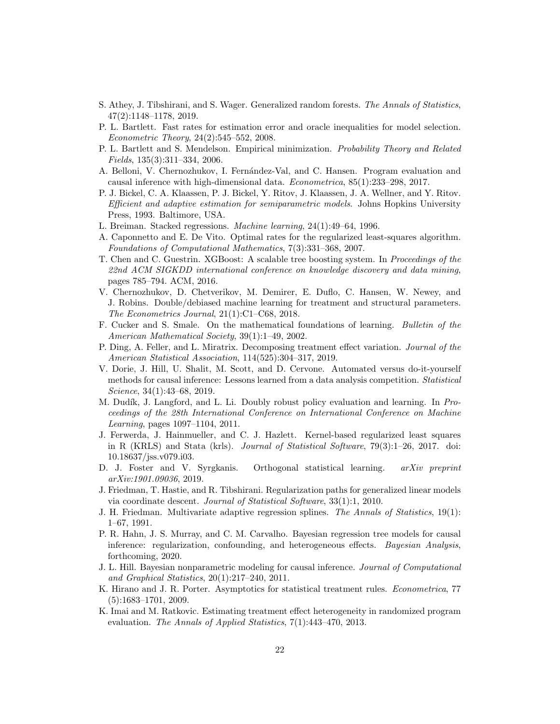- <span id="page-21-7"></span>S. Athey, J. Tibshirani, and S. Wager. Generalized random forests. The Annals of Statistics, 47(2):1148–1178, 2019.
- <span id="page-21-17"></span>P. L. Bartlett. Fast rates for estimation error and oracle inequalities for model selection. Econometric Theory, 24(2):545–552, 2008.
- <span id="page-21-14"></span>P. L. Bartlett and S. Mendelson. Empirical minimization. Probability Theory and Related Fields, 135(3):311–334, 2006.
- <span id="page-21-10"></span>A. Belloni, V. Chernozhukov, I. Fernández-Val, and C. Hansen. Program evaluation and causal inference with high-dimensional data. Econometrica, 85(1):233–298, 2017.
- <span id="page-21-11"></span>P. J. Bickel, C. A. Klaassen, P. J. Bickel, Y. Ritov, J. Klaassen, J. A. Wellner, and Y. Ritov. Efficient and adaptive estimation for semiparametric models. Johns Hopkins University Press, 1993. Baltimore, USA.
- <span id="page-21-13"></span>L. Breiman. Stacked regressions. Machine learning, 24(1):49–64, 1996.
- <span id="page-21-15"></span>A. Caponnetto and E. De Vito. Optimal rates for the regularized least-squares algorithm. Foundations of Computational Mathematics, 7(3):331–368, 2007.
- <span id="page-21-9"></span>T. Chen and C. Guestrin. XGBoost: A scalable tree boosting system. In Proceedings of the 22nd ACM SIGKDD international conference on knowledge discovery and data mining, pages 785–794. ACM, 2016.
- <span id="page-21-6"></span>V. Chernozhukov, D. Chetverikov, M. Demirer, E. Duflo, C. Hansen, W. Newey, and J. Robins. Double/debiased machine learning for treatment and structural parameters. The Econometrics Journal, 21(1):C1–C68, 2018.
- <span id="page-21-16"></span>F. Cucker and S. Smale. On the mathematical foundations of learning. Bulletin of the American Mathematical Society, 39(1):1–49, 2002.
- <span id="page-21-12"></span>P. Ding, A. Feller, and L. Miratrix. Decomposing treatment effect variation. Journal of the American Statistical Association, 114(525):304–317, 2019.
- <span id="page-21-5"></span>V. Dorie, J. Hill, U. Shalit, M. Scott, and D. Cervone. Automated versus do-it-yourself methods for causal inference: Lessons learned from a data analysis competition. *Statistical* Science, 34(1):43–68, 2019.
- <span id="page-21-0"></span>M. Dudík, J. Langford, and L. Li. Doubly robust policy evaluation and learning. In Proceedings of the 28th International Conference on International Conference on Machine Learning, pages 1097–1104, 2011.
- <span id="page-21-20"></span>J. Ferwerda, J. Hainmueller, and C. J. Hazlett. Kernel-based regularized least squares in R (KRLS) and Stata (krls). Journal of Statistical Software, 79(3):1–26, 2017. doi: 10.18637/jss.v079.i03.
- <span id="page-21-18"></span>D. J. Foster and V. Syrgkanis. Orthogonal statistical learning. arXiv preprint arXiv:1901.09036, 2019.
- <span id="page-21-8"></span>J. Friedman, T. Hastie, and R. Tibshirani. Regularization paths for generalized linear models via coordinate descent. Journal of Statistical Software, 33(1):1, 2010.
- <span id="page-21-19"></span>J. H. Friedman. Multivariate adaptive regression splines. The Annals of Statistics, 19(1): 1–67, 1991.
- <span id="page-21-3"></span>P. R. Hahn, J. S. Murray, and C. M. Carvalho. Bayesian regression tree models for causal inference: regularization, confounding, and heterogeneous effects. Bayesian Analysis, forthcoming, 2020.
- <span id="page-21-4"></span>J. L. Hill. Bayesian nonparametric modeling for causal inference. Journal of Computational and Graphical Statistics, 20(1):217–240, 2011.
- <span id="page-21-1"></span>K. Hirano and J. R. Porter. Asymptotics for statistical treatment rules. Econometrica, 77 (5):1683–1701, 2009.
- <span id="page-21-2"></span>K. Imai and M. Ratkovic. Estimating treatment effect heterogeneity in randomized program evaluation. The Annals of Applied Statistics, 7(1):443–470, 2013.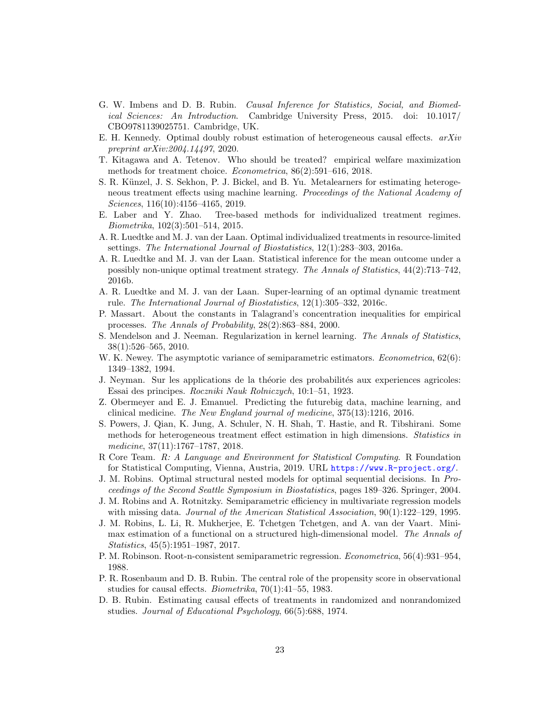- <span id="page-22-16"></span>G. W. Imbens and D. B. Rubin. Causal Inference for Statistics, Social, and Biomedical Sciences: An Introduction. Cambridge University Press, 2015. doi: 10.1017/ CBO9781139025751. Cambridge, UK.
- <span id="page-22-18"></span>E. H. Kennedy. Optimal doubly robust estimation of heterogeneous causal effects.  $arXiv$ preprint arXiv:2004.14497, 2020.
- <span id="page-22-15"></span>T. Kitagawa and A. Tetenov. Who should be treated? empirical welfare maximization methods for treatment choice. Econometrica, 86(2):591–616, 2018.
- <span id="page-22-2"></span>S. R. Künzel, J. S. Sekhon, P. J. Bickel, and B. Yu. Metalearners for estimating heterogeneous treatment effects using machine learning. Proceedings of the National Academy of Sciences, 116(10):4156–4165, 2019.
- <span id="page-22-14"></span>E. Laber and Y. Zhao. Tree-based methods for individualized treatment regimes. Biometrika, 102(3):501–514, 2015.
- <span id="page-22-9"></span>A. R. Luedtke and M. J. van der Laan. Optimal individualized treatments in resource-limited settings. The International Journal of Biostatistics, 12(1):283–303, 2016a.
- <span id="page-22-10"></span>A. R. Luedtke and M. J. van der Laan. Statistical inference for the mean outcome under a possibly non-unique optimal treatment strategy. The Annals of Statistics, 44(2):713–742, 2016b.
- <span id="page-22-3"></span>A. R. Luedtke and M. J. van der Laan. Super-learning of an optimal dynamic treatment rule. The International Journal of Biostatistics, 12(1):305–332, 2016c.
- <span id="page-22-20"></span>P. Massart. About the constants in Talagrand's concentration inequalities for empirical processes. The Annals of Probability, 28(2):863–884, 2000.
- <span id="page-22-17"></span>S. Mendelson and J. Neeman. Regularization in kernel learning. The Annals of Statistics, 38(1):526–565, 2010.
- <span id="page-22-11"></span>W. K. Newey. The asymptotic variance of semiparametric estimators. *Econometrica*, 62(6): 1349–1382, 1994.
- <span id="page-22-4"></span>J. Neyman. Sur les applications de la théorie des probabilités aux experiences agricoles: Essai des principes. Roczniki Nauk Rolniczych, 10:1–51, 1923.
- <span id="page-22-0"></span>Z. Obermeyer and E. J. Emanuel. Predicting the futurebig data, machine learning, and clinical medicine. The New England journal of medicine, 375(13):1216, 2016.
- <span id="page-22-1"></span>S. Powers, J. Qian, K. Jung, A. Schuler, N. H. Shah, T. Hastie, and R. Tibshirani. Some methods for heterogeneous treatment effect estimation in high dimensions. Statistics in medicine, 37(11):1767–1787, 2018.
- <span id="page-22-19"></span>R Core Team. R: A Language and Environment for Statistical Computing. R Foundation for Statistical Computing, Vienna, Austria, 2019. URL <https://www.R-project.org/>.
- <span id="page-22-8"></span>J. M. Robins. Optimal structural nested models for optimal sequential decisions. In Proceedings of the Second Seattle Symposium in Biostatistics, pages 189–326. Springer, 2004.
- <span id="page-22-12"></span>J. M. Robins and A. Rotnitzky. Semiparametric efficiency in multivariate regression models with missing data. Journal of the American Statistical Association, 90(1):122–129, 1995.
- <span id="page-22-13"></span>J. M. Robins, L. Li, R. Mukherjee, E. Tchetgen Tchetgen, and A. van der Vaart. Minimax estimation of a functional on a structured high-dimensional model. The Annals of Statistics, 45(5):1951–1987, 2017.
- <span id="page-22-7"></span>P. M. Robinson. Root-n-consistent semiparametric regression. Econometrica, 56(4):931–954, 1988.
- <span id="page-22-6"></span>P. R. Rosenbaum and D. B. Rubin. The central role of the propensity score in observational studies for causal effects. Biometrika, 70(1):41–55, 1983.
- <span id="page-22-5"></span>D. B. Rubin. Estimating causal effects of treatments in randomized and nonrandomized studies. Journal of Educational Psychology, 66(5):688, 1974.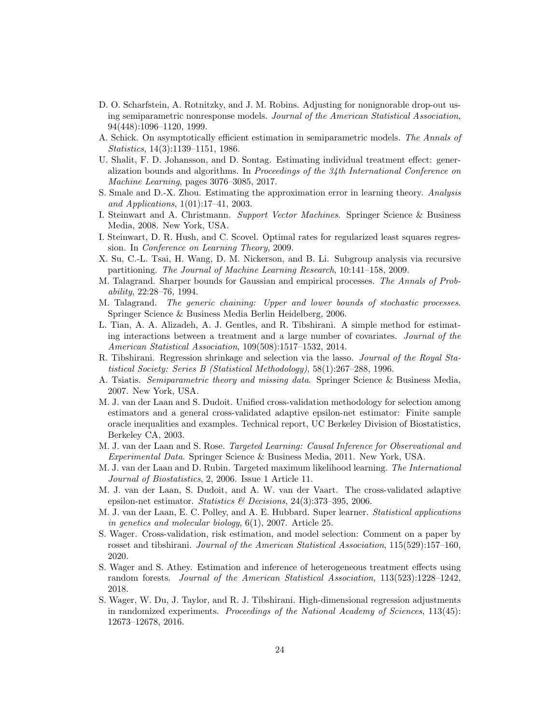- <span id="page-23-12"></span>D. O. Scharfstein, A. Rotnitzky, and J. M. Robins. Adjusting for nonignorable drop-out using semiparametric nonresponse models. Journal of the American Statistical Association, 94(448):1096–1120, 1999.
- <span id="page-23-4"></span>A. Schick. On asymptotically efficient estimation in semiparametric models. The Annals of Statistics, 14(3):1139–1151, 1986.
- <span id="page-23-2"></span>U. Shalit, F. D. Johansson, and D. Sontag. Estimating individual treatment effect: generalization bounds and algorithms. In Proceedings of the 34th International Conference on Machine Learning, pages 3076–3085, 2017.
- <span id="page-23-17"></span>S. Smale and D.-X. Zhou. Estimating the approximation error in learning theory. Analysis and Applications, 1(01):17–41, 2003.
- <span id="page-23-15"></span>I. Steinwart and A. Christmann. Support Vector Machines. Springer Science & Business Media, 2008. New York, USA.
- <span id="page-23-16"></span>I. Steinwart, D. R. Hush, and C. Scovel. Optimal rates for regularized least squares regression. In Conference on Learning Theory, 2009.
- <span id="page-23-0"></span>X. Su, C.-L. Tsai, H. Wang, D. M. Nickerson, and B. Li. Subgroup analysis via recursive partitioning. The Journal of Machine Learning Research, 10:141–158, 2009.
- <span id="page-23-19"></span>M. Talagrand. Sharper bounds for Gaussian and empirical processes. The Annals of Probability, 22:28–76, 1994.
- <span id="page-23-18"></span>M. Talagrand. The generic chaining: Upper and lower bounds of stochastic processes. Springer Science & Business Media Berlin Heidelberg, 2006.
- <span id="page-23-9"></span>L. Tian, A. A. Alizadeh, A. J. Gentles, and R. Tibshirani. A simple method for estimating interactions between a treatment and a large number of covariates. Journal of the American Statistical Association, 109(508):1517–1532, 2014.
- <span id="page-23-5"></span>R. Tibshirani. Regression shrinkage and selection via the lasso. Journal of the Royal Statistical Society: Series B (Statistical Methodology), 58(1):267–288, 1996.
- <span id="page-23-10"></span>A. Tsiatis. Semiparametric theory and missing data. Springer Science & Business Media, 2007. New York, USA.
- <span id="page-23-3"></span>M. J. van der Laan and S. Dudoit. Unified cross-validation methodology for selection among estimators and a general cross-validated adaptive epsilon-net estimator: Finite sample oracle inequalities and examples. Technical report, UC Berkeley Division of Biostatistics, Berkeley CA, 2003.
- <span id="page-23-11"></span>M. J. van der Laan and S. Rose. Targeted Learning: Causal Inference for Observational and Experimental Data. Springer Science & Business Media, 2011. New York, USA.
- <span id="page-23-6"></span>M. J. van der Laan and D. Rubin. Targeted maximum likelihood learning. The International Journal of Biostatistics, 2, 2006. Issue 1 Article 11.
- <span id="page-23-8"></span>M. J. van der Laan, S. Dudoit, and A. W. van der Vaart. The cross-validated adaptive epsilon-net estimator. Statistics & Decisions, 24(3):373-395, 2006.
- <span id="page-23-7"></span>M. J. van der Laan, E. C. Polley, and A. E. Hubbard. Super learner. Statistical applications in genetics and molecular biology, 6(1), 2007. Article 25.
- <span id="page-23-14"></span>S. Wager. Cross-validation, risk estimation, and model selection: Comment on a paper by rosset and tibshirani. Journal of the American Statistical Association, 115(529):157–160, 2020.
- <span id="page-23-1"></span>S. Wager and S. Athey. Estimation and inference of heterogeneous treatment effects using random forests. Journal of the American Statistical Association, 113(523):1228–1242, 2018.
- <span id="page-23-13"></span>S. Wager, W. Du, J. Taylor, and R. J. Tibshirani. High-dimensional regression adjustments in randomized experiments. Proceedings of the National Academy of Sciences, 113(45): 12673–12678, 2016.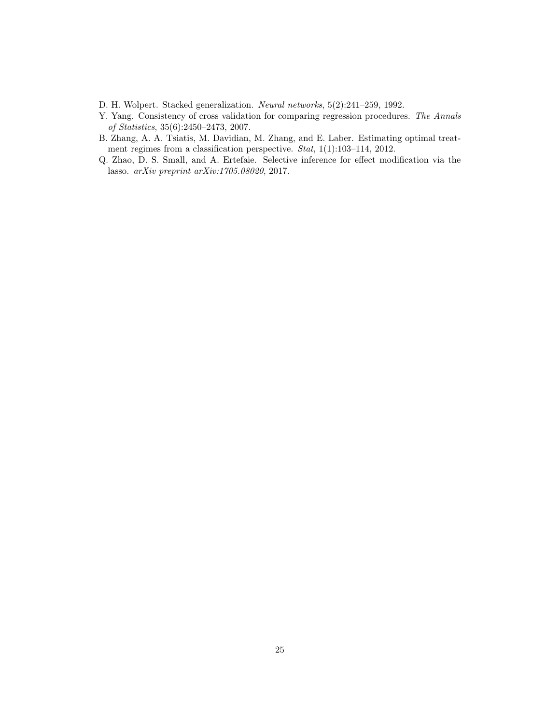- <span id="page-24-3"></span>D. H. Wolpert. Stacked generalization. Neural networks, 5(2):241–259, 1992.
- <span id="page-24-2"></span>Y. Yang. Consistency of cross validation for comparing regression procedures. The Annals of Statistics, 35(6):2450–2473, 2007.
- <span id="page-24-1"></span>B. Zhang, A. A. Tsiatis, M. Davidian, M. Zhang, and E. Laber. Estimating optimal treatment regimes from a classification perspective. *Stat*, 1(1):103-114, 2012.
- <span id="page-24-0"></span>Q. Zhao, D. S. Small, and A. Ertefaie. Selective inference for effect modification via the lasso. arXiv preprint arXiv:1705.08020, 2017.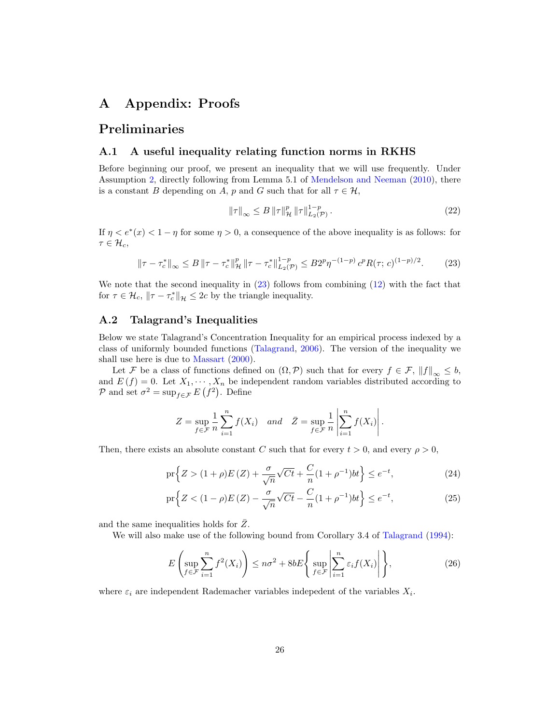### A Appendix: Proofs

### Preliminaries

#### A.1 A useful inequality relating function norms in RKHS

Before beginning our proof, we present an inequality that we will use frequently. Under Assumption [2,](#page-10-1) directly following from Lemma 5.1 of [Mendelson and Neeman](#page-22-17) [\(2010\)](#page-22-17), there is a constant B depending on A, p and G such that for all  $\tau \in \mathcal{H}$ ,

<span id="page-25-2"></span>
$$
\|\tau\|_{\infty} \le B \|\tau\|_{\mathcal{H}}^p \|\tau\|_{L_2(\mathcal{P})}^{1-p}.
$$
 (22)

If  $\eta < e^*(x) < 1 - \eta$  for some  $\eta > 0$ , a consequence of the above inequality is as follows: for  $\tau \in \mathcal{H}_c$ ,

<span id="page-25-0"></span>
$$
\|\tau - \tau_c^*\|_{\infty} \le B \|\tau - \tau_c^*\|_{\mathcal{H}}^p \|\tau - \tau_c^*\|_{L_2(\mathcal{P})}^{1-p} \le B 2^p \eta^{-(1-p)} c^p R(\tau; c)^{(1-p)/2}.
$$
 (23)

We note that the second inequality in [\(23\)](#page-25-0) follows from combining [\(12\)](#page-11-0) with the fact that for  $\tau \in \mathcal{H}_c$ ,  $\|\tau - \tau_c^*\|_{\mathcal{H}} \leq 2c$  by the triangle inequality.

### A.2 Talagrand's Inequalities

Below we state Talagrand's Concentration Inequality for an empirical process indexed by a class of uniformly bounded functions [\(Talagrand,](#page-23-18) [2006\)](#page-23-18). The version of the inequality we shall use here is due to [Massart](#page-22-20) [\(2000\)](#page-22-20).

Let F be a class of functions defined on  $(\Omega, \mathcal{P})$  such that for every  $f \in \mathcal{F}$ ,  $||f||_{\infty} \leq b$ , and  $E(f) = 0$ . Let  $X_1, \dots, X_n$  be independent random variables distributed according to P and set  $\sigma^2 = \sup_{f \in \mathcal{F}} E(f^2)$ . Define

<span id="page-25-3"></span>
$$
Z = \sup_{f \in \mathcal{F}} \frac{1}{n} \sum_{i=1}^{n} f(X_i) \quad and \quad \bar{Z} = \sup_{f \in \mathcal{F}} \frac{1}{n} \left| \sum_{i=1}^{n} f(X_i) \right|.
$$

Then, there exists an absolute constant C such that for every  $t > 0$ , and every  $\rho > 0$ ,

$$
\Pr\left\{ Z > (1+\rho)E\left(Z\right) + \frac{\sigma}{\sqrt{n}}\sqrt{Ct} + \frac{C}{n}(1+\rho^{-1})bt \right\} \le e^{-t},\tag{24}
$$

$$
\Pr\left\{Z < (1-\rho)E\left(Z\right) - \frac{\sigma}{\sqrt{n}}\sqrt{Ct} - \frac{C}{n}(1+\rho^{-1})bt\right\} \le e^{-t},\tag{25}
$$

and the same inequalities holds for  $\overline{Z}$ .

We will also make use of the following bound from Corollary 3.4 of [Talagrand](#page-23-19) [\(1994\)](#page-23-19):

<span id="page-25-1"></span>
$$
E\left(\sup_{f\in\mathcal{F}}\sum_{i=1}^{n}f^{2}(X_{i})\right)\leq n\sigma^{2}+8bE\left\{\sup_{f\in\mathcal{F}}\left|\sum_{i=1}^{n}\varepsilon_{i}f(X_{i})\right|\right\},\tag{26}
$$

where  $\varepsilon_i$  are independent Rademacher variables indepedent of the variables  $X_i$ .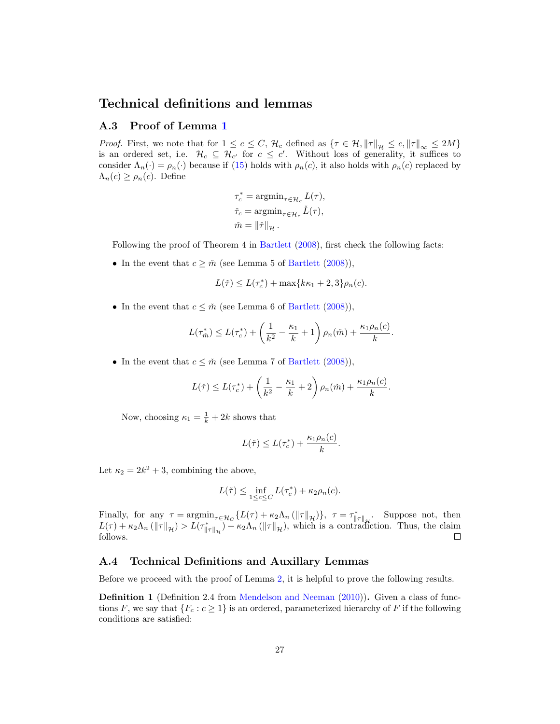### Technical definitions and lemmas

#### A.3 Proof of Lemma [1](#page-11-3)

*Proof.* First, we note that for  $1 \leq c \leq C$ ,  $\mathcal{H}_c$  defined as  $\{\tau \in \mathcal{H}, \|\tau\|_{\mathcal{H}} \leq c, \|\tau\|_{\infty} \leq 2M\}$ is an ordered set, i.e.  $\mathcal{H}_c \subseteq \mathcal{H}_{c'}$  for  $c \leq c'$ . Without loss of generality, it suffices to consider  $\Lambda_n(\cdot) = \rho_n(\cdot)$  because if [\(15\)](#page-11-2) holds with  $\rho_n(c)$ , it also holds with  $\rho_n(c)$  replaced by  $\Lambda_n(c) \geq \rho_n(c)$ . Define

$$
\begin{split} \tau_c^* &= \operatorname{argmin}_{\tau \in \mathcal{H}_c} L(\tau), \\ \check{\tau}_c &= \operatorname{argmin}_{\tau \in \mathcal{H}_c} \check{L}(\tau), \\ \check{m} &= \left\| \check{\tau} \right\|_{\mathcal{H}}. \end{split}
$$

Following the proof of Theorem 4 in [Bartlett](#page-21-17) [\(2008\)](#page-21-17), first check the following facts:

• In the event that  $c \geq \tilde{m}$  (see Lemma 5 of [Bartlett](#page-21-17) [\(2008\)](#page-21-17)),

$$
L(\check{\tau}) \le L(\tau_c^*) + \max\{k\kappa_1 + 2, 3\}\rho_n(c).
$$

• In the event that  $c \leq \tilde{m}$  (see Lemma 6 of [Bartlett](#page-21-17) [\(2008\)](#page-21-17)),

$$
L(\tau_m^*) \le L(\tau_c^*) + \left(\frac{1}{k^2} - \frac{\kappa_1}{k} + 1\right) \rho_n(\tilde{m}) + \frac{\kappa_1 \rho_n(c)}{k}.
$$

• In the event that  $c \leq \tilde{m}$  (see Lemma 7 of [Bartlett](#page-21-17) [\(2008\)](#page-21-17)),

$$
L(\breve{\tau}) \le L(\tau_c^*) + \left(\frac{1}{k^2} - \frac{\kappa_1}{k} + 2\right)\rho_n(\breve{m}) + \frac{\kappa_1\rho_n(c)}{k}.
$$

Now, choosing  $\kappa_1 = \frac{1}{k} + 2k$  shows that

$$
L(\check{\tau}) \le L(\tau_c^*) + \frac{\kappa_1 \rho_n(c)}{k}.
$$

Let  $\kappa_2 = 2k^2 + 3$ , combining the above,

$$
L(\check{\tau}) \le \inf_{1 \le c \le C} L(\tau_c^*) + \kappa_2 \rho_n(c).
$$

Finally, for any  $\tau = \operatorname*{argmin}_{\tau \in \mathcal{H}_C} \{ L(\tau) + \kappa_2 \Lambda_n (\|\tau\|_{\mathcal{H}}) \}, \ \tau = \tau_{\|\tau\|_{\mathcal{H}}}^*$ . Suppose not, then  $L(\tau) + \kappa_2 \Lambda_n (\|\tau\|_{\mathcal{H}}) > L(\tau_{\|\tau\|_{\mathcal{H}}}^*) + \kappa_2 \Lambda_n (\|\tau\|_{\mathcal{H}})$ , which is a contradiction. Thus, the claim follows.

#### A.4 Technical Definitions and Auxillary Lemmas

Before we proceed with the proof of Lemma [2,](#page-13-1) it is helpful to prove the following results.

**Definition 1** (Definition 2.4 from [Mendelson and Neeman](#page-22-17) [\(2010\)](#page-22-17)). Given a class of functions F, we say that  $\{F_c : c \geq 1\}$  is an ordered, parameterized hierarchy of F if the following conditions are satisfied: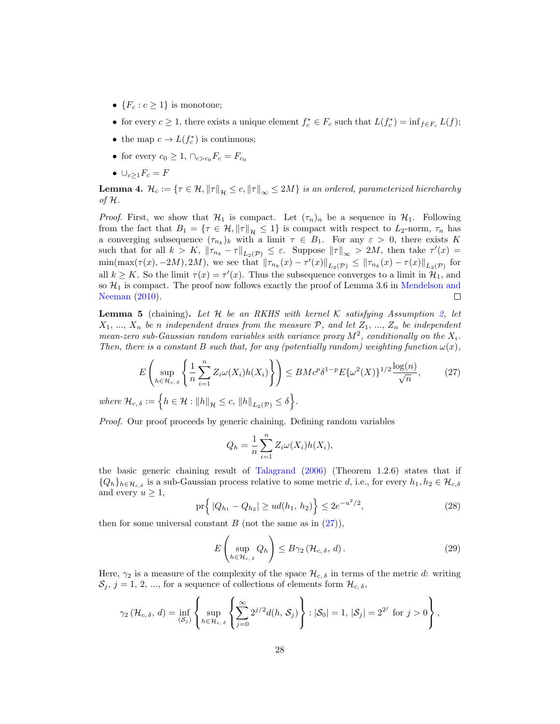- ${F_c : c \geq 1}$  is monotone;
- for every  $c \geq 1$ , there exists a unique element  $f_c^* \in F_c$  such that  $L(f_c^*) = \inf_{f \in F_c} L(f)$ ;
- the map  $c \to L(f_c^*)$  is continuous;
- for every  $c_0 \geq 1$ ,  $\bigcap_{c > c_0} F_c = F_{c_0}$
- $\bullet \cup_{c>1}F_c = F$

<span id="page-27-4"></span>**Lemma 4.**  $\mathcal{H}_c := \{ \tau \in \mathcal{H}, \|\tau\|_{\mathcal{H}} \leq c, \|\tau\|_{\infty} \leq 2M \}$  is an ordered, parameterized hiercharchy of H.

*Proof.* First, we show that  $\mathcal{H}_1$  is compact. Let  $(\tau_n)_n$  be a sequence in  $\mathcal{H}_1$ . Following from the fact that  $B_1 = \{ \tau \in \mathcal{H}, ||\tau||_{\mathcal{H}} \leq 1 \}$  is compact with respect to  $L_2$ -norm,  $\tau_n$  has a converging subsequence  $(\tau_{n_k})_k$  with a limit  $\tau \in B_1$ . For any  $\varepsilon > 0$ , there exists K such that for all  $k > K$ ,  $\|\tau_{n_k} - \tau\|_{L_2(\mathcal{P})} \leq \varepsilon$ . Suppose  $\|\tau\|_{\infty} > 2M$ , then take  $\tau'(x) =$  $\min(\max(\tau(x), -2M), 2M)$ , we see that  $\|\tau_{n_k}(x) - \tau'(x)\|_{L_2(\mathcal{P})} \le \|\tau_{n_k}(x) - \tau(x)\|_{L_2(\mathcal{P})}$  for all  $k \geq K$ . So the limit  $\tau(x) = \tau'(x)$ . Thus the subsequence converges to a limit in  $\mathcal{H}_1$ , and so  $\mathcal{H}_1$  is compact. The proof now follows exactly the proof of Lemma 3.6 in [Mendelson and](#page-22-17) [Neeman](#page-22-17) [\(2010\)](#page-22-17).  $\Box$ 

<span id="page-27-3"></span>**Lemma 5** (chaining). Let H be an RKHS with kernel K satisfying Assumption [2,](#page-10-1) let  $X_1, ..., X_n$  be n independent draws from the measure P, and let  $Z_1, ..., Z_n$  be independent mean-zero sub-Gaussian random variables with variance proxy  $M^2$ , conditionally on the  $X_i$ . Then, there is a constant B such that, for any (potentially random) weighting function  $\omega(x)$ ,

<span id="page-27-0"></span>
$$
E\left(\sup_{h\in\mathcal{H}_{c,\delta}}\left\{\frac{1}{n}\sum_{i=1}^{n}Z_{i}\omega(X_{i})h(X_{i})\right\}\right)\leq BMc^{p}\delta^{1-p}E\{\omega^{2}(X)\}^{1/2}\frac{\log(n)}{\sqrt{n}},\qquad(27)
$$
  
where  $\mathcal{H}_{c,\delta}:=\left\{h\in\mathcal{H}:||h||_{\mathcal{H}}\leq c,\ ||h||_{L_{2}(\mathcal{P})}\leq \delta\right\}.$ 

Proof. Our proof proceeds by generic chaining. Defining random variables

$$
Q_h = \frac{1}{n} \sum_{i=1}^n Z_i \omega(X_i) h(X_i),
$$

the basic generic chaining result of [Talagrand](#page-23-18) [\(2006\)](#page-23-18) (Theorem 1.2.6) states that if  ${Q_h}_{h \in \mathcal{H}_{c,\delta}}$  is a sub-Gaussian process relative to some metric d, i.e., for every  $h_1, h_2 \in \mathcal{H}_{c,\delta}$ and every  $u \geq 1$ ,

<span id="page-27-1"></span>
$$
\Pr\left\{|Q_{h_1} - Q_{h_2}| \geq ud(h_1, h_2)\right\} \leq 2e^{-u^2/2},\tag{28}
$$

then for some universal constant  $B$  (not the same as in  $(27)$ ),

<span id="page-27-2"></span>
$$
E\left(\sup_{h\in\mathcal{H}_{c,\delta}}Q_h\right)\leq B\gamma_2\left(\mathcal{H}_{c,\delta},d\right).
$$
\n(29)

Here,  $\gamma_2$  is a measure of the complexity of the space  $\mathcal{H}_{c,\delta}$  in terms of the metric d: writing  $\mathcal{S}_j$ ,  $j = 1, 2, ...,$  for a sequence of collections of elements form  $\mathcal{H}_{c,\delta}$ ,

$$
\gamma_2(\mathcal{H}_{c,\delta}, d) = \inf_{(\mathcal{S}_j)} \left\{ \sup_{h \in \mathcal{H}_{c,\delta}} \left\{ \sum_{j=0}^{\infty} 2^{j/2} d(h, \mathcal{S}_j) \right\} : |\mathcal{S}_0| = 1, |\mathcal{S}_j| = 2^{2^j} \text{ for } j > 0 \right\},
$$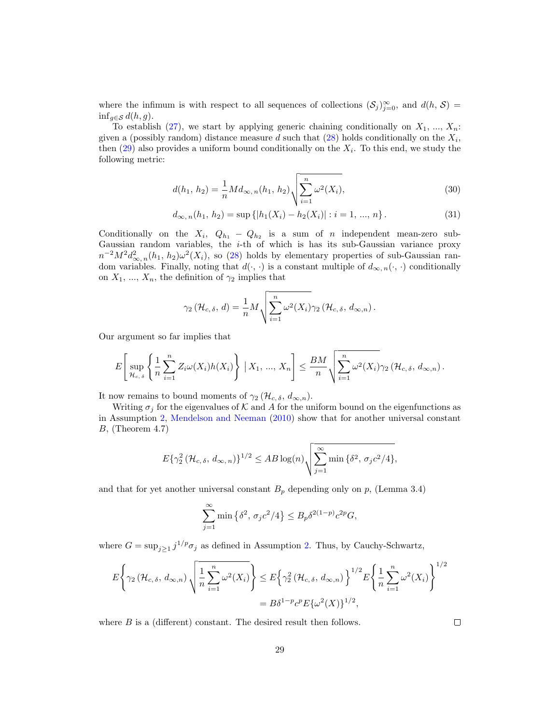where the infimum is with respect to all sequences of collections  $(S_j)_{j=0}^{\infty}$ , and  $d(h, S)$  $\inf_{g \in \mathcal{S}} d(h, g).$ 

To establish [\(27\)](#page-27-0), we start by applying generic chaining conditionally on  $X_1, ..., X_n$ : given a (possibly random) distance measure d such that  $(28)$  holds conditionally on the  $X_i$ , then  $(29)$  also provides a uniform bound conditionally on the  $X_i$ . To this end, we study the following metric:

$$
d(h_1, h_2) = \frac{1}{n} M d_{\infty, n}(h_1, h_2) \sqrt{\sum_{i=1}^{n} \omega^2(X_i)},
$$
\n(30)

$$
d_{\infty,n}(h_1, h_2) = \sup\{|h_1(X_i) - h_2(X_i)| : i = 1, ..., n\}.
$$
\n(31)

Conditionally on the  $X_i$ ,  $Q_{h_1} - Q_{h_2}$  is a sum of n independent mean-zero sub-Gaussian random variables, the i-th of which is has its sub-Gaussian variance proxy  $n^{-2}M^2d_{\infty,n}^2(h_1, h_2)\omega^2(X_i)$ , so [\(28\)](#page-27-1) holds by elementary properties of sub-Gaussian random variables. Finally, noting that  $d(\cdot, \cdot)$  is a constant multiple of  $d_{\infty, n}(\cdot, \cdot)$  conditionally on  $X_1, ..., X_n$ , the definition of  $\gamma_2$  implies that

$$
\gamma_2(\mathcal{H}_{c,\delta}, d) = \frac{1}{n} M \sqrt{\sum_{i=1}^n \omega^2(X_i)} \gamma_2(\mathcal{H}_{c,\delta}, d_{\infty,n}).
$$

Our argument so far implies that

$$
E\left[\sup_{\mathcal{H}_{c,\delta}}\left\{\frac{1}{n}\sum_{i=1}^n Z_i\omega(X_i)h(X_i)\right\} \mid X_1, ..., X_n\right] \leq \frac{BM}{n}\sqrt{\sum_{i=1}^n \omega^2(X_i)}\gamma_2\left(\mathcal{H}_{c,\delta}, d_{\infty,n}\right).
$$

It now remains to bound moments of  $\gamma_2$  ( $\mathcal{H}_{c,\delta}, d_{\infty,n}$ ).

Writing  $\sigma_j$  for the eigenvalues of  $K$  and  $A$  for the uniform bound on the eigenfunctions as in Assumption [2,](#page-10-1) [Mendelson and Neeman](#page-22-17) [\(2010\)](#page-22-17) show that for another universal constant  $B$ , (Theorem 4.7)

$$
E\{\gamma_2^2\left(\mathcal{H}_{c,\delta}, d_{\infty,n}\right)\}^{1/2} \leq AB\log(n)\sqrt{\sum_{j=1}^{\infty} \min\{\delta^2, \sigma_j c^2/4\}},
$$

and that for yet another universal constant  $B_p$  depending only on p, (Lemma 3.4)

$$
\sum_{j=1}^{\infty} \min\left\{\delta^2, \sigma_j c^2/4\right\} \le B_p \delta^{2(1-p)} c^{2p} G,
$$

where  $G = \sup_{j \geq 1} j^{1/p} \sigma_j$  as defined in Assumption [2.](#page-10-1) Thus, by Cauchy-Schwartz,

$$
E\left\{\gamma_2\left(\mathcal{H}_{c,\delta}, d_{\infty,n}\right) \sqrt{\frac{1}{n} \sum_{i=1}^n \omega^2(X_i)}\right\} \leq E\left\{\gamma_2^2\left(\mathcal{H}_{c,\delta}, d_{\infty,n}\right)\right\}^{1/2} E\left\{\frac{1}{n} \sum_{i=1}^n \omega^2(X_i)\right\}^{1/2}
$$

$$
= B\delta^{1-p} c^p E\{\omega^2(X)\}^{1/2},
$$

where  $B$  is a (different) constant. The desired result then follows.

 $\Box$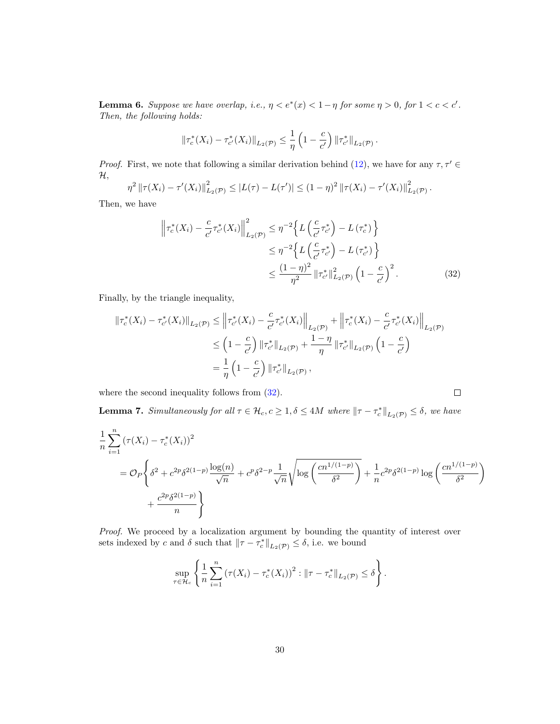<span id="page-29-1"></span>**Lemma 6.** Suppose we have overlap, i.e.,  $\eta < e^*(x) < 1 - \eta$  for some  $\eta > 0$ , for  $1 < c < c'$ . Then, the following holds:

$$
\|\tau_c^*(X_i)-\tau_{c'}^*(X_i)\|_{L_2(\mathcal{P})}\leq \frac{1}{\eta}\left(1-\frac{c}{c'}\right)\|\tau_{c'}^*\|_{L_2(\mathcal{P})}.
$$

*Proof.* First, we note that following a similar derivation behind [\(12\)](#page-11-0), we have for any  $\tau$ ,  $\tau' \in$  $\mathcal{H},$ 

$$
\eta^2 \left\| \tau(X_i) - \tau'(X_i) \right\|_{L_2(\mathcal{P})}^2 \leq |L(\tau) - L(\tau')| \leq (1 - \eta)^2 \left\| \tau(X_i) - \tau'(X_i) \right\|_{L_2(\mathcal{P})}^2.
$$

Then, we have

$$
\left\| \tau_c^*(X_i) - \frac{c}{c'} \tau_{c'}^*(X_i) \right\|_{L_2(\mathcal{P})}^2 \le \eta^{-2} \left\{ L \left( \frac{c}{c'} \tau_{c'}^* \right) - L \left( \tau_c^* \right) \right\}
$$
  

$$
\le \eta^{-2} \left\{ L \left( \frac{c}{c'} \tau_{c'}^* \right) - L \left( \tau_{c'}^* \right) \right\}
$$
  

$$
\le \frac{(1-\eta)^2}{\eta^2} \left\| \tau_{c'}^* \right\|_{L_2(\mathcal{P})}^2 \left( 1 - \frac{c}{c'} \right)^2.
$$
 (32)

<span id="page-29-0"></span> $\Box$ 

Finally, by the triangle inequality,

$$
\begin{split} \|\tau_c^*(X_i) - \tau_{c'}^*(X_i)\|_{L_2(\mathcal{P})} &\le \left\|\tau_{c'}^*(X_i) - \frac{c}{c'}\tau_{c'}^*(X_i)\right\|_{L_2(\mathcal{P})} + \left\|\tau_c^*(X_i) - \frac{c}{c'}\tau_{c'}^*(X_i)\right\|_{L_2(\mathcal{P})} \\ &\le \left(1 - \frac{c}{c'}\right) \|\tau_{c'}^*\|_{L_2(\mathcal{P})} + \frac{1 - \eta}{\eta} \|\tau_{c'}^*\|_{L_2(\mathcal{P})} \left(1 - \frac{c}{c'}\right) \\ &= \frac{1}{\eta} \left(1 - \frac{c}{c'}\right) \|\tau_{c'}^*\|_{L_2(\mathcal{P})}, \end{split}
$$

where the second inequality follows from  $(32)$ .

<span id="page-29-2"></span>**Lemma 7.** Simultaneously for all  $\tau \in \mathcal{H}_c$ ,  $c \geq 1$ ,  $\delta \leq 4M$  where  $\|\tau - \tau_c^*\|_{L_2(\mathcal{P})} \leq \delta$ , we have

$$
\frac{1}{n} \sum_{i=1}^{n} (\tau(X_i) - \tau_c^*(X_i))^2
$$
\n
$$
= O_P\left\{\delta^2 + c^{2p}\delta^{2(1-p)}\frac{\log(n)}{\sqrt{n}} + c^p\delta^{2-p}\frac{1}{\sqrt{n}}\sqrt{\log\left(\frac{cn^{1/(1-p)}}{\delta^2}\right)} + \frac{1}{n}c^{2p}\delta^{2(1-p)}\log\left(\frac{cn^{1/(1-p)}}{\delta^2}\right) + \frac{c^{2p}\delta^{2(1-p)}}{n}\right\}
$$

Proof. We proceed by a localization argument by bounding the quantity of interest over sets indexed by c and  $\delta$  such that  $\|\tau - \tau_c^*\|_{L_2(\mathcal{P})} \leq \delta$ , i.e. we bound

$$
\sup_{\tau \in \mathcal{H}_c} \left\{ \frac{1}{n} \sum_{i=1}^n \left( \tau(X_i) - \tau_c^*(X_i) \right)^2 : \|\tau - \tau_c^*\|_{L_2(\mathcal{P})} \le \delta \right\}.
$$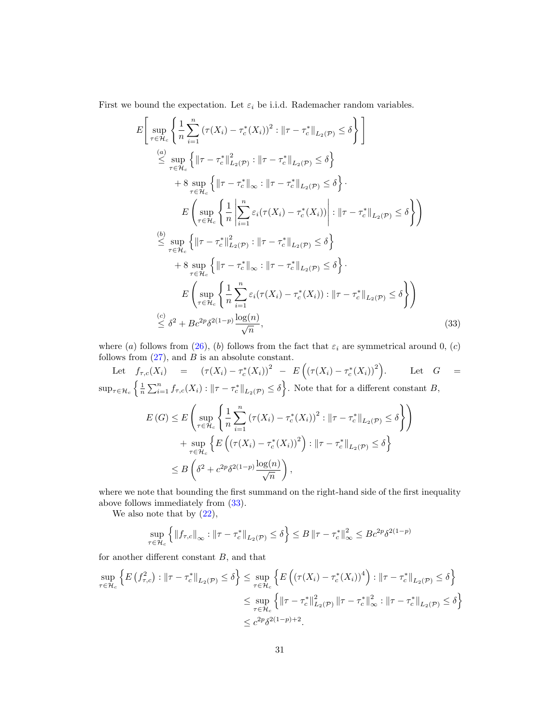First we bound the expectation. Let  $\varepsilon_i$  be i.i.d. Rademacher random variables.

$$
E\left[\sup_{\tau \in \mathcal{H}_c} \left\{ \frac{1}{n} \sum_{i=1}^n (\tau(X_i) - \tau_c^*(X_i))^2 : ||\tau - \tau_c^*||_{L_2(\mathcal{P})} \le \delta \right\} \right] \n\stackrel{(a)}{\le} \sup_{\tau \in \mathcal{H}_c} \left\{ ||\tau - \tau_c^*||_{L_2(\mathcal{P})}^2 : ||\tau - \tau_c^*||_{L_2(\mathcal{P})} \le \delta \right\} \n+ 8 \sup_{\tau \in \mathcal{H}_c} \left\{ ||\tau - \tau_c^*||_{\infty} : ||\tau - \tau_c^*||_{L_2(\mathcal{P})} \le \delta \right\} \nE\left(\sup_{\tau \in \mathcal{H}_c} \left\{ \frac{1}{n} \left| \sum_{i=1}^n \varepsilon_i(\tau(X_i) - \tau_c^*(X_i)) \right| : ||\tau - \tau_c^*||_{L_2(\mathcal{P})} \le \delta \right\} \right) \n\stackrel{(b)}{\le} \sup_{\tau \in \mathcal{H}_c} \left\{ ||\tau - \tau_c^*||_{L_2(\mathcal{P})}^2 : ||\tau - \tau_c^*||_{L_2(\mathcal{P})} \le \delta \right\} \n+ 8 \sup_{\tau \in \mathcal{H}_c} \left\{ ||\tau - \tau_c^*||_{\infty} : ||\tau - \tau_c^*||_{L_2(\mathcal{P})} \le \delta \right\} \nE\left(\sup_{\tau \in \mathcal{H}_c} \left\{ \frac{1}{n} \sum_{i=1}^n \varepsilon_i(\tau(X_i) - \tau_c^*(X_i)) : ||\tau - \tau_c^*||_{L_2(\mathcal{P})} \le \delta \right\} \right) \n\stackrel{(c)}{\le} \delta^2 + Bc^{2p}\delta^{2(1-p)} \frac{\log(n)}{\sqrt{n}}, \tag{33}
$$

where (a) follows from [\(26\)](#page-25-1), (b) follows from the fact that  $\varepsilon_i$  are symmetrical around 0, (c) follows from  $(27)$ , and B is an absolute constant.

Let  $f_{\tau,c}(X_i) = (\tau(X_i) - \tau_c^*(X_i))^2 - E((\tau(X_i) - \tau_c^*(X_i))^2)$ . Let  $G =$  $\sup_{\tau \in \mathcal{H}_c} \left\{ \frac{1}{n} \sum_{i=1}^n f_{\tau,c}(X_i) : \|\tau - \tau_c^*\|_{L_2(\mathcal{P})} \le \delta \right\}.$  Note that for a different constant B,

<span id="page-30-0"></span>
$$
E(G) \leq E\left(\sup_{\tau \in \mathcal{H}_c} \left\{\frac{1}{n} \sum_{i=1}^n (\tau(X_i) - \tau_c^*(X_i))^2 : ||\tau - \tau_c^*||_{L_2(\mathcal{P})} \leq \delta\right\}\right)
$$
  
+ 
$$
\sup_{\tau \in \mathcal{H}_c} \left\{E\left((\tau(X_i) - \tau_c^*(X_i))^2\right) : ||\tau - \tau_c^*||_{L_2(\mathcal{P})} \leq \delta\right\}
$$
  

$$
\leq B\left(\delta^2 + c^{2p}\delta^{2(1-p)}\frac{\log(n)}{\sqrt{n}}\right),
$$

where we note that bounding the first summand on the right-hand side of the first inequality above follows immediately from [\(33\)](#page-30-0).

We also note that by  $(22)$ ,

$$
\sup_{\tau \in \mathcal{H}_c} \left\{ \left\| f_{\tau,c} \right\|_{\infty} : \left\| \tau - \tau_c^* \right\|_{L_2(\mathcal{P})} \le \delta \right\} \le B \left\| \tau - \tau_c^* \right\|_{\infty}^2 \le Bc^{2p} \delta^{2(1-p)}
$$

for another different constant B, and that

$$
\sup_{\tau \in \mathcal{H}_c} \left\{ E \left( f_{\tau,c}^2 \right) : \|\tau - \tau_c^*\|_{L_2(\mathcal{P})} \le \delta \right\} \le \sup_{\tau \in \mathcal{H}_c} \left\{ E \left( \left( \tau(X_i) - \tau_c^*(X_i) \right)^4 \right) : \|\tau - \tau_c^*\|_{L_2(\mathcal{P})} \le \delta \right\}
$$
  

$$
\le \sup_{\tau \in \mathcal{H}_c} \left\{ \|\tau - \tau_c^*\|_{L_2(\mathcal{P})}^2 \|\tau - \tau_c^*\|_{\infty}^2 : \|\tau - \tau_c^*\|_{L_2(\mathcal{P})} \le \delta \right\}
$$
  

$$
\le c^{2p} \delta^{2(1-p)+2}.
$$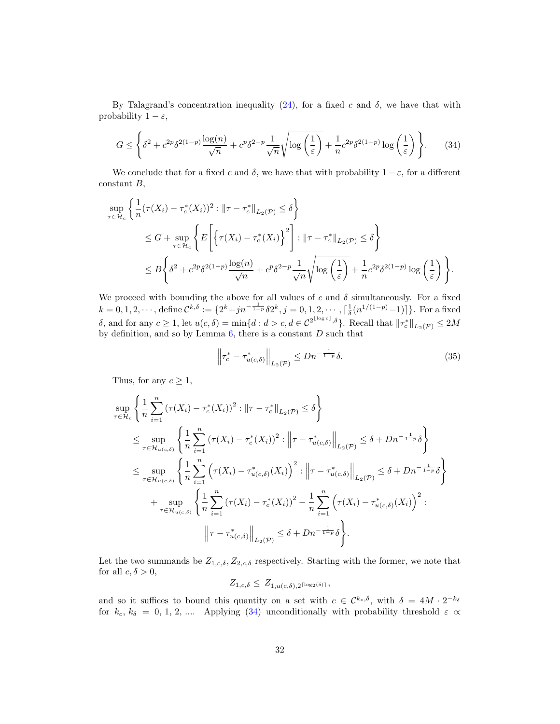By Talagrand's concentration inequality [\(24\)](#page-25-3), for a fixed c and  $\delta$ , we have that with probability  $1 - \varepsilon$ ,

$$
G \le \left\{ \delta^2 + c^{2p} \delta^{2(1-p)} \frac{\log(n)}{\sqrt{n}} + c^p \delta^{2-p} \frac{1}{\sqrt{n}} \sqrt{\log \left(\frac{1}{\varepsilon}\right)} + \frac{1}{n} c^{2p} \delta^{2(1-p)} \log \left(\frac{1}{\varepsilon}\right) \right\}.
$$
 (34)

We conclude that for a fixed c and  $\delta$ , we have that with probability  $1 - \varepsilon$ , for a different constant B,

$$
\sup_{\tau \in \mathcal{H}_c} \left\{ \frac{1}{n} (\tau(X_i) - \tau_c^*(X_i))^2 : \|\tau - \tau_c^*\|_{L_2(\mathcal{P})} \le \delta \right\}
$$
\n
$$
\le G + \sup_{\tau \in \mathcal{H}_c} \left\{ E \left[ \left\{ \tau(X_i) - \tau_c^*(X_i) \right\}^2 \right] : \|\tau - \tau_c^*\|_{L_2(\mathcal{P})} \le \delta \right\}
$$
\n
$$
\le B \left\{ \delta^2 + c^{2p} \delta^{2(1-p)} \frac{\log(n)}{\sqrt{n}} + c^p \delta^{2-p} \frac{1}{\sqrt{n}} \sqrt{\log \left( \frac{1}{\varepsilon} \right)} + \frac{1}{n} c^{2p} \delta^{2(1-p)} \log \left( \frac{1}{\varepsilon} \right) \right\}.
$$

We proceed with bounding the above for all values of c and  $\delta$  simultaneously. For a fixed  $k = 0, 1, 2, \dots$ , define  $\mathcal{C}^{k, \delta} := \{2^k + jn^{-\frac{1}{1-p}}\delta 2^k, j = 0, 1, 2, \dots, \lceil \frac{1}{\delta} (n^{1/(1-p)} - 1) \rceil \}$ . For a fixed δ, and for any  $c \ge 1$ , let  $u(c, δ) = min{d : d > c, d ∈ C^{2^{\lfloor log c \rfloor}, δ}}$ . Recall that  $||τ_c^*||_{L_2(β)} ≤ 2M$ by definition, and so by Lemma  $6$ , there is a constant  $D$  such that

<span id="page-31-1"></span><span id="page-31-0"></span>
$$
\left\|\tau_c^* - \tau_{u(c,\delta)}^*\right\|_{L_2(\mathcal{P})} \le Dn^{-\frac{1}{1-p}}\delta. \tag{35}
$$

Thus, for any  $c \geq 1$ ,

$$
\sup_{\tau \in \mathcal{H}_c} \left\{ \frac{1}{n} \sum_{i=1}^n (\tau(X_i) - \tau_c^*(X_i))^2 : ||\tau - \tau_c^*||_{L_2(\mathcal{P})} \le \delta \right\}
$$
\n
$$
\le \sup_{\tau \in \mathcal{H}_{u(c,\delta)}} \left\{ \frac{1}{n} \sum_{i=1}^n (\tau(X_i) - \tau_c^*(X_i))^2 : ||\tau - \tau_{u(c,\delta)}^*||_{L_2(\mathcal{P})} \le \delta + Dn^{-\frac{1}{1-p}} \delta \right\}
$$
\n
$$
\le \sup_{\tau \in \mathcal{H}_{u(c,\delta)}} \left\{ \frac{1}{n} \sum_{i=1}^n (\tau(X_i) - \tau_{u(c,\delta)}^*(X_i))^2 : ||\tau - \tau_{u(c,\delta)}^*||_{L_2(\mathcal{P})} \le \delta + Dn^{-\frac{1}{1-p}} \delta \right\}
$$
\n
$$
+ \sup_{\tau \in \mathcal{H}_{u(c,\delta)}} \left\{ \frac{1}{n} \sum_{i=1}^n (\tau(X_i) - \tau_c^*(X_i))^2 - \frac{1}{n} \sum_{i=1}^n (\tau(X_i) - \tau_{u(c,\delta)}^*(X_i))^2 : ||\tau - \tau_{u(c,\delta)}^*(X_i)||_{L_2(\mathcal{P})} \le \delta + Dn^{-\frac{1}{1-p}} \delta \right\}.
$$

Let the two summands be  $Z_{1,c,\delta}$ ,  $Z_{2,c,\delta}$  respectively. Starting with the former, we note that for all  $c, \delta > 0$ ,

$$
Z_{1,c,\delta} \leq Z_{1,u(c,\delta),2^{\lceil \log_2(\delta) \rceil}},
$$

and so it suffices to bound this quantity on a set with  $c \in \mathcal{C}^{k_c,\delta}$ , with  $\delta = 4M \cdot 2^{-k_{\delta}}$ for  $k_c, k_\delta = 0, 1, 2, \dots$  Applying [\(34\)](#page-31-0) unconditionally with probability threshold  $\varepsilon \propto$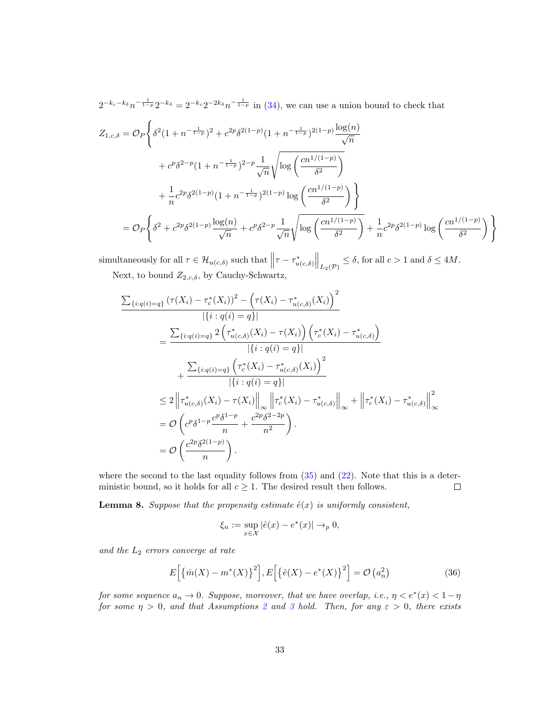$2^{-k_c-k_\delta}n^{-\frac{1}{1-p}}2^{-k_\delta}=2^{-k_c}2^{-2k_\delta}n^{-\frac{1}{1-p}}$  in [\(34\)](#page-31-0), we can use a union bound to check that

$$
Z_{1,c,\delta} = \mathcal{O}_P \Bigg\{ \delta^2 (1 + n^{-\frac{1}{1-p}})^2 + c^{2p} \delta^{2(1-p)} (1 + n^{-\frac{1}{1-p}})^{2(1-p)} \frac{\log(n)}{\sqrt{n}} + c^p \delta^{2-p} (1 + n^{-\frac{1}{1-p}})^{2-p} \frac{1}{\sqrt{n}} \sqrt{\log \left( \frac{cn^{1/(1-p)}}{\delta^2} \right)} + \frac{1}{n} c^{2p} \delta^{2(1-p)} (1 + n^{-\frac{1}{1-p}})^{2(1-p)} \log \left( \frac{cn^{1/(1-p)}}{\delta^2} \right) \Bigg\} = \mathcal{O}_P \Bigg\{ \delta^2 + c^{2p} \delta^{2(1-p)} \frac{\log(n)}{\sqrt{n}} + c^p \delta^{2-p} \frac{1}{\sqrt{n}} \sqrt{\log \left( \frac{cn^{1/(1-p)}}{\delta^2} \right)} + \frac{1}{n} c^{2p} \delta^{2(1-p)} \log \left( \frac{cn^{1/(1-p)}}{\delta^2} \right) \Bigg\}
$$

simultaneously for all  $\tau \in \mathcal{H}_{u(c,\delta)}$  such that  $\left\|\tau - \tau_{u(c,\delta)}^*\right\|_{L_2(\mathcal{P})} \leq \delta$ , for all  $c > 1$  and  $\delta \leq 4M$ . Next, to bound  $Z_{2,c,\delta}$ , by Cauchy-Schwartz,

$$
\frac{\sum_{\{i:q(i)=q\}} (\tau(X_i) - \tau_c^*(X_i))^2 - (\tau(X_i) - \tau_{u(c,\delta)}^*(X_i))^2}{|\{i:q(i)=q\}|} \n= \frac{\sum_{\{i:q(i)=q\}} 2 (\tau_{u(c,\delta)}^*(X_i) - \tau(X_i)) (\tau_c^*(X_i) - \tau_{u(c,\delta)}^*)}{|\{i:q(i)=q\}|} \n+ \frac{\sum_{\{i:q(i)=q\}} (\tau_c^*(X_i) - \tau_{u(c,\delta)}^*(X_i))^2}{|\{i:q(i)=q\}|} \n\leq 2 ||\tau_{u(c,\delta)}^*(X_i) - \tau(X_i)||_{\infty} ||\tau_c^*(X_i) - \tau_{u(c,\delta)}^*||_{\infty} + ||\tau_c^*(X_i) - \tau_{u(c,\delta)}^*||_{\infty}^2 \n= \mathcal{O}\left(c^p \delta^{1-p} \frac{c^p \delta^{1-p}}{n} + \frac{c^2 p \delta^{2-2p}}{n^2}\right).
$$
\n
$$
= \mathcal{O}\left(\frac{c^2 p \delta^{2(1-p)}}{n}\right).
$$

where the second to the last equality follows from  $(35)$  and  $(22)$ . Note that this is a deterministic bound, so it holds for all  $c \geq 1$ . The desired result then follows.  $\Box$ 

<span id="page-32-1"></span>**Lemma 8.** Suppose that the propensity estimate  $\hat{e}(x)$  is uniformly consistent,

$$
\xi_n := \sup_{x \in \mathcal{X}} |\hat{e}(x) - e^*(x)| \to_p 0,
$$

and the  $L_2$  errors converge at rate

<span id="page-32-0"></span>
$$
E\left[\left\{\hat{m}(X) - m^*(X)\right\}^2\right], E\left[\left\{\hat{e}(X) - e^*(X)\right\}^2\right] = \mathcal{O}\left(a_n^2\right) \tag{36}
$$

for some sequence  $a_n \to 0$ . Suppose, moreover, that we have overlap, i.e.,  $\eta < e^*(x) < 1 - \eta$ for some  $\eta > 0$ , and that Assumptions [2](#page-10-1) and [3](#page-10-2) hold. Then, for any  $\varepsilon > 0$ , there exists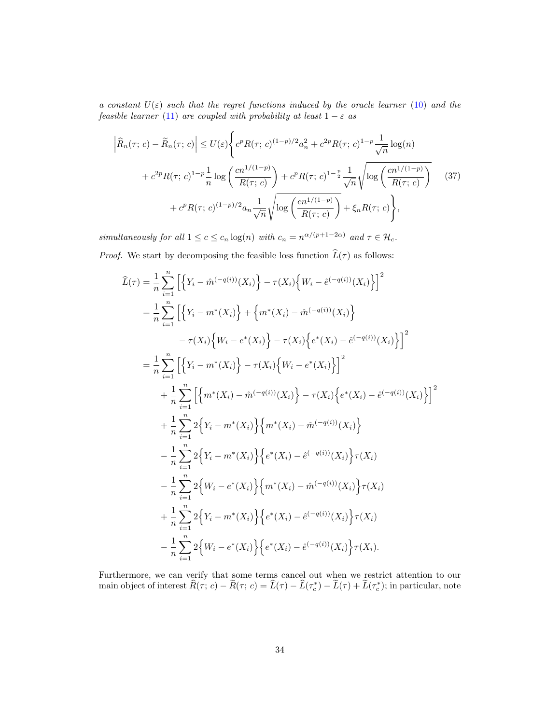a constant  $U(\varepsilon)$  such that the regret functions induced by the oracle learner [\(10\)](#page-10-0) and the feasible learner [\(11\)](#page-10-3) are coupled with probability at least  $1 - \varepsilon$  as

<span id="page-33-0"></span>
$$
\left| \hat{R}_n(\tau; c) - \tilde{R}_n(\tau; c) \right| \le U(\varepsilon) \left\{ c^p R(\tau; c)^{(1-p)/2} a_n^2 + c^{2p} R(\tau; c)^{1-p} \frac{1}{\sqrt{n}} \log(n) \right\}
$$

$$
+ c^{2p} R(\tau; c)^{1-p} \frac{1}{n} \log \left( \frac{cn^{1/(1-p)}}{R(\tau; c)} \right) + c^p R(\tau; c)^{1-\frac{p}{2}} \frac{1}{\sqrt{n}} \sqrt{\log \left( \frac{cn^{1/(1-p)}}{R(\tau; c)} \right)} \tag{37}
$$

$$
+ c^p R(\tau; c)^{(1-p)/2} a_n \frac{1}{\sqrt{n}} \sqrt{\log \left( \frac{cn^{1/(1-p)}}{R(\tau; c)} \right)} + \xi_n R(\tau; c) \right\},
$$

simultaneously for all  $1 \leq c \leq c_n \log(n)$  with  $c_n = n^{\alpha/(p+1-2\alpha)}$  and  $\tau \in \mathcal{H}_c$ . *Proof.* We start by decomposing the feasible loss function  $\widehat{L}(\tau)$  as follows:

$$
\widehat{L}(\tau) = \frac{1}{n} \sum_{i=1}^{n} \left[ \left\{ Y_i - \widehat{m}^{(-q(i))}(X_i) \right\} - \tau(X_i) \left\{ W_i - \widehat{e}^{(-q(i))}(X_i) \right\} \right]^2
$$
\n
$$
= \frac{1}{n} \sum_{i=1}^{n} \left[ \left\{ Y_i - m^*(X_i) \right\} + \left\{ m^*(X_i) - \widehat{m}^{(-q(i))}(X_i) \right\} \right]
$$
\n
$$
- \tau(X_i) \left\{ W_i - e^*(X_i) \right\} - \tau(X_i) \left\{ e^*(X_i) - \widehat{e}^{(-q(i))}(X_i) \right\} \right]^2
$$
\n
$$
= \frac{1}{n} \sum_{i=1}^{n} \left[ \left\{ Y_i - m^*(X_i) \right\} - \tau(X_i) \left\{ W_i - e^*(X_i) \right\} \right]^2
$$
\n
$$
+ \frac{1}{n} \sum_{i=1}^{n} \left[ \left\{ m^*(X_i) - \widehat{m}^{(-q(i))}(X_i) \right\} - \tau(X_i) \left\{ e^*(X_i) - \widehat{e}^{(-q(i))}(X_i) \right\} \right]^2
$$
\n
$$
+ \frac{1}{n} \sum_{i=1}^{n} 2 \left\{ Y_i - m^*(X_i) \right\} \left\{ m^*(X_i) - \widehat{m}^{(-q(i))}(X_i) \right\}
$$
\n
$$
- \frac{1}{n} \sum_{i=1}^{n} 2 \left\{ Y_i - m^*(X_i) \right\} \left\{ e^*(X_i) - \widehat{e}^{(-q(i))}(X_i) \right\} \tau(X_i)
$$
\n
$$
- \frac{1}{n} \sum_{i=1}^{n} 2 \left\{ W_i - e^*(X_i) \right\} \left\{ m^*(X_i) - \widehat{m}^{(-q(i))}(X_i) \right\} \tau(X_i)
$$
\n
$$
+ \frac{1}{n} \sum_{i=1}^{n} 2 \left\{ Y_i - m^*(X_i) \right\} \left\{ e^*(X_i) - \widehat{e}^{(-q(i))}(X_i) \right\} \tau(X_i)
$$
\n
$$
- \frac{1}{n} \
$$

Furthermore, we can verify that some terms cancel out when we restrict attention to our main object of interest  $\widehat{R}(\tau; c) - \widetilde{R}(\tau; c) = \widehat{L}(\tau) - \widehat{L}(\tau_c^*) - \widetilde{L}(\tau) + \widetilde{L}(\tau_c^*)$ ; in particular, note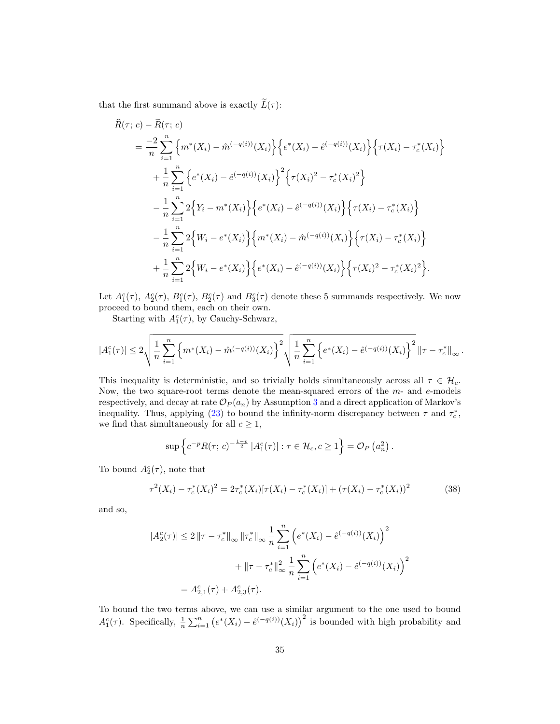that the first summand above is exactly  $\widetilde{L}(\tau)$ :

$$
R(\tau; c) - R(\tau; c)
$$
  
\n
$$
= \frac{-2}{n} \sum_{i=1}^{n} \left\{ m^*(X_i) - \hat{m}^{(-q(i))}(X_i) \right\} \left\{ e^*(X_i) - \hat{e}^{(-q(i))}(X_i) \right\} \left\{ \tau(X_i) - \tau_c^*(X_i) \right\}
$$
  
\n
$$
+ \frac{1}{n} \sum_{i=1}^{n} \left\{ e^*(X_i) - \hat{e}^{(-q(i))}(X_i) \right\}^2 \left\{ \tau(X_i)^2 - \tau_c^*(X_i)^2 \right\}
$$
  
\n
$$
- \frac{1}{n} \sum_{i=1}^{n} 2 \left\{ Y_i - m^*(X_i) \right\} \left\{ e^*(X_i) - \hat{e}^{(-q(i))}(X_i) \right\} \left\{ \tau(X_i) - \tau_c^*(X_i) \right\}
$$
  
\n
$$
- \frac{1}{n} \sum_{i=1}^{n} 2 \left\{ W_i - e^*(X_i) \right\} \left\{ m^*(X_i) - \hat{m}^{(-q(i))}(X_i) \right\} \left\{ \tau(X_i) - \tau_c^*(X_i) \right\}
$$
  
\n
$$
+ \frac{1}{n} \sum_{i=1}^{n} 2 \left\{ W_i - e^*(X_i) \right\} \left\{ e^*(X_i) - \hat{e}^{(-q(i))}(X_i) \right\} \left\{ \tau(X_i)^2 - \tau_c^*(X_i)^2 \right\}.
$$

Let  $A_1^c(\tau)$ ,  $A_2^c(\tau)$ ,  $B_1^c(\tau)$ ,  $B_2^c(\tau)$  and  $B_3^c(\tau)$  denote these 5 summands respectively. We now proceed to bound them, each on their own.

Starting with  $A_1^c(\tau)$ , by Cauchy-Schwarz,

$$
|A_1^c(\tau)| \leq 2\sqrt{\frac{1}{n}\sum_{i=1}^n \left\{m^*(X_i) - \hat{m}^{(-q(i))}(X_i)\right\}^2} \sqrt{\frac{1}{n}\sum_{i=1}^n \left\{e^*(X_i) - \hat{e}^{(-q(i))}(X_i)\right\}^2} \left\|\tau - \tau_c^*\right\|_{\infty}.
$$

This inequality is deterministic, and so trivially holds simultaneously across all  $\tau \in \mathcal{H}_c$ . Now, the two square-root terms denote the mean-squared errors of the m- and e-models respectively, and decay at rate  $\mathcal{O}_P(a_n)$  by Assumption [3](#page-10-2) and a direct application of Markov's inequality. Thus, applying [\(23\)](#page-25-0) to bound the infinity-norm discrepancy between  $\tau$  and  $\tau_c^*$ , we find that simultaneously for all  $c \geq 1$ ,

$$
\sup \left\{ c^{-p} R(\tau; c)^{-\frac{1-p}{2}} |A_1^c(\tau)| : \tau \in \mathcal{H}_c, c \ge 1 \right\} = \mathcal{O}_P \left( a_n^2 \right)
$$

To bound  $A_2^c(\tau)$ , note that

$$
\tau^{2}(X_{i}) - \tau_{c}^{*}(X_{i})^{2} = 2\tau_{c}^{*}(X_{i})[\tau(X_{i}) - \tau_{c}^{*}(X_{i})] + (\tau(X_{i}) - \tau_{c}^{*}(X_{i}))^{2}
$$
(38)

<span id="page-34-0"></span>.

and so,

$$
|A_2^c(\tau)| \le 2 \|\tau - \tau_c^*\|_{\infty} \|\tau_c^*\|_{\infty} \frac{1}{n} \sum_{i=1}^n \left( e^*(X_i) - \hat{e}^{(-q(i))}(X_i) \right)^2
$$
  
 
$$
+ \|\tau - \tau_c^*\|_{\infty}^2 \frac{1}{n} \sum_{i=1}^n \left( e^*(X_i) - \hat{e}^{(-q(i))}(X_i) \right)^2
$$
  
=  $A_{2,1}^c(\tau) + A_{2,3}^c(\tau).$ 

To bound the two terms above, we can use a similar argument to the one used to bound  $A_1^c(\tau)$ . Specifically,  $\frac{1}{n}\sum_{i=1}^n (e^*(X_i) - \hat{e}^{(-q(i))}(X_i))^2$  is bounded with high probability and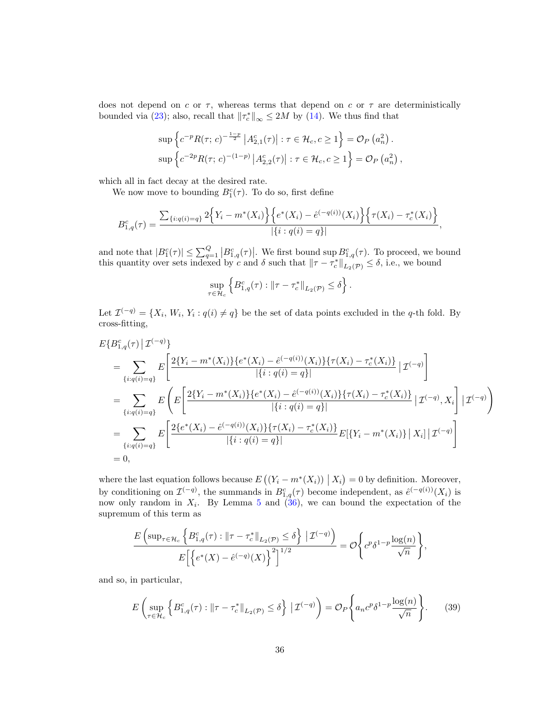does not depend on  $c$  or  $\tau$ , whereas terms that depend on  $c$  or  $\tau$  are deterministically bounded via [\(23\)](#page-25-0); also, recall that  $\|\tau_c^*\|_{\infty} \le 2M$  by [\(14\)](#page-11-4). We thus find that

$$
\sup \left\{ c^{-p} R(\tau; c)^{-\frac{1-p}{2}} \left| A_{2,1}^c(\tau) \right| : \tau \in \mathcal{H}_c, c \ge 1 \right\} = \mathcal{O}_P \left( a_n^2 \right).
$$

$$
\sup \left\{ c^{-2p} R(\tau; c)^{-(1-p)} \left| A_{2,2}^c(\tau) \right| : \tau \in \mathcal{H}_c, c \ge 1 \right\} = \mathcal{O}_P \left( a_n^2 \right),
$$

which all in fact decay at the desired rate.

We now move to bounding  $B_1^c(\tau)$ . To do so, first define

$$
B_{1,q}^{c}(\tau) = \frac{\sum_{\{i:q(i)=q\}} 2\Big\{Y_i - m^*(X_i)\Big\}\Big\{e^*(X_i) - \hat{e}^{(-q(i))}(X_i)\Big\}\Big\{\tau(X_i) - \tau_c^*(X_i)\Big\}}{|\{i:q(i)=q\}|},
$$

and note that  $|B_1^c(\tau)| \leq \sum_{q=1}^Q |B_{1,q}^c(\tau)|$ . We first bound sup  $B_{1,q}^c(\tau)$ . To proceed, we bound this quantity over sets indexed by c and  $\delta$  such that  $\|\tau-\tau_c^*\|_{L_2(\mathcal{P})}\leq \delta$ , i.e., we bound

$$
\sup_{\tau \in \mathcal{H}_c} \left\{ B^c_{1,q}(\tau) : \|\tau - \tau_c^*\|_{L_2(\mathcal{P})} \le \delta \right\}.
$$

Let  $\mathcal{I}^{(-q)} = \{X_i, W_i, Y_i : q(i) \neq q\}$  be the set of data points excluded in the q-th fold. By cross-fitting,

$$
E\{B_{1,q}^{c}(\tau) | \mathcal{I}^{(-q)}\}
$$
\n
$$
= \sum_{\{i:q(i)=q\}} E\left[\frac{2\{Y_i - m^*(X_i)\}\{e^*(X_i) - \hat{e}^{(-q(i))}(X_i)\}\{\tau(X_i) - \tau_c^*(X_i)\}}{|\{i:q(i)=q\}|} | \mathcal{I}^{(-q)}\right]
$$
\n
$$
= \sum_{\{i:q(i)=q\}} E\left(E\left[\frac{2\{Y_i - m^*(X_i)\}\{e^*(X_i) - \hat{e}^{(-q(i))}(X_i)\}\{\tau(X_i) - \tau_c^*(X_i)\}}{|\{i:q(i)=q\}|} | \mathcal{I}^{(-q)}, X_i\right] | \mathcal{I}^{(-q)}\right)
$$
\n
$$
= \sum_{\{i:q(i)=q\}} E\left[\frac{2\{e^*(X_i) - \hat{e}^{(-q(i))}(X_i)\}\{\tau(X_i) - \tau_c^*(X_i)\}}{|\{i:q(i)=q\}|} E[\{Y_i - m^*(X_i)\}\,| \,X_i] | \mathcal{I}^{(-q)}\right]
$$
\n
$$
= 0,
$$

where the last equation follows because  $E((Y_i - m^*(X_i)) | X_i) = 0$  by definition. Moreover, by conditioning on  $\mathcal{I}^{(-q)}$ , the summands in  $B^c_{1,q}(\tau)$  become independent, as  $\hat{e}^{(-q(i))}(X_i)$  is now only random in  $X_i$ . By Lemma [5](#page-27-3) and [\(36\)](#page-32-0), we can bound the expectation of the supremum of this term as

$$
\frac{E\left(\sup_{\tau\in\mathcal{H}_c}\left\{B_{1,q}^c(\tau): \|\tau-\tau_c^*\|_{L_2(\mathcal{P})}\leq\delta\right\}|\mathcal{I}^{(-q)}\right)}{E\left[\left\{e^*(X)-\hat{e}^{(-q)}(X)\right\}^2\right]^{1/2}}=\mathcal{O}\left\{c^p\delta^{1-p}\frac{\log(n)}{\sqrt{n}}\right\},\,
$$

and so, in particular,

<span id="page-35-0"></span>
$$
E\left(\sup_{\tau \in \mathcal{H}_c} \left\{ B_{1,q}^c(\tau) : \|\tau - \tau_c^*\|_{L_2(\mathcal{P})} \le \delta \right\} \, \big| \, \mathcal{I}^{(-q)} \right) = \mathcal{O}_P\left\{ a_n c^p \delta^{1-p} \frac{\log(n)}{\sqrt{n}} \right\}.\tag{39}
$$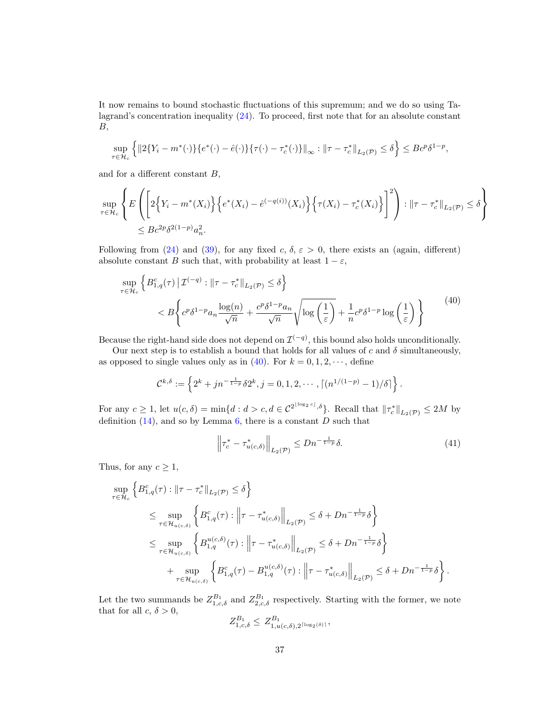It now remains to bound stochastic fluctuations of this supremum; and we do so using Talagrand's concentration inequality [\(24\)](#page-25-3). To proceed, first note that for an absolute constant  $B$ ,

$$
\sup_{\tau \in \mathcal{H}_c} \left\{ \| 2 \{ Y_i - m^*(\cdot) \} \{ e^*(\cdot) - \hat{e}(\cdot) \} \{ \tau(\cdot) - \tau_c^*(\cdot) \} \|_{\infty} : \| \tau - \tau_c^* \|_{L_2(\mathcal{P})} \le \delta \right\} \le B c^p \delta^{1-p},
$$

and for a different constant  $B$ ,

$$
\sup_{\tau \in \mathcal{H}_c} \left\{ E \left( \left[ 2 \{ Y_i - m^*(X_i) \} \{ e^*(X_i) - \hat{e}^{(-q(i))}(X_i) \} \{ \tau(X_i) - \tau_c^*(X_i) \} \right]^2 \right) : ||\tau - \tau_c^*||_{L_2(\mathcal{P})} \le \delta \right\}
$$
  

$$
\le Bc^{2p} \delta^{2(1-p)} a_n^2.
$$

Following from [\(24\)](#page-25-3) and [\(39\)](#page-35-0), for any fixed c,  $\delta$ ,  $\varepsilon > 0$ , there exists an (again, different) absolute constant B such that, with probability at least  $1 - \varepsilon$ ,

<span id="page-36-0"></span>
$$
\sup_{\tau \in \mathcal{H}_c} \left\{ B^c_{1,q}(\tau) \, \middle| \, \mathcal{I}^{(-q)} : \, \|\tau - \tau_c^*\|_{L_2(\mathcal{P})} \le \delta \right\}
$$
\n
$$
< B \left\{ c^p \delta^{1-p} a_n \frac{\log(n)}{\sqrt{n}} + \frac{c^p \delta^{1-p} a_n}{\sqrt{n}} \sqrt{\log\left(\frac{1}{\varepsilon}\right)} + \frac{1}{n} c^p \delta^{1-p} \log\left(\frac{1}{\varepsilon}\right) \right\} \tag{40}
$$

Because the right-hand side does not depend on  $\mathcal{I}^{(-q)}$ , this bound also holds unconditionally.

Our next step is to establish a bound that holds for all values of c and  $\delta$  simultaneously, as opposed to single values only as in [\(40\)](#page-36-0). For  $k = 0, 1, 2, \dots$ , define

$$
\mathcal{C}^{k,\delta} := \left\{ 2^k + j n^{-\frac{1}{1-p}} \delta 2^k, j = 0, 1, 2, \cdots, \lceil (n^{1/(1-p)} - 1)/\delta \rceil \right\}.
$$

For any  $c \ge 1$ , let  $u(c, \delta) = \min\{d : d > c, d \in C^{2^{\lfloor \log_2 c \rfloor}, \delta}\}\.$  Recall that  $\|\tau_c^*\|_{L_2(\mathcal{P})} \le 2M$  by definition  $(14)$ , and so by Lemma [6,](#page-29-1) there is a constant D such that

<span id="page-36-1"></span>
$$
\left\|\tau_c^* - \tau_{u(c,\delta)}^*\right\|_{L_2(\mathcal{P})} \le Dn^{-\frac{1}{1-p}}\delta. \tag{41}
$$

Thus, for any  $c \geq 1$ ,

$$
\sup_{\tau \in \mathcal{H}_c} \left\{ B^c_{1,q}(\tau) : \|\tau - \tau_c^*\|_{L_2(\mathcal{P})} \le \delta \right\}
$$
\n
$$
\le \sup_{\tau \in \mathcal{H}_{u(c,\delta)}} \left\{ B^c_{1,q}(\tau) : \left\|\tau - \tau_{u(c,\delta)}^*\right\|_{L_2(\mathcal{P})} \le \delta + Dn^{-\frac{1}{1-p}} \delta \right\}
$$
\n
$$
\le \sup_{\tau \in \mathcal{H}_{u(c,\delta)}} \left\{ B^{u(c,\delta)}_{1,q}(\tau) : \left\|\tau - \tau_{u(c,\delta)}^*\right\|_{L_2(\mathcal{P})} \le \delta + Dn^{-\frac{1}{1-p}} \delta \right\}
$$
\n
$$
+ \sup_{\tau \in \mathcal{H}_{u(c,\delta)}} \left\{ B^c_{1,q}(\tau) - B^{u(c,\delta)}_{1,q}(\tau) : \left\|\tau - \tau_{u(c,\delta)}^*(\tau) \right\|_{L_2(\mathcal{P})} \le \delta + Dn^{-\frac{1}{1-p}} \delta \right\}.
$$

Let the two summands be  $Z_{1,c,\delta}^{B_1}$  and  $Z_{2,c,\delta}^{B_1}$  respectively. Starting with the former, we note that for all  $c, \delta > 0$ ,<br>  $Z^{B_1} \leq Z^{B_1}$ 

$$
Z_{1,c,\delta}^{B_1} \leq Z_{1,u(c,\delta),2^{\lceil \log_2(\delta) \rceil}}^{B_1},
$$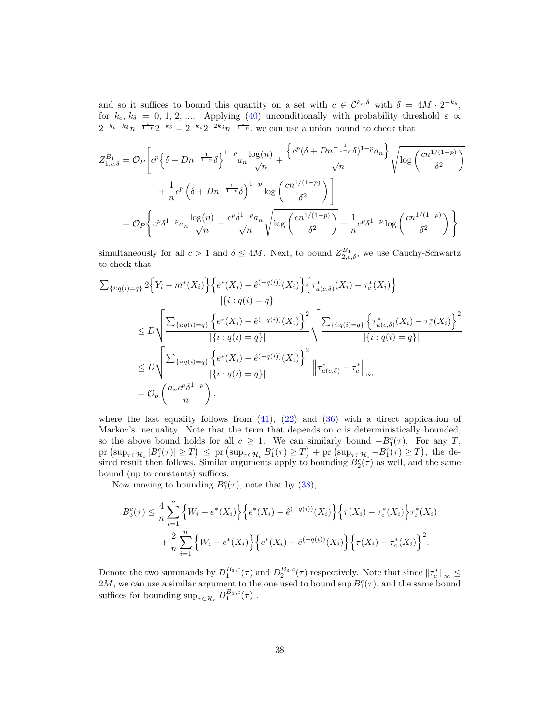and so it suffices to bound this quantity on a set with  $c \in \mathcal{C}^{k_c,\delta}$  with  $\delta = 4M \cdot 2^{-k_{\delta}},$ for  $k_c, k_\delta = 0, 1, 2, \dots$  Applying [\(40\)](#page-36-0) unconditionally with probability threshold  $\varepsilon \propto$  $2^{-k_c-k_\delta}n^{-\frac{1}{1-p}}2^{-k_\delta}=2^{-k_c}2^{-2k_\delta}n^{-\frac{1}{1-p}},$  we can use a union bound to check that

$$
Z_{1,c,\delta}^{B_1} = \mathcal{O}_P \left[ c^p \left\{ \delta + Dn^{-\frac{1}{1-p}} \delta \right\}^{1-p} a_n \frac{\log(n)}{\sqrt{n}} + \frac{\left\{ c^p (\delta + Dn^{-\frac{1}{1-p}} \delta)^{1-p} a_n \right\}}{\sqrt{n}} \sqrt{\log \left( \frac{cn^{1/(1-p)}}{\delta^2} \right)} \right.
$$

$$
+ \frac{1}{n} c^p \left( \delta + Dn^{-\frac{1}{1-p}} \delta \right)^{1-p} \log \left( \frac{cn^{1/(1-p)}}{\delta^2} \right) \right]
$$

$$
= \mathcal{O}_P \left\{ c^p \delta^{1-p} a_n \frac{\log(n)}{\sqrt{n}} + \frac{c^p \delta^{1-p} a_n}{\sqrt{n}} \sqrt{\log \left( \frac{cn^{1/(1-p)}}{\delta^2} \right)} + \frac{1}{n} c^p \delta^{1-p} \log \left( \frac{cn^{1/(1-p)}}{\delta^2} \right) \right\}
$$

simultaneously for all  $c > 1$  and  $\delta \le 4M$ . Next, to bound  $Z_{2,c,\delta}^{B_1}$ , we use Cauchy-Schwartz to check that

$$
\frac{\sum_{\{i:q(i)=q\}} 2\Big\{Y_i - m^*(X_i)\Big\}\Big\{e^*(X_i) - \hat{e}^{(-q(i))}(X_i)\Big\}\Big\{\tau_{u(c,\delta)}^*(X_i) - \tau_c^*(X_i)\Big\}}{|\{i:q(i)=q\}|}
$$
\n
$$
\leq D\sqrt{\frac{\sum_{\{i:q(i)=q\}} \Big\{e^*(X_i) - \hat{e}^{(-q(i))}(X_i)\Big\}^2}{|\{i:q(i)=q\}|}}\sqrt{\frac{\sum_{\{i:q(i)=q\}} \Big\{\tau_{u(c,\delta)}^*(X_i) - \tau_c^*(X_i)\Big\}^2}{|\{i:q(i)=q\}|}}
$$
\n
$$
\leq D\sqrt{\frac{\sum_{\{i:q(i)=q\}} \Big\{e^*(X_i) - \hat{e}^{(-q(i))}(X_i)\Big\}^2}{|\{i:q(i)=q\}|}}\Big\|\tau_{u(c,\delta)}^* - \tau_c^*\Big\|_{\infty}
$$
\n
$$
= \mathcal{O}_p\left(\frac{a_n c^p \delta^{1-p}}{n}\right).
$$

where the last equality follows from  $(41)$ ,  $(22)$  and  $(36)$  with a direct application of Markov's inequality. Note that the term that depends on  $c$  is deterministically bounded, so the above bound holds for all  $c \geq 1$ . We can similarly bound  $-B_1^c(\tau)$ . For any T,  $\mathrm{pr}(\sup_{\tau \in \mathcal{H}_c} |B_1^c(\tau)| \geq T) \leq \mathrm{pr}(\sup_{\tau \in \mathcal{H}_c} B_1^c(\tau) \geq T) + \mathrm{pr}(\sup_{\tau \in \mathcal{H}_c} -B_1^c(\tau) \geq T)$ , the desired result then follows. Similar arguments apply to bounding  $B_2^c(\tau)$  as well, and the same bound (up to constants) suffices.

Now moving to bounding  $B_3^c(\tau)$ , note that by [\(38\)](#page-34-0),

$$
B_3^c(\tau) \leq \frac{4}{n} \sum_{i=1}^n \left\{ W_i - e^*(X_i) \right\} \left\{ e^*(X_i) - \hat{e}^{(-q(i))}(X_i) \right\} \left\{ \tau(X_i) - \tau_c^*(X_i) \right\} \tau_c^*(X_i) + \frac{2}{n} \sum_{i=1}^n \left\{ W_i - e^*(X_i) \right\} \left\{ e^*(X_i) - \hat{e}^{(-q(i))}(X_i) \right\} \left\{ \tau(X_i) - \tau_c^*(X_i) \right\}^2.
$$

Denote the two summands by  $D_1^{B_3,c}(\tau)$  and  $D_2^{B_3,c}(\tau)$  respectively. Note that since  $\|\tau_c^*\|_{\infty} \leq$ 2M, we can use a similar argument to the one used to bound sup  $B_1^c(\tau)$ , and the same bound suffices for bounding  $\sup_{\tau \in \mathcal{H}_c} D_1^{B_3,c}(\tau)$ .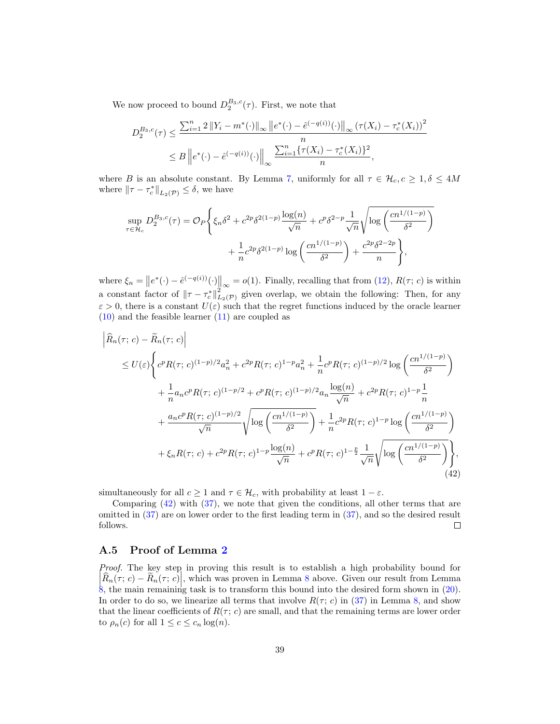We now proceed to bound  $D_2^{B_3,c}(\tau)$ . First, we note that

$$
D_2^{B_3,c}(\tau) \le \frac{\sum_{i=1}^n 2\left\|Y_i - m^*(\cdot)\right\|_{\infty} \left\|e^*(\cdot) - \hat{e}^{(-q(i))}(\cdot)\right\|_{\infty} (\tau(X_i) - \tau_c^*(X_i))^2}{n}
$$
  

$$
\le B \left\|e^*(\cdot) - \hat{e}^{(-q(i))}(\cdot)\right\|_{\infty} \frac{\sum_{i=1}^n \{\tau(X_i) - \tau_c^*(X_i)\}^2}{n},
$$

where B is an absolute constant. By Lemma [7,](#page-29-2) uniformly for all  $\tau \in \mathcal{H}_c, c \geq 1, \delta \leq 4M$ where  $\|\tau - \tau_c^*\|_{L_2(\mathcal{P})} \leq \delta$ , we have

$$
\sup_{\tau \in \mathcal{H}_c} D_2^{B_3,c}(\tau) = \mathcal{O}_P\left\{\xi_n \delta^2 + c^{2p} \delta^{2(1-p)} \frac{\log(n)}{\sqrt{n}} + c^p \delta^{2-p} \frac{1}{\sqrt{n}} \sqrt{\log\left(\frac{cn^{1/(1-p)}}{\delta^2}\right)} + \frac{1}{n} c^{2p} \delta^{2(1-p)} \log\left(\frac{cn^{1/(1-p)}}{\delta^2}\right) + \frac{c^{2p} \delta^{2-2p}}{n}\right\},\right\}
$$

where  $\xi_n = ||e^*(\cdot) - \hat{e}^{(-q(i))}(\cdot)||_{\infty} = o(1)$ . Finally, recalling that from [\(12\)](#page-11-0),  $R(\tau; c)$  is within a constant factor of  $\|\tau - \tau_c^*\|_{L_2(\mathcal{P})}^2$  given overlap, we obtain the following: Then, for any  $\varepsilon > 0$ , there is a constant  $U(\varepsilon)$  such that the regret functions induced by the oracle learner  $(10)$  and the feasible learner  $(11)$  are coupled as

<span id="page-38-0"></span>
$$
\begin{split}\n&\left|\widehat{R}_{n}(\tau; c) - \widetilde{R}_{n}(\tau; c)\right| \\
&\leq U(\varepsilon) \Biggl\{c^{p}R(\tau; c)^{(1-p)/2}a_{n}^{2} + c^{2p}R(\tau; c)^{1-p}a_{n}^{2} + \frac{1}{n}c^{p}R(\tau; c)^{(1-p)/2}\log\left(\frac{cn^{1/(1-p)}}{\delta^{2}}\right) \\
&+ \frac{1}{n}a_{n}c^{p}R(\tau; c)^{(1-p)/2} + c^{p}R(\tau; c)^{(1-p)/2}a_{n}\frac{\log(n)}{\sqrt{n}} + c^{2p}R(\tau; c)^{1-p}\frac{1}{n} \\
&+ \frac{a_{n}c^{p}R(\tau; c)^{(1-p)/2}}{\sqrt{n}}\sqrt{\log\left(\frac{cn^{1/(1-p)}}{\delta^{2}}\right)} + \frac{1}{n}c^{2p}R(\tau; c)^{1-p}\log\left(\frac{cn^{1/(1-p)}}{\delta^{2}}\right) \\
&+ \xi_{n}R(\tau; c) + c^{2p}R(\tau; c)^{1-p}\frac{\log(n)}{\sqrt{n}} + c^{p}R(\tau; c)^{1-\frac{p}{2}}\frac{1}{\sqrt{n}}\sqrt{\log\left(\frac{cn^{1/(1-p)}}{\delta^{2}}\right)}\Biggr\},\n\end{split}
$$
\n(42)

simultaneously for all  $c \geq 1$  and  $\tau \in \mathcal{H}_c$ , with probability at least  $1 - \varepsilon$ .

Comparing [\(42\)](#page-38-0) with [\(37\)](#page-33-0), we note that given the conditions, all other terms that are omitted in [\(37\)](#page-33-0) are on lower order to the first leading term in [\(37\)](#page-33-0), and so the desired result follows.  $\Box$ 

#### A.5 Proof of Lemma [2](#page-13-1)

Proof. The key step in proving this result is to establish a high probability bound for  $\left[\hat{R}_n(\tau; c) - \tilde{R}_n(\tau; c)\right]$ , which was proven in Lemma [8](#page-32-1) above. Given our result from Lemma [8,](#page-32-1) the main remaining task is to transform this bound into the desired form shown in  $(20)$ . In order to do so, we linearize all terms that involve  $R(\tau; c)$  in [\(37\)](#page-33-0) in Lemma [8,](#page-32-1) and show that the linear coefficients of  $R(\tau; c)$  are small, and that the remaining terms are lower order to  $\rho_n(c)$  for all  $1 \leq c \leq c_n \log(n)$ .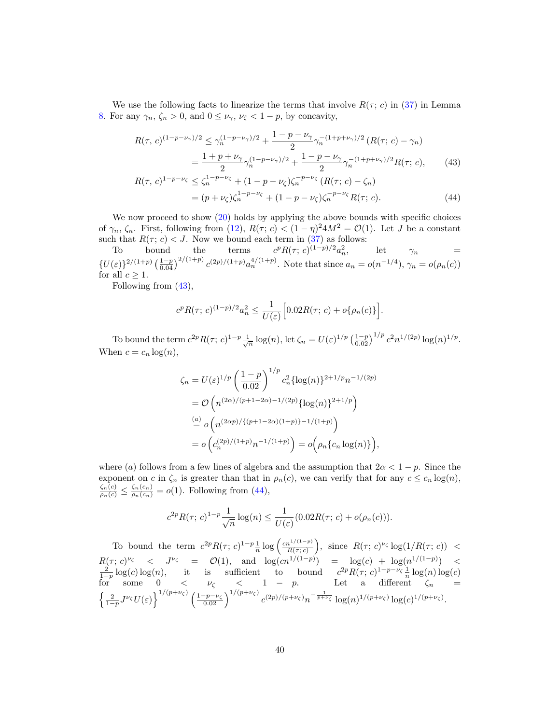We use the following facts to linearize the terms that involve  $R(\tau; c)$  in [\(37\)](#page-33-0) in Lemma [8.](#page-32-1) For any  $\gamma_n, \zeta_n > 0$ , and  $0 \leq \nu_\gamma, \nu_\zeta < 1 - p$ , by concavity,

$$
R(\tau, c)^{(1 - p - \nu_{\gamma})/2} \le \gamma_n^{(1 - p - \nu_{\gamma})/2} + \frac{1 - p - \nu_{\gamma}}{2} \gamma_n^{-(1 + p + \nu_{\gamma})/2} (R(\tau; c) - \gamma_n)
$$
  
= 
$$
\frac{1 + p + \nu_{\gamma}}{2} \gamma_n^{(1 - p - \nu_{\gamma})/2} + \frac{1 - p - \nu_{\gamma}}{2} \gamma_n^{-(1 + p + \nu_{\gamma})/2} R(\tau; c),
$$
 (43)

$$
R(\tau, c)^{1-p-\nu_{\zeta}} \le \zeta_n^{1-p-\nu_{\zeta}} + (1-p-\nu_{\zeta})\zeta_n^{-p-\nu_{\zeta}} (R(\tau; c) - \zeta_n)
$$
  
=  $(p+\nu_{\zeta})\zeta_n^{1-p-\nu_{\zeta}} + (1-p-\nu_{\zeta})\zeta_n^{-p-\nu_{\zeta}} R(\tau; c).$  (44)

We now proceed to show [\(20\)](#page-13-0) holds by applying the above bounds with specific choices of  $\gamma_n$ ,  $\zeta_n$ . First, following from [\(12\)](#page-11-0),  $R(\tau; c) < (1 - \eta)^2 4M^2 = \mathcal{O}(1)$ . Let J be a constant such that  $R(\tau; c) < J$ . Now we bound each term in [\(37\)](#page-33-0) as follows:

To bound the terms  $c^p R(\tau; c)^{(1-p)/2} a_n^2$ , let  $\gamma_n =$  $\{U(\varepsilon)\}^{2/(1+p)}\left(\frac{1-p}{0.04}\right)^{2/(1+p)}c^{(2p)/(1+p)}a_n^{4/(1+p)}$ . Note that since  $a_n = o(n^{-1/4})$ ,  $\gamma_n = o(\rho_n(c))$ for all  $c > 1$ .

Following from [\(43\)](#page-39-0),

<span id="page-39-1"></span><span id="page-39-0"></span>
$$
c^{p} R(\tau; c)^{(1-p)/2} a_n^2 \le \frac{1}{U(\varepsilon)} \Big[ 0.02R(\tau; c) + o\{\rho_n(c)\}\Big].
$$

To bound the term  $c^{2p}R(\tau; c)^{1-p}\frac{1}{\sqrt{n}}\log(n)$ , let  $\zeta_n = U(\varepsilon)^{1/p} \left(\frac{1-p}{0.02}\right)^{1/p} c^2 n^{1/(2p)} \log(n)^{1/p}$ . When  $c = c_n \log(n)$ ,

$$
\zeta_n = U(\varepsilon)^{1/p} \left( \frac{1-p}{0.02} \right)^{1/p} c_n^2 \{ \log(n) \}^{2+1/p} n^{-1/(2p)} \n= \mathcal{O}\left( n^{(2\alpha)/(p+1-2\alpha)-1/(2p)} \{ \log(n) \}^{2+1/p} \right) \n\stackrel{(a)}{=} o\left( n^{(2\alpha p)/\{(p+1-2\alpha)(1+p)\}-1/(1+p)} \right) \n= o\left( c_n^{(2p)/(1+p)} n^{-1/(1+p)} \right) = o\left( \rho_n \{ c_n \log(n) \} \right),
$$

where (a) follows from a few lines of algebra and the assumption that  $2\alpha < 1 - p$ . Since the exponent on c in  $\zeta_n$  is greater than that in  $\rho_n(c)$ , we can verify that for any  $c \leq c_n \log(n)$ ,  $\frac{\zeta_n(c)}{\rho_n(c)} \leq \frac{\zeta_n(c_n)}{\rho_n(c_n)} = o(1)$ . Following from [\(44\)](#page-39-1),

$$
c^{2p} R(\tau; c)^{1-p} \frac{1}{\sqrt{n}} \log(n) \le \frac{1}{U(\varepsilon)} (0.02R(\tau; c) + o(\rho_n(c))).
$$

To bound the term  $c^{2p}R(\tau; c)^{1-p}\frac{1}{n}\log\left(\frac{cn^{1/(1-p)}}{R(\tau; c)}\right)$ , since  $R(\tau; c)^{\nu_{\zeta}}\log(1/R(\tau; c)) <$  $R(\tau; c)^{\nu_{\zeta}} < J^{\nu_{\zeta}} = \mathcal{O}(1)$ , and  $\log(cn^{1/(1-p)}) = \log(c) + \log(n^{1/(1-p)}) < \frac{2}{1-p} \log(c) \log(n)$ , it is sufficient to bound  $c^{2p} R(\tau; c)^{1-p-\nu_{\zeta}} \frac{1}{n} \log(n) \log(c)$ for some  $0 < \nu_{\zeta} < 1 - p$ . Let a different  $\zeta_n =$  $\left\{\frac{2}{1-p}J^{\nu_{\zeta}}U(\varepsilon)\right\}^{1/(p+\nu_{\zeta})}\left(\frac{1-p-\nu_{\zeta}}{0.02}\right)^{1/(p+\nu_{\zeta})}c^{(2p)/(p+\nu_{\zeta})}n^{-\frac{1}{p+\nu_{\zeta}}}\log(n)^{1/(p+\nu_{\zeta})}\log(c)^{1/(p+\nu_{\zeta})}.$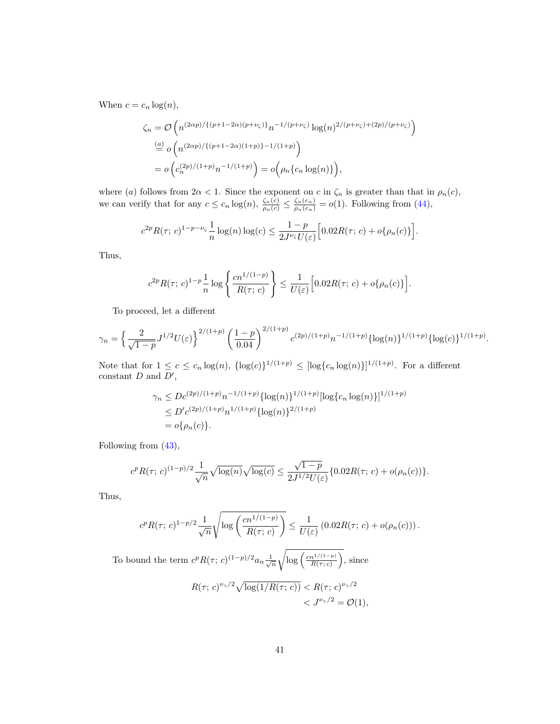When  $c = c_n \log(n)$ ,

$$
\zeta_n = \mathcal{O}\left(n^{(2\alpha p)/\{(p+1-2\alpha)(p+\nu_{\zeta})\}}n^{-1/(p+\nu_{\zeta})}\log(n)^{2/(p+\nu_{\zeta})+(2p)/(p+\nu_{\zeta})}\right)
$$
  
\n
$$
\stackrel{(a)}{=} o\left(n^{(2\alpha p)/\{(p+1-2\alpha)(1+p)\}-1/(1+p)}\right)
$$
  
\n
$$
= o\left(c_n^{(2p)/(1+p)}n^{-1/(1+p)}\right) = o\left(\rho_n\{c_n\log(n)\}\right),
$$

where (a) follows from  $2\alpha < 1$ . Since the exponent on c in  $\zeta_n$  is greater than that in  $\rho_n(c)$ , we can verify that for any  $c \leq c_n \log(n)$ ,  $\frac{\zeta_n(c)}{\rho_n(c)} \leq \frac{\zeta_n(c_n)}{\rho_n(c_n)} = o(1)$ . Following from [\(44\)](#page-39-1),

$$
c^{2p} R(\tau; c)^{1-p-\nu_{\zeta}} \frac{1}{n} \log(n) \log(c) \le \frac{1-p}{2J^{\nu_{\zeta}} U(\varepsilon)} \Big[ 0.02R(\tau; c) + o\{\rho_n(c)\}\Big].
$$

Thus,

$$
c^{2p}R(\tau;c)^{1-p}\frac{1}{n}\log\left\{\frac{cn^{1/(1-p)}}{R(\tau;c)}\right\} \le \frac{1}{U(\varepsilon)}\left[0.02R(\tau;c) + o\{\rho_n(c)\}\right]
$$

To proceed, let a different

$$
\gamma_n = \left\{ \frac{2}{\sqrt{1-p}} J^{1/2} U(\varepsilon) \right\}^{2/(1+p)} \left( \frac{1-p}{0.04} \right)^{2/(1+p)} c^{(2p)/(1+p)} n^{-1/(1+p)} {\left\{ \log(n) \right\}^{1/(1+p)} {\left\{ \log(c) \right\}^{1/(1+p)}}.
$$

.

Note that for  $1 \leq c \leq c_n \log(n)$ ,  $\{\log(c)\}^{1/(1+p)} \leq [\log\{c_n \log(n)\}]^{1/(1+p)}$ . For a different constant  $D$  and  $D'$ ,

$$
\gamma_n \le Dc^{(2p)/(1+p)} n^{-1/(1+p)} {\log(n)}^{1/(1+p)} {\log(c_n \log(n))}^{1/(1+p)}
$$
  
\n
$$
\le D'c^{(2p)/(1+p)} n^{1/(1+p)} {\log(n)}^{2/(1+p)}
$$
  
\n
$$
= o{\rho_n(c)}.
$$

Following from [\(43\)](#page-39-0),

$$
c^{p} R(\tau; c)^{(1-p)/2} \frac{1}{\sqrt{n}} \sqrt{\log(n)} \sqrt{\log(c)} \le \frac{\sqrt{1-p}}{2J^{1/2} U(\varepsilon)} \{0.02R(\tau; c) + o(\rho_n(c))\}.
$$

Thus,

$$
c^{p} R(\tau; c)^{1-p/2} \frac{1}{\sqrt{n}} \sqrt{\log \left( \frac{cn^{1/(1-p)}}{R(\tau; c)} \right)} \leq \frac{1}{U(\varepsilon)} (0.02R(\tau; c) + o(\rho_n(c))) .
$$

To bound the term  $c^p R(\tau; c)^{(1-p)/2} a_n \frac{1}{\sqrt{n}}$  $\sqrt{\log\left(\frac{cn^{1/(1-p)}}{R(\tau;c)}\right)}$ , since  $R(\tau; c)^{\nu_{\gamma}/2}\sqrt{\log(1/R(\tau; c))} < R(\tau; c)^{\nu_{\gamma}/2}$  $\langle J^{\nu_{\gamma}/2} = \mathcal{O}(1),$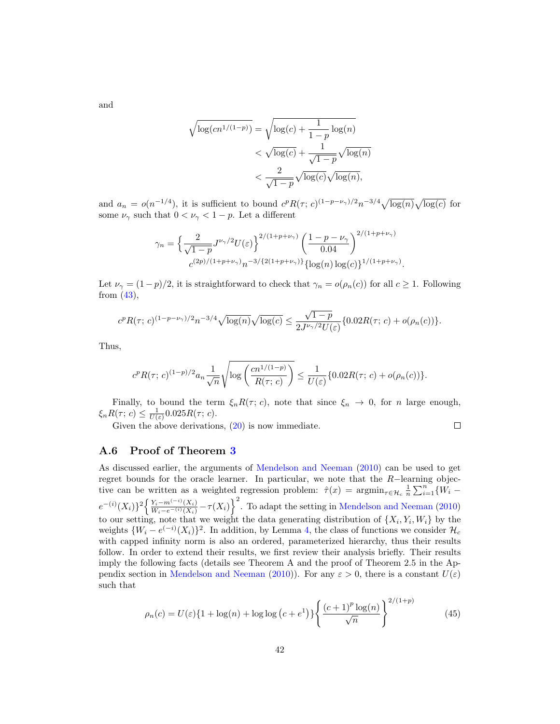and

$$
\sqrt{\log (cn^{1/(1-p)})} = \sqrt{\log(c) + \frac{1}{1-p} \log(n)}
$$

$$
< \sqrt{\log(c)} + \frac{1}{\sqrt{1-p}} \sqrt{\log(n)}
$$

$$
< \frac{2}{\sqrt{1-p}} \sqrt{\log(c)} \sqrt{\log(n)},
$$

and  $a_n = o(n^{-1/4})$ , it is sufficient to bound  $c^p R(\tau; c)^{(1-p-\nu_\gamma)/2} n^{-3/4} \sqrt{\log(n)} \sqrt{\log(c)}$  for some  $\nu_{\gamma}$  such that  $0 < \nu_{\gamma} < 1 - p$ . Let a different

$$
\gamma_n = \left\{ \frac{2}{\sqrt{1-p}} J^{\nu_\gamma/2} U(\varepsilon) \right\}^{2/(1+p+\nu_\gamma)} \left( \frac{1-p-\nu_\gamma}{0.04} \right)^{2/(1+p+\nu_\gamma)} \n\frac{c^{(2p)/(1+p+\nu_\gamma)} n^{-3/\{2(1+p+\nu_\gamma)\}} \{ \log(n) \log(c) \}^{1/(1+p+\nu_\gamma)}}.
$$

Let  $\nu_{\gamma} = (1-p)/2$ , it is straightforward to check that  $\gamma_n = o(\rho_n(c))$  for all  $c \geq 1$ . Following from  $(43)$ ,

$$
c^{p} R(\tau; c)^{(1-p-\nu_{\gamma})/2} n^{-3/4} \sqrt{\log(n)} \sqrt{\log(c)} \le \frac{\sqrt{1-p}}{2J^{\nu_{\gamma}/2} U(\varepsilon)} \{0.02R(\tau; c) + o(\rho_n(c))\}.
$$

Thus,

$$
c^p R(\tau; c)^{(1-p)/2} a_n \frac{1}{\sqrt{n}} \sqrt{\log \left( \frac{cn^{1/(1-p)}}{R(\tau; c)} \right)} \leq \frac{1}{U(\varepsilon)} \{0.02R(\tau; c) + o(\rho_n(c))\}.
$$

Finally, to bound the term  $\xi_n R(\tau; c)$ , note that since  $\xi_n \to 0$ , for *n* large enough,  $\xi_n R(\tau; c) \leq \frac{1}{U(\varepsilon)} 0.025 R(\tau; c).$ 

Given the above derivations, [\(20\)](#page-13-0) is now immediate.

$$
\Box
$$

#### A.6 Proof of Theorem [3](#page-13-3)

As discussed earlier, the arguments of [Mendelson and Neeman](#page-22-17) [\(2010\)](#page-22-17) can be used to get regret bounds for the oracle learner. In particular, we note that the  $R-$ learning objective can be written as a weighted regression problem:  $\hat{\tau}(x) = \operatorname{argmin}_{\tau \in \mathcal{H}_c} \frac{1}{n} \sum_{i=1}^n \{W_i$  $e^{-(i)}(X_i)$ <sup>2</sup> $\left\{\frac{Y_i - m^{(-i)}(X_i)}{W_i - e^{-(i)}(X_i)} - \tau(X_i)\right\}^2$ . To adapt the setting in [Mendelson and Neeman](#page-22-17) [\(2010\)](#page-22-17) to our setting, note that we weight the data generating distribution of  $\{X_i, Y_i, W_i\}$  by the weights  $\{W_i - e^{(-i)}(X_i)\}^2$ . In addition, by Lemma [4,](#page-27-4) the class of functions we consider  $\mathcal{H}_c$ with capped infinity norm is also an ordered, parameterized hierarchy, thus their results follow. In order to extend their results, we first review their analysis briefly. Their results imply the following facts (details see Theorem A and the proof of Theorem 2.5 in the Ap-pendix section in [Mendelson and Neeman](#page-22-17) [\(2010\)](#page-22-17)). For any  $\varepsilon > 0$ , there is a constant  $U(\varepsilon)$ such that

<span id="page-41-0"></span>
$$
\rho_n(c) = U(\varepsilon)\{1 + \log(n) + \log\log\left(c + e^1\right)\}\left\{\frac{(c+1)^p \log(n)}{\sqrt{n}}\right\}^{2/(1+p)}\tag{45}
$$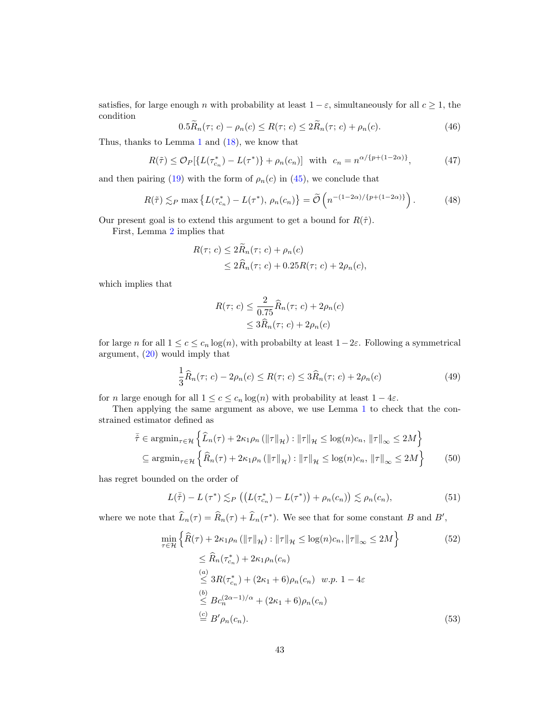satisfies, for large enough *n* with probability at least  $1 - \varepsilon$ , simultaneously for all  $c \ge 1$ , the condition

$$
0.5R_n(\tau; c) - \rho_n(c) \le R(\tau; c) \le 2R_n(\tau; c) + \rho_n(c). \tag{46}
$$

Thus, thanks to Lemma [1](#page-11-3) and [\(18\)](#page-12-1), we know that

<span id="page-42-1"></span>
$$
R(\tilde{\tau}) \leq \mathcal{O}_P[\{L(\tau_{c_n}^*) - L(\tau^*)\} + \rho_n(c_n)] \text{ with } c_n = n^{\alpha/\{p + (1 - 2\alpha)\}},\tag{47}
$$

and then pairing [\(19\)](#page-12-3) with the form of  $\rho_n(c)$  in [\(45\)](#page-41-0), we conclude that

<span id="page-42-2"></span>
$$
R(\tilde{\tau}) \lesssim_P \max \left\{ L(\tau_{c_n}^*) - L(\tau^*), \, \rho_n(c_n) \right\} = \tilde{\mathcal{O}}\left( n^{-(1-2\alpha)/\{p+(1-2\alpha)\}} \right). \tag{48}
$$

Our present goal is to extend this argument to get a bound for  $R(\hat{\tau})$ .

First, Lemma [2](#page-13-1) implies that

$$
R(\tau; c) \le 2R_n(\tau; c) + \rho_n(c)
$$
  

$$
\le 2\widehat{R}_n(\tau; c) + 0.25R(\tau; c) + 2\rho_n(c),
$$

which implies that

<span id="page-42-4"></span><span id="page-42-0"></span>
$$
R(\tau; c) \le \frac{2}{0.75} \widehat{R}_n(\tau; c) + 2\rho_n(c)
$$
  

$$
\le 3\widehat{R}_n(\tau; c) + 2\rho_n(c)
$$

for large n for all  $1 \leq c \leq c_n \log(n)$ , with probabilty at least  $1-2\varepsilon$ . Following a symmetrical argument, [\(20\)](#page-13-0) would imply that

$$
\frac{1}{3}\widehat{R}_n(\tau; c) - 2\rho_n(c) \le R(\tau; c) \le 3\widehat{R}_n(\tau; c) + 2\rho_n(c)
$$
\n(49)

for n large enough for all  $1 \leq c \leq c_n \log(n)$  with probability at least  $1 - 4\varepsilon$ .

Then applying the same argument as above, we use Lemma [1](#page-11-3) to check that the constrained estimator defined as

$$
\bar{\hat{\tau}} \in \operatorname{argmin}_{\tau \in \mathcal{H}} \left\{ \hat{L}_n(\tau) + 2\kappa_1 \rho_n \left( \|\tau\|_{\mathcal{H}} \right) : \|\tau\|_{\mathcal{H}} \le \log(n) c_n, \|\tau\|_{\infty} \le 2M \right\}
$$
  

$$
\subseteq \operatorname{argmin}_{\tau \in \mathcal{H}} \left\{ \hat{R}_n(\tau) + 2\kappa_1 \rho_n \left( \|\tau\|_{\mathcal{H}} \right) : \|\tau\|_{\mathcal{H}} \le \log(n) c_n, \|\tau\|_{\infty} \le 2M \right\}
$$
(50)

has regret bounded on the order of

<span id="page-42-5"></span>
$$
L(\bar{\hat{\tau}}) - L(\tau^*) \lesssim_P \left( \left( L(\tau_{c_n}^*) - L(\tau^*) \right) + \rho_n(c_n) \right) \lesssim \rho_n(c_n),\tag{51}
$$

where we note that  $\widehat{L}_n(\tau) = \widehat{R}_n(\tau) + \widehat{L}_n(\tau^*)$ . We see that for some constant B and B',

<span id="page-42-3"></span>
$$
\min_{\tau \in \mathcal{H}} \left\{ \hat{R}(\tau) + 2\kappa_1 \rho_n \left( \|\tau\|_{\mathcal{H}} \right) : \|\tau\|_{\mathcal{H}} \le \log(n)c_n, \|\tau\|_{\infty} \le 2M \right\} \tag{52}
$$
\n
$$
\le \hat{R}_n(\tau_{c_n}^*) + 2\kappa_1 \rho_n(c_n)
$$
\n
$$
\stackrel{(a)}{\le} 3R(\tau_{c_n}^*) + (2\kappa_1 + 6)\rho_n(c_n) \quad w.p. \ 1 - 4\varepsilon
$$
\n
$$
\stackrel{(b)}{\le} Bc_n^{(2\alpha - 1)/\alpha} + (2\kappa_1 + 6)\rho_n(c_n)
$$
\n
$$
\stackrel{(c)}{=} B'\rho_n(c_n). \tag{53}
$$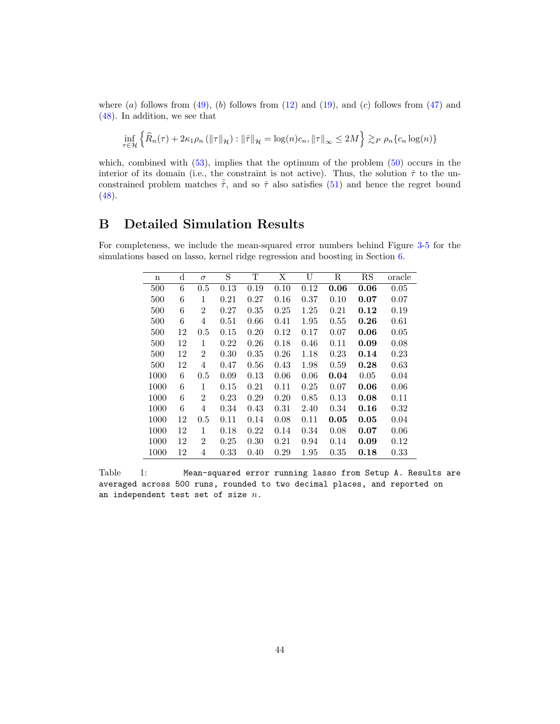where  $(a)$  follows from  $(49)$ ,  $(b)$  follows from  $(12)$  and  $(19)$ , and  $(c)$  follows from  $(47)$  and [\(48\)](#page-42-2). In addition, we see that

$$
\inf_{\tau \in \mathcal{H}} \left\{ \widehat{R}_n(\tau) + 2\kappa_1 \rho_n \left( \|\tau\|_{\mathcal{H}} \right) : \|\hat{\tau}\|_{\mathcal{H}} = \log(n) c_n, \|\tau\|_{\infty} \le 2M \right\} \gtrsim_P \rho_n \{c_n \log(n)\}
$$

which, combined with  $(53)$ , implies that the optimum of the problem  $(50)$  occurs in the interior of its domain (i.e., the constraint is not active). Thus, the solution  $\hat{\tau}$  to the unconstrained problem matches  $\bar{\hat{\tau}}$ , and so  $\hat{\tau}$  also satisfies [\(51\)](#page-42-5) and hence the regret bound  $(48).$  $(48).$ 

## <span id="page-43-0"></span>B Detailed Simulation Results

For completeness, we include the mean-squared error numbers behind Figure [3-](#page-17-0)[5](#page-19-0) for the simulations based on lasso, kernel ridge regression and boosting in Section [6.](#page-14-0)

| n    | $\mathbf d$ | $\sigma$       | S    | т    | Χ    | U    | R    | RS   | oracle |
|------|-------------|----------------|------|------|------|------|------|------|--------|
| 500  | 6           | 0.5            | 0.13 | 0.19 | 0.10 | 0.12 | 0.06 | 0.06 | 0.05   |
| 500  | 6           | 1              | 0.21 | 0.27 | 0.16 | 0.37 | 0.10 | 0.07 | 0.07   |
| 500  | 6           | 2              | 0.27 | 0.35 | 0.25 | 1.25 | 0.21 | 0.12 | 0.19   |
| 500  | 6           | 4              | 0.51 | 0.66 | 0.41 | 1.95 | 0.55 | 0.26 | 0.61   |
| 500  | 12          | 0.5            | 0.15 | 0.20 | 0.12 | 0.17 | 0.07 | 0.06 | 0.05   |
| 500  | 12          | 1              | 0.22 | 0.26 | 0.18 | 0.46 | 0.11 | 0.09 | 0.08   |
| 500  | 12          | $\overline{2}$ | 0.30 | 0.35 | 0.26 | 1.18 | 0.23 | 0.14 | 0.23   |
| 500  | 12          | 4              | 0.47 | 0.56 | 0.43 | 1.98 | 0.59 | 0.28 | 0.63   |
| 1000 | 6           | 0.5            | 0.09 | 0.13 | 0.06 | 0.06 | 0.04 | 0.05 | 0.04   |
| 1000 | 6           | 1              | 0.15 | 0.21 | 0.11 | 0.25 | 0.07 | 0.06 | 0.06   |
| 1000 | 6           | 2              | 0.23 | 0.29 | 0.20 | 0.85 | 0.13 | 0.08 | 0.11   |
| 1000 | 6           | 4              | 0.34 | 0.43 | 0.31 | 2.40 | 0.34 | 0.16 | 0.32   |
| 1000 | 12          | 0.5            | 0.11 | 0.14 | 0.08 | 0.11 | 0.05 | 0.05 | 0.04   |
| 1000 | 12          | 1              | 0.18 | 0.22 | 0.14 | 0.34 | 0.08 | 0.07 | 0.06   |
| 1000 | 12          | 2              | 0.25 | 0.30 | 0.21 | 0.94 | 0.14 | 0.09 | 0.12   |
| 1000 | 12          | 4              | 0.33 | 0.40 | 0.29 | 1.95 | 0.35 | 0.18 | 0.33   |

Table 1: Mean-squared error running lasso from Setup A. Results are averaged across 500 runs, rounded to two decimal places, and reported on an independent test set of size  $n$ .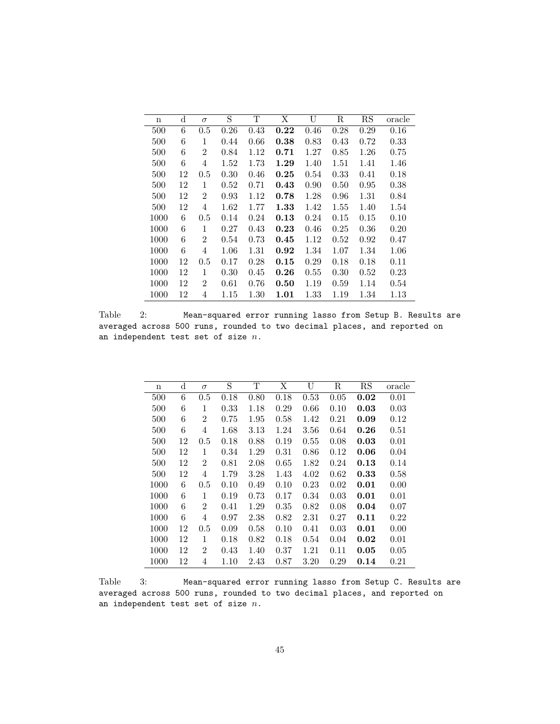| $\mathbf n$ | $\rm d$ | $\sigma$       | S    | Т    | Χ    | U    | R    | RS   | oracle |
|-------------|---------|----------------|------|------|------|------|------|------|--------|
| 500         | 6       | 0.5            | 0.26 | 0.43 | 0.22 | 0.46 | 0.28 | 0.29 | 0.16   |
| 500         | 6       | 1              | 0.44 | 0.66 | 0.38 | 0.83 | 0.43 | 0.72 | 0.33   |
| 500         | 6       | $\overline{2}$ | 0.84 | 1.12 | 0.71 | 1.27 | 0.85 | 1.26 | 0.75   |
| 500         | 6       | 4              | 1.52 | 1.73 | 1.29 | 1.40 | 1.51 | 1.41 | 1.46   |
| 500         | 12      | 0.5            | 0.30 | 0.46 | 0.25 | 0.54 | 0.33 | 0.41 | 0.18   |
| 500         | 12      | 1              | 0.52 | 0.71 | 0.43 | 0.90 | 0.50 | 0.95 | 0.38   |
| 500         | 12      | $\overline{2}$ | 0.93 | 1.12 | 0.78 | 1.28 | 0.96 | 1.31 | 0.84   |
| 500         | 12      | 4              | 1.62 | 1.77 | 1.33 | 1.42 | 1.55 | 1.40 | 1.54   |
| 1000        | 6       | 0.5            | 0.14 | 0.24 | 0.13 | 0.24 | 0.15 | 0.15 | 0.10   |
| 1000        | 6       | 1              | 0.27 | 0.43 | 0.23 | 0.46 | 0.25 | 0.36 | 0.20   |
| 1000        | 6       | $\overline{2}$ | 0.54 | 0.73 | 0.45 | 1.12 | 0.52 | 0.92 | 0.47   |
| 1000        | 6       | 4              | 1.06 | 1.31 | 0.92 | 1.34 | 1.07 | 1.34 | 1.06   |
| 1000        | 12      | 0.5            | 0.17 | 0.28 | 0.15 | 0.29 | 0.18 | 0.18 | 0.11   |
| 1000        | 12      | 1              | 0.30 | 0.45 | 0.26 | 0.55 | 0.30 | 0.52 | 0.23   |
| 1000        | 12      | $\overline{2}$ | 0.61 | 0.76 | 0.50 | 1.19 | 0.59 | 1.14 | 0.54   |
| 1000        | 12      | 4              | 1.15 | 1.30 | 1.01 | 1.33 | 1.19 | 1.34 | 1.13   |

Table 2: Mean-squared error running lasso from Setup B. Results are averaged across 500 runs, rounded to two decimal places, and reported on an independent test set of size  $n$ .

| n    | d  | $\sigma$       | S    | т    | Χ    | U    | R    | RS   | oracle |
|------|----|----------------|------|------|------|------|------|------|--------|
| 500  | 6  | 0.5            | 0.18 | 0.80 | 0.18 | 0.53 | 0.05 | 0.02 | 0.01   |
| 500  | 6  | 1              | 0.33 | 1.18 | 0.29 | 0.66 | 0.10 | 0.03 | 0.03   |
| 500  | 6  | 2              | 0.75 | 1.95 | 0.58 | 1.42 | 0.21 | 0.09 | 0.12   |
| 500  | 6  | 4              | 1.68 | 3.13 | 1.24 | 3.56 | 0.64 | 0.26 | 0.51   |
| 500  | 12 | 0.5            | 0.18 | 0.88 | 0.19 | 0.55 | 0.08 | 0.03 | 0.01   |
| 500  | 12 | 1              | 0.34 | 1.29 | 0.31 | 0.86 | 0.12 | 0.06 | 0.04   |
| 500  | 12 | $\overline{2}$ | 0.81 | 2.08 | 0.65 | 1.82 | 0.24 | 0.13 | 0.14   |
| 500  | 12 | 4              | 1.79 | 3.28 | 1.43 | 4.02 | 0.62 | 0.33 | 0.58   |
| 1000 | 6  | 0.5            | 0.10 | 0.49 | 0.10 | 0.23 | 0.02 | 0.01 | 0.00   |
| 1000 | 6  | 1              | 0.19 | 0.73 | 0.17 | 0.34 | 0.03 | 0.01 | 0.01   |
| 1000 | 6  | $\overline{2}$ | 0.41 | 1.29 | 0.35 | 0.82 | 0.08 | 0.04 | 0.07   |
| 1000 | 6  | 4              | 0.97 | 2.38 | 0.82 | 2.31 | 0.27 | 0.11 | 0.22   |
| 1000 | 12 | 0.5            | 0.09 | 0.58 | 0.10 | 0.41 | 0.03 | 0.01 | 0.00   |
| 1000 | 12 | 1              | 0.18 | 0.82 | 0.18 | 0.54 | 0.04 | 0.02 | 0.01   |
| 1000 | 12 | $\overline{2}$ | 0.43 | 1.40 | 0.37 | 1.21 | 0.11 | 0.05 | 0.05   |
| 1000 | 12 | 4              | 1.10 | 2.43 | 0.87 | 3.20 | 0.29 | 0.14 | 0.21   |

Table 3: Mean-squared error running lasso from Setup C. Results are averaged across 500 runs, rounded to two decimal places, and reported on an independent test set of size  $n$ .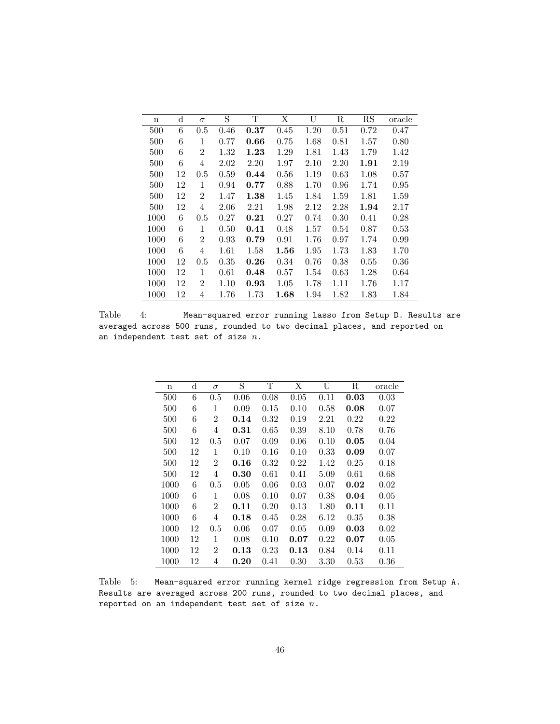| n    | d  | $\sigma$       | S    | T    | Χ        | U    | $_{\rm R}$ | $_{\rm RS}$ | oracle |
|------|----|----------------|------|------|----------|------|------------|-------------|--------|
| 500  | 6  | 0.5            | 0.46 | 0.37 | 0.45     | 1.20 | 0.51       | 0.72        | 0.47   |
| 500  | 6  | 1              | 0.77 | 0.66 | 0.75     | 1.68 | 0.81       | 1.57        | 0.80   |
| 500  | 6  | $\overline{2}$ | 1.32 | 1.23 | 1.29     | 1.81 | 1.43       | 1.79        | 1.42   |
| 500  | 6  | 4              | 2.02 | 2.20 | 1.97     | 2.10 | 2.20       | 1.91        | 2.19   |
| 500  | 12 | 0.5            | 0.59 | 0.44 | 0.56     | 1.19 | 0.63       | 1.08        | 0.57   |
| 500  | 12 | 1              | 0.94 | 0.77 | 0.88     | 1.70 | 0.96       | 1.74        | 0.95   |
| 500  | 12 | $\overline{2}$ | 1.47 | 1.38 | 1.45     | 1.84 | 1.59       | 1.81        | 1.59   |
| 500  | 12 | 4              | 2.06 | 2.21 | 1.98     | 2.12 | 2.28       | 1.94        | 2.17   |
| 1000 | 6  | 0.5            | 0.27 | 0.21 | 0.27     | 0.74 | 0.30       | 0.41        | 0.28   |
| 1000 | 6  | 1              | 0.50 | 0.41 | 0.48     | 1.57 | 0.54       | 0.87        | 0.53   |
| 1000 | 6  | $\overline{2}$ | 0.93 | 0.79 | 0.91     | 1.76 | 0.97       | 1.74        | 0.99   |
| 1000 | 6  | 4              | 1.61 | 1.58 | $1.56\,$ | 1.95 | 1.73       | 1.83        | 1.70   |
| 1000 | 12 | 0.5            | 0.35 | 0.26 | 0.34     | 0.76 | 0.38       | 0.55        | 0.36   |
| 1000 | 12 | 1              | 0.61 | 0.48 | 0.57     | 1.54 | 0.63       | 1.28        | 0.64   |
| 1000 | 12 | $\overline{2}$ | 1.10 | 0.93 | 1.05     | 1.78 | 1.11       | 1.76        | 1.17   |
| 1000 | 12 | 4              | 1.76 | 1.73 | 1.68     | 1.94 | 1.82       | 1.83        | 1.84   |

Table 4: Mean-squared error running lasso from Setup D. Results are averaged across 500 runs, rounded to two decimal places, and reported on an independent test set of size  $n$ .

| n    | d  | $\sigma$       | S    | т    | Χ    | U    | R    | oracle |
|------|----|----------------|------|------|------|------|------|--------|
| 500  | 6  | 0.5            | 0.06 | 0.08 | 0.05 | 0.11 | 0.03 | 0.03   |
| 500  | 6  | 1              | 0.09 | 0.15 | 0.10 | 0.58 | 0.08 | 0.07   |
| 500  | 6  | $\overline{2}$ | 0.14 | 0.32 | 0.19 | 2.21 | 0.22 | 0.22   |
| 500  | 6  | 4              | 0.31 | 0.65 | 0.39 | 8.10 | 0.78 | 0.76   |
| 500  | 12 | 0.5            | 0.07 | 0.09 | 0.06 | 0.10 | 0.05 | 0.04   |
| 500  | 12 | 1              | 0.10 | 0.16 | 0.10 | 0.33 | 0.09 | 0.07   |
| 500  | 12 | $\overline{2}$ | 0.16 | 0.32 | 0.22 | 1.42 | 0.25 | 0.18   |
| 500  | 12 | 4              | 0.30 | 0.61 | 0.41 | 5.09 | 0.61 | 0.68   |
| 1000 | 6  | 0.5            | 0.05 | 0.06 | 0.03 | 0.07 | 0.02 | 0.02   |
| 1000 | 6  | 1              | 0.08 | 0.10 | 0.07 | 0.38 | 0.04 | 0.05   |
| 1000 | 6  | 2              | 0.11 | 0.20 | 0.13 | 1.80 | 0.11 | 0.11   |
| 1000 | 6  | 4              | 0.18 | 0.45 | 0.28 | 6.12 | 0.35 | 0.38   |
| 1000 | 12 | 0.5            | 0.06 | 0.07 | 0.05 | 0.09 | 0.03 | 0.02   |
| 1000 | 12 | 1              | 0.08 | 0.10 | 0.07 | 0.22 | 0.07 | 0.05   |
| 1000 | 12 | $\overline{2}$ | 0.13 | 0.23 | 0.13 | 0.84 | 0.14 | 0.11   |
| 1000 | 12 | 4              | 0.20 | 0.41 | 0.30 | 3.30 | 0.53 | 0.36   |

Table 5: Mean-squared error running kernel ridge regression from Setup A. Results are averaged across 200 runs, rounded to two decimal places, and reported on an independent test set of size  $n$ .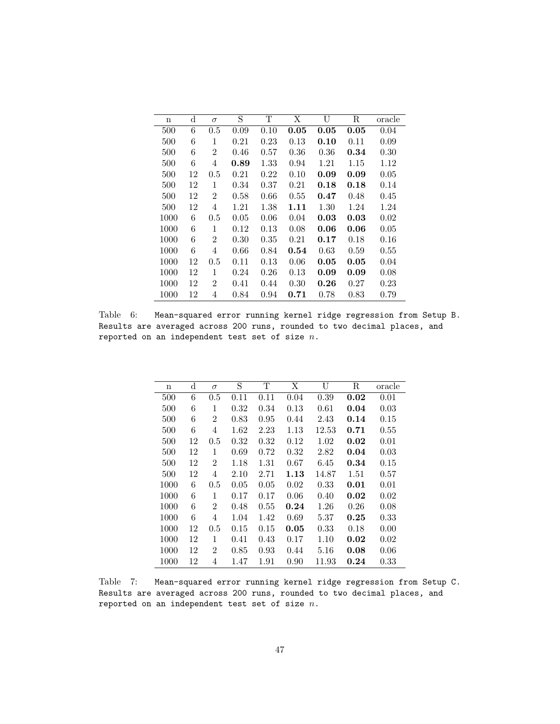| $\mathbf n$ | d  | $\sigma$       | S    | Т    | Χ          | U        | R    | oracle |
|-------------|----|----------------|------|------|------------|----------|------|--------|
| 500         | 6  | 0.5            | 0.09 | 0.10 | 0.05       | 0.05     | 0.05 | 0.04   |
| 500         | 6  | 1              | 0.21 | 0.23 | 0.13       | 0.10     | 0.11 | 0.09   |
| 500         | 6  | 2              | 0.46 | 0.57 | 0.36       | 0.36     | 0.34 | 0.30   |
| 500         | 6  | 4              | 0.89 | 1.33 | 0.94       | 1.21     | 1.15 | 1.12   |
| 500         | 12 | 0.5            | 0.21 | 0.22 | 0.10       | 0.09     | 0.09 | 0.05   |
| 500         | 12 | 1              | 0.34 | 0.37 | 0.21       | 0.18     | 0.18 | 0.14   |
| 500         | 12 | $\overline{2}$ | 0.58 | 0.66 | 0.55       | 0.47     | 0.48 | 0.45   |
| 500         | 12 | 4              | 1.21 | 1.38 | 1.11       | 1.30     | 1.24 | 1.24   |
| 1000        | 6  | 0.5            | 0.05 | 0.06 | 0.04       | 0.03     | 0.03 | 0.02   |
| 1000        | 6  | 1              | 0.12 | 0.13 | 0.08       | 0.06     | 0.06 | 0.05   |
| 1000        | 6  | $\overline{2}$ | 0.30 | 0.35 | 0.21       | $0.17\,$ | 0.18 | 0.16   |
| 1000        | 6  | 4              | 0.66 | 0.84 | $\,0.54\,$ | 0.63     | 0.59 | 0.55   |
| 1000        | 12 | 0.5            | 0.11 | 0.13 | 0.06       | 0.05     | 0.05 | 0.04   |
| 1000        | 12 | 1              | 0.24 | 0.26 | 0.13       | 0.09     | 0.09 | 0.08   |
| 1000        | 12 | 2              | 0.41 | 0.44 | 0.30       | 0.26     | 0.27 | 0.23   |
| 1000        | 12 | 4              | 0.84 | 0.94 | 0.71       | 0.78     | 0.83 | 0.79   |

Table 6: Mean-squared error running kernel ridge regression from Setup B. Results are averaged across 200 runs, rounded to two decimal places, and reported on an independent test set of size  $n$ .

| n    | $\rm{d}$ | $\sigma$       | S    | Τ    | Χ    | U         | R    | oracle |
|------|----------|----------------|------|------|------|-----------|------|--------|
| 500  | 6        | 0.5            | 0.11 | 0.11 | 0.04 | 0.39      | 0.02 | 0.01   |
| 500  | 6        | 1              | 0.32 | 0.34 | 0.13 | 0.61      | 0.04 | 0.03   |
| 500  | 6        | $\overline{2}$ | 0.83 | 0.95 | 0.44 | 2.43      | 0.14 | 0.15   |
| 500  | 6        | 4              | 1.62 | 2.23 | 1.13 | $12.53\,$ | 0.71 | 0.55   |
| 500  | 12       | 0.5            | 0.32 | 0.32 | 0.12 | 1.02      | 0.02 | 0.01   |
| 500  | 12       | 1              | 0.69 | 0.72 | 0.32 | 2.82      | 0.04 | 0.03   |
| 500  | 12       | $\overline{2}$ | 1.18 | 1.31 | 0.67 | 6.45      | 0.34 | 0.15   |
| 500  | 12       | 4              | 2.10 | 2.71 | 1.13 | 14.87     | 1.51 | 0.57   |
| 1000 | 6        | 0.5            | 0.05 | 0.05 | 0.02 | 0.33      | 0.01 | 0.01   |
| 1000 | 6        | 1              | 0.17 | 0.17 | 0.06 | 0.40      | 0.02 | 0.02   |
| 1000 | 6        | $\overline{2}$ | 0.48 | 0.55 | 0.24 | 1.26      | 0.26 | 0.08   |
| 1000 | 6        | 4              | 1.04 | 1.42 | 0.69 | 5.37      | 0.25 | 0.33   |
| 1000 | 12       | 0.5            | 0.15 | 0.15 | 0.05 | 0.33      | 0.18 | 0.00   |
| 1000 | 12       | 1              | 0.41 | 0.43 | 0.17 | 1.10      | 0.02 | 0.02   |
| 1000 | 12       | $\overline{2}$ | 0.85 | 0.93 | 0.44 | 5.16      | 0.08 | 0.06   |
| 1000 | 12       | 4              | 1.47 | 1.91 | 0.90 | 11.93     | 0.24 | 0.33   |

Table 7: Mean-squared error running kernel ridge regression from Setup C. Results are averaged across 200 runs, rounded to two decimal places, and reported on an independent test set of size  $n$ .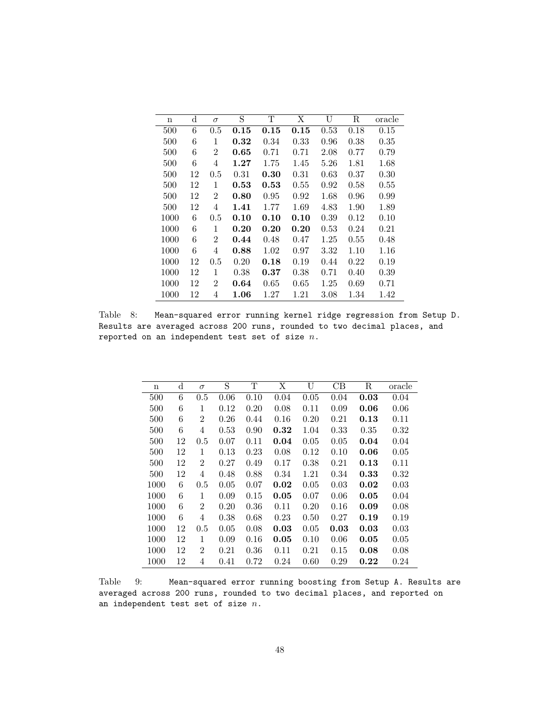| n    | d  | $\sigma$       | S    | т    | Χ    | U    | R    | oracle |
|------|----|----------------|------|------|------|------|------|--------|
| 500  | 6  | 0.5            | 0.15 | 0.15 | 0.15 | 0.53 | 0.18 | 0.15   |
| 500  | 6  | 1              | 0.32 | 0.34 | 0.33 | 0.96 | 0.38 | 0.35   |
| 500  | 6  | 2              | 0.65 | 0.71 | 0.71 | 2.08 | 0.77 | 0.79   |
| 500  | 6  | 4              | 1.27 | 1.75 | 1.45 | 5.26 | 1.81 | 1.68   |
| 500  | 12 | 0.5            | 0.31 | 0.30 | 0.31 | 0.63 | 0.37 | 0.30   |
| 500  | 12 | 1              | 0.53 | 0.53 | 0.55 | 0.92 | 0.58 | 0.55   |
| 500  | 12 | $\overline{2}$ | 0.80 | 0.95 | 0.92 | 1.68 | 0.96 | 0.99   |
| 500  | 12 | 4              | 1.41 | 1.77 | 1.69 | 4.83 | 1.90 | 1.89   |
| 1000 | 6  | 0.5            | 0.10 | 0.10 | 0.10 | 0.39 | 0.12 | 0.10   |
| 1000 | 6  | 1              | 0.20 | 0.20 | 0.20 | 0.53 | 0.24 | 0.21   |
| 1000 | 6  | $\overline{2}$ | 0.44 | 0.48 | 0.47 | 1.25 | 0.55 | 0.48   |
| 1000 | 6  | 4              | 0.88 | 1.02 | 0.97 | 3.32 | 1.10 | 1.16   |
| 1000 | 12 | 0.5            | 0.20 | 0.18 | 0.19 | 0.44 | 0.22 | 0.19   |
| 1000 | 12 | 1              | 0.38 | 0.37 | 0.38 | 0.71 | 0.40 | 0.39   |
| 1000 | 12 | 2              | 0.64 | 0.65 | 0.65 | 1.25 | 0.69 | 0.71   |
| 1000 | 12 | 4              | 1.06 | 1.27 | 1.21 | 3.08 | 1.34 | 1.42   |

Table 8: Mean-squared error running kernel ridge regression from Setup D. Results are averaged across 200 runs, rounded to two decimal places, and reported on an independent test set of size  $n$ .

| n    | d  | $\sigma$       | S    | Т    | Χ    | U    | CB   | R    | oracle |
|------|----|----------------|------|------|------|------|------|------|--------|
| 500  | 6  | 0.5            | 0.06 | 0.10 | 0.04 | 0.05 | 0.04 | 0.03 | 0.04   |
| 500  | 6  | 1              | 0.12 | 0.20 | 0.08 | 0.11 | 0.09 | 0.06 | 0.06   |
| 500  | 6  | $\overline{2}$ | 0.26 | 0.44 | 0.16 | 0.20 | 0.21 | 0.13 | 0.11   |
| 500  | 6  | 4              | 0.53 | 0.90 | 0.32 | 1.04 | 0.33 | 0.35 | 0.32   |
| 500  | 12 | 0.5            | 0.07 | 0.11 | 0.04 | 0.05 | 0.05 | 0.04 | 0.04   |
| 500  | 12 | 1              | 0.13 | 0.23 | 0.08 | 0.12 | 0.10 | 0.06 | 0.05   |
| 500  | 12 | $\overline{2}$ | 0.27 | 0.49 | 0.17 | 0.38 | 0.21 | 0.13 | 0.11   |
| 500  | 12 | 4              | 0.48 | 0.88 | 0.34 | 1.21 | 0.34 | 0.33 | 0.32   |
| 1000 | 6  | 0.5            | 0.05 | 0.07 | 0.02 | 0.05 | 0.03 | 0.02 | 0.03   |
| 1000 | 6  | 1              | 0.09 | 0.15 | 0.05 | 0.07 | 0.06 | 0.05 | 0.04   |
| 1000 | 6  | 2              | 0.20 | 0.36 | 0.11 | 0.20 | 0.16 | 0.09 | 0.08   |
| 1000 | 6  | 4              | 0.38 | 0.68 | 0.23 | 0.50 | 0.27 | 0.19 | 0.19   |
| 1000 | 12 | 0.5            | 0.05 | 0.08 | 0.03 | 0.05 | 0.03 | 0.03 | 0.03   |
| 1000 | 12 | 1              | 0.09 | 0.16 | 0.05 | 0.10 | 0.06 | 0.05 | 0.05   |
| 1000 | 12 | $\overline{2}$ | 0.21 | 0.36 | 0.11 | 0.21 | 0.15 | 0.08 | 0.08   |
| 1000 | 12 | 4              | 0.41 | 0.72 | 0.24 | 0.60 | 0.29 | 0.22 | 0.24   |

Table 9: Mean-squared error running boosting from Setup A. Results are averaged across 200 runs, rounded to two decimal places, and reported on an independent test set of size  $n$ .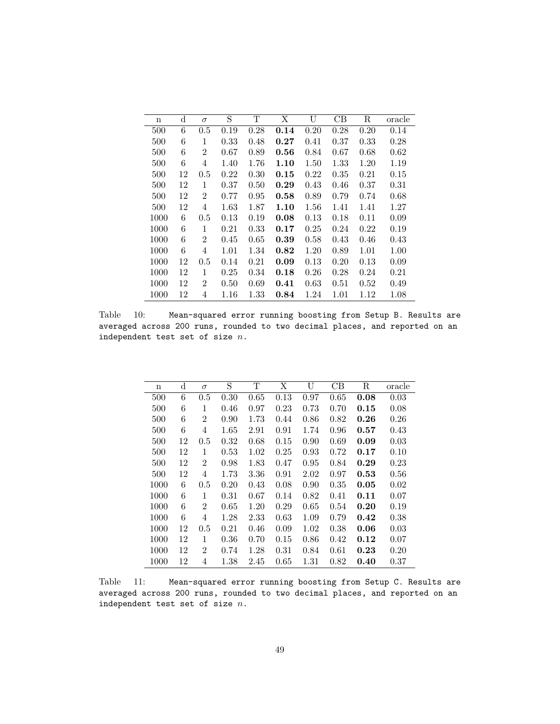| $\mathbf n$ | $\rm d$ | $\sigma$       | S    | Т    | Χ    | U    | CВ   | R    | oracle |
|-------------|---------|----------------|------|------|------|------|------|------|--------|
| 500         | 6       | 0.5            | 0.19 | 0.28 | 0.14 | 0.20 | 0.28 | 0.20 | 0.14   |
| 500         | 6       | 1              | 0.33 | 0.48 | 0.27 | 0.41 | 0.37 | 0.33 | 0.28   |
| 500         | 6       | $\overline{2}$ | 0.67 | 0.89 | 0.56 | 0.84 | 0.67 | 0.68 | 0.62   |
| 500         | 6       | 4              | 1.40 | 1.76 | 1.10 | 1.50 | 1.33 | 1.20 | 1.19   |
| 500         | 12      | 0.5            | 0.22 | 0.30 | 0.15 | 0.22 | 0.35 | 0.21 | 0.15   |
| 500         | 12      | 1              | 0.37 | 0.50 | 0.29 | 0.43 | 0.46 | 0.37 | 0.31   |
| 500         | 12      | $\overline{2}$ | 0.77 | 0.95 | 0.58 | 0.89 | 0.79 | 0.74 | 0.68   |
| 500         | 12      | 4              | 1.63 | 1.87 | 1.10 | 1.56 | 1.41 | 1.41 | 1.27   |
| 1000        | 6       | 0.5            | 0.13 | 0.19 | 0.08 | 0.13 | 0.18 | 0.11 | 0.09   |
| 1000        | 6       | 1              | 0.21 | 0.33 | 0.17 | 0.25 | 0.24 | 0.22 | 0.19   |
| 1000        | 6       | $\overline{2}$ | 0.45 | 0.65 | 0.39 | 0.58 | 0.43 | 0.46 | 0.43   |
| 1000        | 6       | 4              | 1.01 | 1.34 | 0.82 | 1.20 | 0.89 | 1.01 | 1.00   |
| 1000        | 12      | 0.5            | 0.14 | 0.21 | 0.09 | 0.13 | 0.20 | 0.13 | 0.09   |
| 1000        | 12      | 1              | 0.25 | 0.34 | 0.18 | 0.26 | 0.28 | 0.24 | 0.21   |
| 1000        | 12      | $\overline{2}$ | 0.50 | 0.69 | 0.41 | 0.63 | 0.51 | 0.52 | 0.49   |
| 1000        | 12      | 4              | 1.16 | 1.33 | 0.84 | 1.24 | 1.01 | 1.12 | 1.08   |

Table 10: Mean-squared error running boosting from Setup B. Results are averaged across 200 runs, rounded to two decimal places, and reported on an independent test set of size  $n$ .

| n    | d  | $\sigma$       | S    | Т    | Χ    | U    | CB   | R    | oracle |
|------|----|----------------|------|------|------|------|------|------|--------|
| 500  | 6  | 0.5            | 0.30 | 0.65 | 0.13 | 0.97 | 0.65 | 0.08 | 0.03   |
| 500  | 6  | 1              | 0.46 | 0.97 | 0.23 | 0.73 | 0.70 | 0.15 | 0.08   |
| 500  | 6  | $\overline{2}$ | 0.90 | 1.73 | 0.44 | 0.86 | 0.82 | 0.26 | 0.26   |
| 500  | 6  | 4              | 1.65 | 2.91 | 0.91 | 1.74 | 0.96 | 0.57 | 0.43   |
| 500  | 12 | $0.5\,$        | 0.32 | 0.68 | 0.15 | 0.90 | 0.69 | 0.09 | 0.03   |
| 500  | 12 | 1              | 0.53 | 1.02 | 0.25 | 0.93 | 0.72 | 0.17 | 0.10   |
| 500  | 12 | $\overline{2}$ | 0.98 | 1.83 | 0.47 | 0.95 | 0.84 | 0.29 | 0.23   |
| 500  | 12 | 4              | 1.73 | 3.36 | 0.91 | 2.02 | 0.97 | 0.53 | 0.56   |
| 1000 | 6  | 0.5            | 0.20 | 0.43 | 0.08 | 0.90 | 0.35 | 0.05 | 0.02   |
| 1000 | 6  | 1              | 0.31 | 0.67 | 0.14 | 0.82 | 0.41 | 0.11 | 0.07   |
| 1000 | 6  | $\overline{2}$ | 0.65 | 1.20 | 0.29 | 0.65 | 0.54 | 0.20 | 0.19   |
| 1000 | 6  | 4              | 1.28 | 2.33 | 0.63 | 1.09 | 0.79 | 0.42 | 0.38   |
| 1000 | 12 | 0.5            | 0.21 | 0.46 | 0.09 | 1.02 | 0.38 | 0.06 | 0.03   |
| 1000 | 12 | 1              | 0.36 | 0.70 | 0.15 | 0.86 | 0.42 | 0.12 | 0.07   |
| 1000 | 12 | $\overline{2}$ | 0.74 | 1.28 | 0.31 | 0.84 | 0.61 | 0.23 | 0.20   |
| 1000 | 12 | 4              | 1.38 | 2.45 | 0.65 | 1.31 | 0.82 | 0.40 | 0.37   |

Table 11: Mean-squared error running boosting from Setup C. Results are averaged across 200 runs, rounded to two decimal places, and reported on an independent test set of size  $\it n$  .